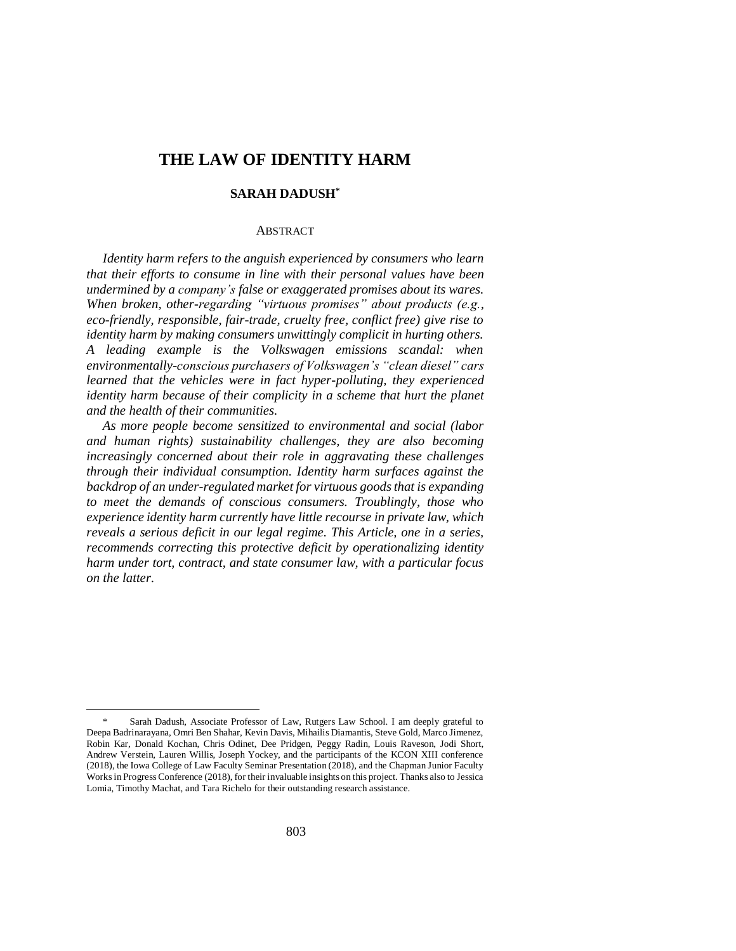# **THE LAW OF IDENTITY HARM**

# **SARAH DADUSH\***

### ABSTRACT

*Identity harm refers to the anguish experienced by consumers who learn that their efforts to consume in line with their personal values have been undermined by a company's false or exaggerated promises about its wares. When broken, other-regarding "virtuous promises" about products (e.g., eco-friendly, responsible, fair-trade, cruelty free, conflict free) give rise to identity harm by making consumers unwittingly complicit in hurting others. A leading example is the Volkswagen emissions scandal: when environmentally-conscious purchasers of Volkswagen's "clean diesel" cars learned that the vehicles were in fact hyper-polluting, they experienced identity harm because of their complicity in a scheme that hurt the planet and the health of their communities.* 

*As more people become sensitized to environmental and social (labor and human rights) sustainability challenges, they are also becoming increasingly concerned about their role in aggravating these challenges through their individual consumption. Identity harm surfaces against the backdrop of an under-regulated market for virtuous goods that is expanding to meet the demands of conscious consumers. Troublingly, those who experience identity harm currently have little recourse in private law, which reveals a serious deficit in our legal regime. This Article, one in a series, recommends correcting this protective deficit by operationalizing identity harm under tort, contract, and state consumer law, with a particular focus on the latter.*

Sarah Dadush, Associate Professor of Law, Rutgers Law School. I am deeply grateful to Deepa Badrinarayana, Omri Ben Shahar, Kevin Davis, Mihailis Diamantis, Steve Gold, Marco Jimenez, Robin Kar, Donald Kochan, Chris Odinet, Dee Pridgen, Peggy Radin, Louis Raveson, Jodi Short, Andrew Verstein, Lauren Willis, Joseph Yockey, and the participants of the KCON XIII conference (2018), the Iowa College of Law Faculty Seminar Presentation (2018), and the Chapman Junior Faculty Works in Progress Conference (2018), for their invaluable insights on this project. Thanks also to Jessica Lomia, Timothy Machat, and Tara Richelo for their outstanding research assistance.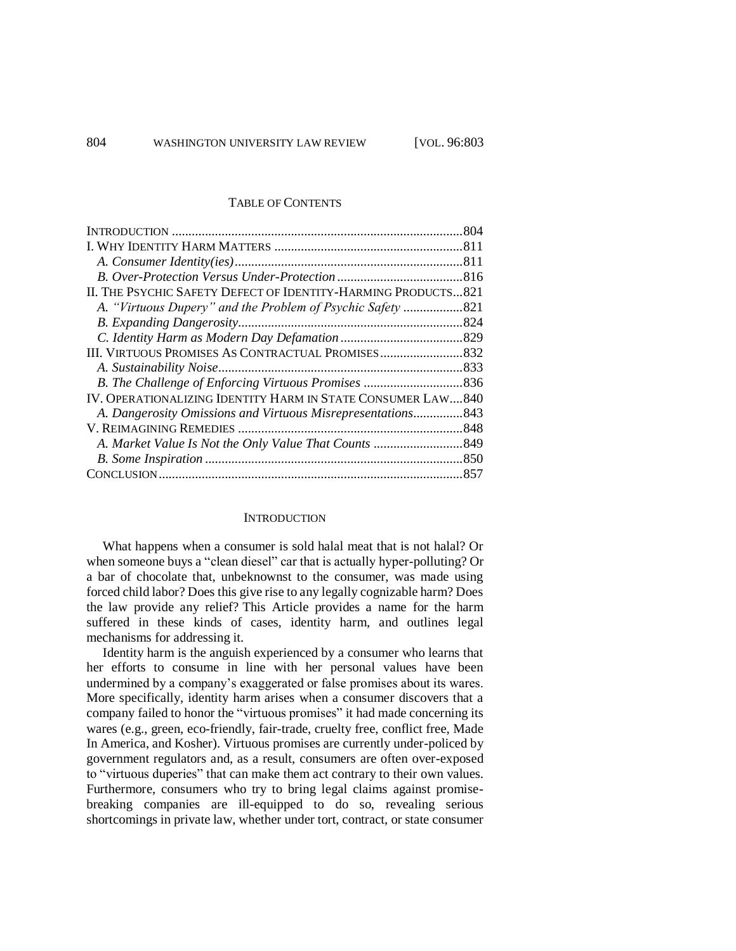#### TABLE OF CONTENTS

| II. THE PSYCHIC SAFETY DEFECT OF IDENTITY-HARMING PRODUCTS821 |  |
|---------------------------------------------------------------|--|
| A. "Virtuous Dupery" and the Problem of Psychic Safety 821    |  |
|                                                               |  |
|                                                               |  |
|                                                               |  |
|                                                               |  |
|                                                               |  |
| IV. OPERATIONALIZING IDENTITY HARM IN STATE CONSUMER LAW840   |  |
| A. Dangerosity Omissions and Virtuous Misrepresentations843   |  |
|                                                               |  |
|                                                               |  |
|                                                               |  |
|                                                               |  |

### **INTRODUCTION**

What happens when a consumer is sold halal meat that is not halal? Or when someone buys a "clean diesel" car that is actually hyper-polluting? Or a bar of chocolate that, unbeknownst to the consumer, was made using forced child labor? Does this give rise to any legally cognizable harm? Does the law provide any relief? This Article provides a name for the harm suffered in these kinds of cases, identity harm, and outlines legal mechanisms for addressing it.

Identity harm is the anguish experienced by a consumer who learns that her efforts to consume in line with her personal values have been undermined by a company's exaggerated or false promises about its wares. More specifically, identity harm arises when a consumer discovers that a company failed to honor the "virtuous promises" it had made concerning its wares (e.g., green, eco-friendly, fair-trade, cruelty free, conflict free, Made In America, and Kosher). Virtuous promises are currently under-policed by government regulators and, as a result, consumers are often over-exposed to "virtuous duperies" that can make them act contrary to their own values. Furthermore, consumers who try to bring legal claims against promisebreaking companies are ill-equipped to do so, revealing serious shortcomings in private law, whether under tort, contract, or state consumer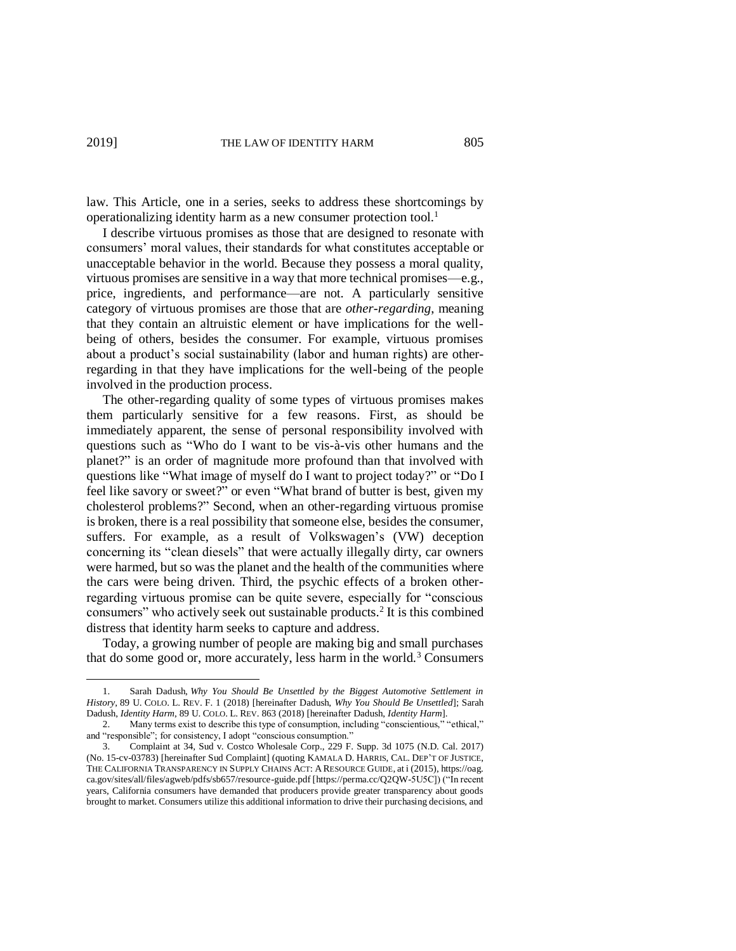law. This Article, one in a series, seeks to address these shortcomings by operationalizing identity harm as a new consumer protection tool.<sup>1</sup>

I describe virtuous promises as those that are designed to resonate with consumers' moral values, their standards for what constitutes acceptable or unacceptable behavior in the world. Because they possess a moral quality, virtuous promises are sensitive in a way that more technical promises—e.g., price, ingredients, and performance—are not. A particularly sensitive category of virtuous promises are those that are *other-regarding*, meaning that they contain an altruistic element or have implications for the wellbeing of others, besides the consumer. For example, virtuous promises about a product's social sustainability (labor and human rights) are otherregarding in that they have implications for the well-being of the people involved in the production process.

The other-regarding quality of some types of virtuous promises makes them particularly sensitive for a few reasons. First, as should be immediately apparent, the sense of personal responsibility involved with questions such as "Who do I want to be vis-à-vis other humans and the planet?" is an order of magnitude more profound than that involved with questions like "What image of myself do I want to project today?" or "Do I feel like savory or sweet?" or even "What brand of butter is best, given my cholesterol problems?" Second, when an other-regarding virtuous promise is broken, there is a real possibility that someone else, besides the consumer, suffers. For example, as a result of Volkswagen's (VW) deception concerning its "clean diesels" that were actually illegally dirty, car owners were harmed, but so was the planet and the health of the communities where the cars were being driven. Third, the psychic effects of a broken otherregarding virtuous promise can be quite severe, especially for "conscious consumers" who actively seek out sustainable products. 2 It is this combined distress that identity harm seeks to capture and address.

Today, a growing number of people are making big and small purchases that do some good or, more accurately, less harm in the world.<sup>3</sup> Consumers

<sup>1.</sup> Sarah Dadush, *Why You Should Be Unsettled by the Biggest Automotive Settlement in History*, 89 U. COLO. L. REV. F. 1 (2018) [hereinafter Dadush, *Why You Should Be Unsettled*]; Sarah Dadush, *Identity Harm*, 89 U. COLO. L. REV. 863 (2018) [hereinafter Dadush, *Identity Harm*].

Many terms exist to describe this type of consumption, including "conscientious," "ethical," and "responsible"; for consistency, I adopt "conscious consumption."

<sup>3.</sup> Complaint at 34, Sud v. Costco Wholesale Corp., 229 F. Supp. 3d 1075 (N.D. Cal. 2017) (No. 15-cv-03783) [hereinafter Sud Complaint] (quoting KAMALA D. HARRIS, CAL. DEP'T OF JUSTICE, THE CALIFORNIA TRANSPARENCY IN SUPPLY CHAINS ACT: A RESOURCE GUIDE, at i (2015), https://oag. ca.gov/sites/all/files/agweb/pdfs/sb657/resource-guide.pdf [https://perma.cc/Q2QW-5U5C]) ("In recent years, California consumers have demanded that producers provide greater transparency about goods brought to market. Consumers utilize this additional information to drive their purchasing decisions, and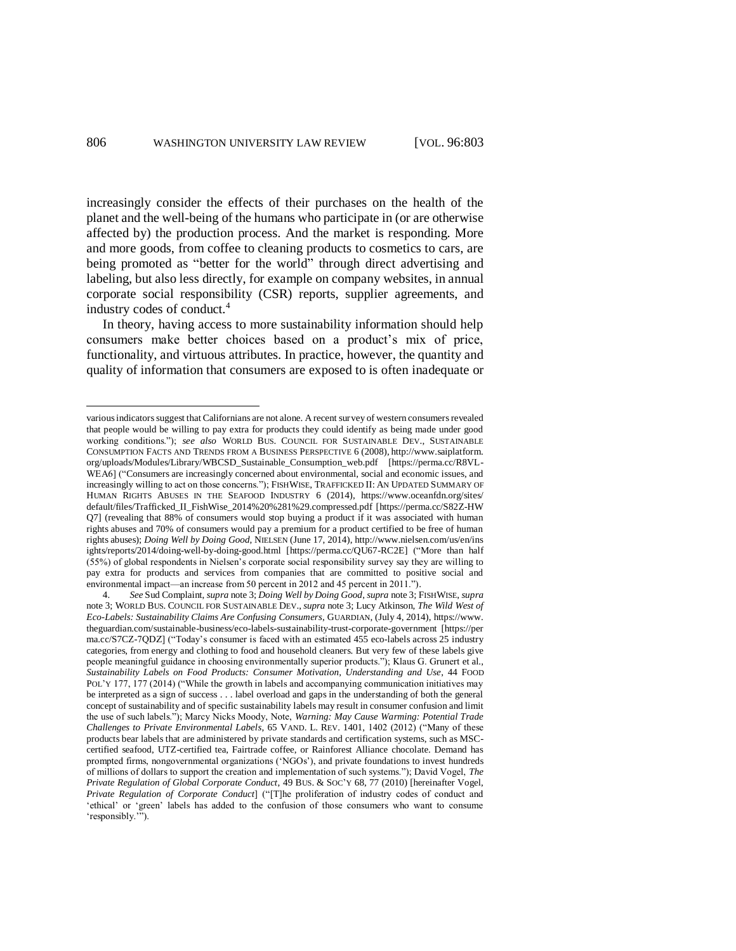increasingly consider the effects of their purchases on the health of the planet and the well-being of the humans who participate in (or are otherwise affected by) the production process. And the market is responding. More and more goods, from coffee to cleaning products to cosmetics to cars, are being promoted as "better for the world" through direct advertising and labeling, but also less directly, for example on company websites, in annual corporate social responsibility (CSR) reports, supplier agreements, and industry codes of conduct.<sup>4</sup>

In theory, having access to more sustainability information should help consumers make better choices based on a product's mix of price, functionality, and virtuous attributes. In practice, however, the quantity and quality of information that consumers are exposed to is often inadequate or

various indicators suggest that Californians are not alone. A recent survey of western consumers revealed that people would be willing to pay extra for products they could identify as being made under good working conditions."); *see also* WORLD BUS. COUNCIL FOR SUSTAINABLE DEV., SUSTAINABLE CONSUMPTION FACTS AND TRENDS FROM A BUSINESS PERSPECTIVE 6 (2008), http://www.saiplatform. org/uploads/Modules/Library/WBCSD\_Sustainable\_Consumption\_web.pdf [https://perma.cc/R8VL-WEA6] ("Consumers are increasingly concerned about environmental, social and economic issues, and increasingly willing to act on those concerns."); FISHWISE, TRAFFICKED II: AN UPDATED SUMMARY OF HUMAN RIGHTS ABUSES IN THE SEAFOOD INDUSTRY 6 (2014), https://www.oceanfdn.org/sites/ default/files/Trafficked\_II\_FishWise\_2014%20%281%29.compressed.pdf [https://perma.cc/S82Z-HW Q7] (revealing that 88% of consumers would stop buying a product if it was associated with human rights abuses and 70% of consumers would pay a premium for a product certified to be free of human rights abuses); *Doing Well by Doing Good*, NIELSEN (June 17, 2014), http://www.nielsen.com/us/en/ins ights/reports/2014/doing-well-by-doing-good.html [https://perma.cc/QU67-RC2E] ("More than half (55%) of global respondents in Nielsen's corporate social responsibility survey say they are willing to pay extra for products and services from companies that are committed to positive social and environmental impact—an increase from 50 percent in 2012 and 45 percent in 2011.").

<sup>4.</sup> *See* Sud Complaint, *supra* note 3; *Doing Well by Doing Good*, *supra* note 3; FISHWISE, *supra*  note 3; WORLD BUS. COUNCIL FOR SUSTAINABLE DEV., *supra* note 3; Lucy Atkinson, *The Wild West of Eco-Labels: Sustainability Claims Are Confusing Consumers*, GUARDIAN, (July 4, 2014), https://www. theguardian.com/sustainable-business/eco-labels-sustainability-trust-corporate-government [https://per ma.cc/S7CZ-7QDZ] ("Today's consumer is faced with an estimated 455 eco-labels across 25 industry categories, from energy and clothing to food and household cleaners. But very few of these labels give people meaningful guidance in choosing environmentally superior products."); Klaus G. Grunert et al., *Sustainability Labels on Food Products: Consumer Motivation, Understanding and Use*, 44 FOOD POL'Y 177, 177 (2014) ("While the growth in labels and accompanying communication initiatives may be interpreted as a sign of success . . . label overload and gaps in the understanding of both the general concept of sustainability and of specific sustainability labels may result in consumer confusion and limit the use of such labels."); Marcy Nicks Moody, Note, *Warning: May Cause Warming: Potential Trade Challenges to Private Environmental Labels*, 65 VAND. L. REV. 1401, 1402 (2012) ("Many of these products bear labels that are administered by private standards and certification systems, such as MSCcertified seafood, UTZ-certified tea, Fairtrade coffee, or Rainforest Alliance chocolate. Demand has prompted firms, nongovernmental organizations ('NGOs'), and private foundations to invest hundreds of millions of dollars to support the creation and implementation of such systems."); David Vogel, *The Private Regulation of Global Corporate Conduct*, 49 BUS. & SOC'Y 68, 77 (2010) [hereinafter Vogel, *Private Regulation of Corporate Conduct*] ("[T]he proliferation of industry codes of conduct and 'ethical' or 'green' labels has added to the confusion of those consumers who want to consume 'responsibly.'").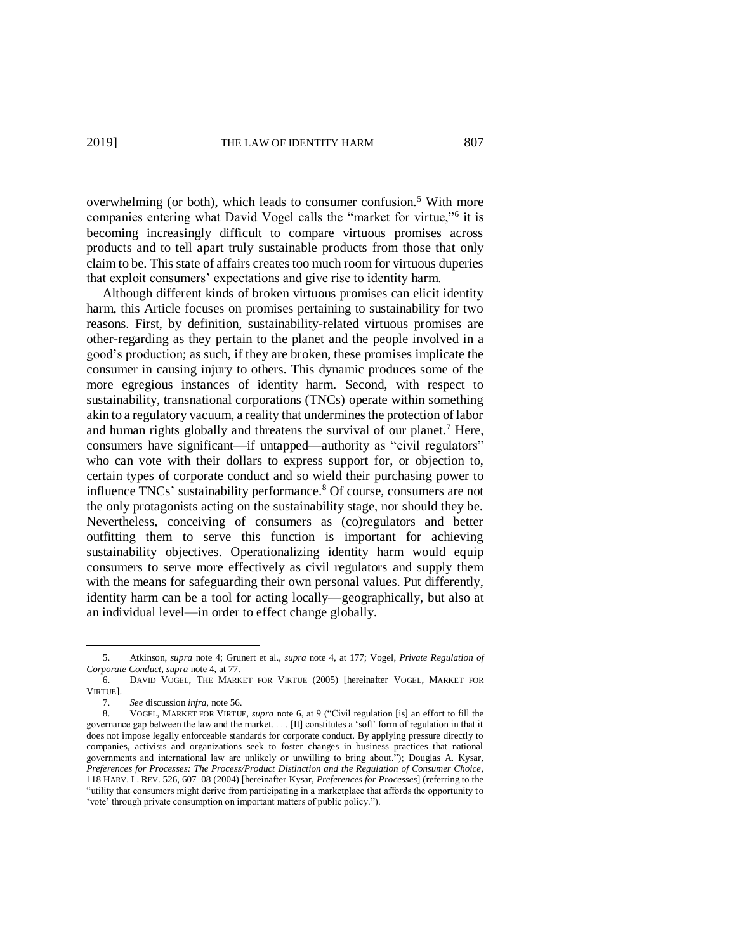overwhelming (or both), which leads to consumer confusion.<sup>5</sup> With more companies entering what David Vogel calls the "market for virtue,"<sup>6</sup> it is becoming increasingly difficult to compare virtuous promises across products and to tell apart truly sustainable products from those that only claim to be. This state of affairs creates too much room for virtuous duperies that exploit consumers' expectations and give rise to identity harm.

Although different kinds of broken virtuous promises can elicit identity harm, this Article focuses on promises pertaining to sustainability for two reasons. First, by definition, sustainability-related virtuous promises are other-regarding as they pertain to the planet and the people involved in a good's production; as such, if they are broken, these promises implicate the consumer in causing injury to others. This dynamic produces some of the more egregious instances of identity harm. Second, with respect to sustainability, transnational corporations (TNCs) operate within something akin to a regulatory vacuum, a reality that undermines the protection of labor and human rights globally and threatens the survival of our planet.<sup>7</sup> Here, consumers have significant—if untapped—authority as "civil regulators" who can vote with their dollars to express support for, or objection to, certain types of corporate conduct and so wield their purchasing power to influence TNCs' sustainability performance. <sup>8</sup> Of course, consumers are not the only protagonists acting on the sustainability stage, nor should they be. Nevertheless, conceiving of consumers as (co)regulators and better outfitting them to serve this function is important for achieving sustainability objectives. Operationalizing identity harm would equip consumers to serve more effectively as civil regulators and supply them with the means for safeguarding their own personal values. Put differently, identity harm can be a tool for acting locally—geographically, but also at an individual level—in order to effect change globally.

<sup>5.</sup> Atkinson, *supra* note 4; Grunert et al., *supra* note 4, at 177; Vogel, *Private Regulation of Corporate Conduct*, *supra* note 4, at 77.

<sup>6.</sup> DAVID VOGEL, THE MARKET FOR VIRTUE (2005) [hereinafter VOGEL, MARKET FOR VIRTUE].

<sup>7.</sup> *See* discussion *infra*, note 56.

<sup>8.</sup> VOGEL, MARKET FOR VIRTUE, *supra* note 6, at 9 ("Civil regulation [is] an effort to fill the governance gap between the law and the market. . . . [It] constitutes a 'soft' form of regulation in that it does not impose legally enforceable standards for corporate conduct. By applying pressure directly to companies, activists and organizations seek to foster changes in business practices that national governments and international law are unlikely or unwilling to bring about."); Douglas A. Kysar, *Preferences for Processes: The Process/Product Distinction and the Regulation of Consumer Choice*, 118 HARV. L. REV. 526, 607–08 (2004) [hereinafter Kysar, *Preferences for Processes*] (referring to the "utility that consumers might derive from participating in a marketplace that affords the opportunity to 'vote' through private consumption on important matters of public policy.").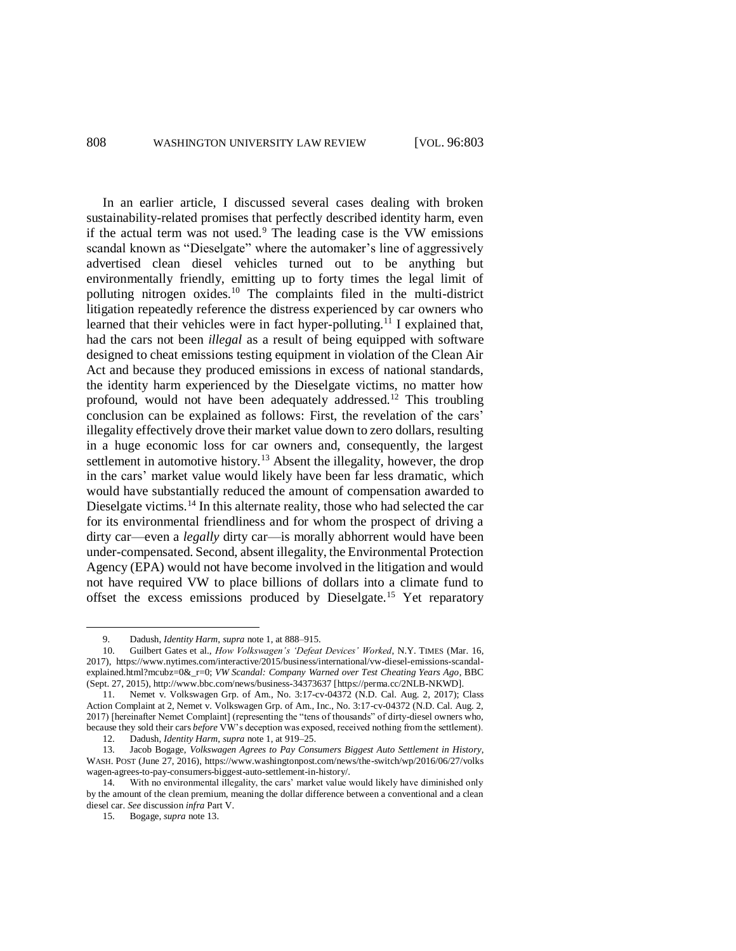In an earlier article, I discussed several cases dealing with broken sustainability-related promises that perfectly described identity harm, even if the actual term was not used. $9$  The leading case is the VW emissions scandal known as "Dieselgate" where the automaker's line of aggressively advertised clean diesel vehicles turned out to be anything but environmentally friendly, emitting up to forty times the legal limit of polluting nitrogen oxides.<sup>10</sup> The complaints filed in the multi-district litigation repeatedly reference the distress experienced by car owners who learned that their vehicles were in fact hyper-polluting.<sup>11</sup> I explained that, had the cars not been *illegal* as a result of being equipped with software designed to cheat emissions testing equipment in violation of the Clean Air Act and because they produced emissions in excess of national standards, the identity harm experienced by the Dieselgate victims, no matter how profound, would not have been adequately addressed.<sup>12</sup> This troubling conclusion can be explained as follows: First, the revelation of the cars' illegality effectively drove their market value down to zero dollars, resulting in a huge economic loss for car owners and, consequently, the largest settlement in automotive history.<sup>13</sup> Absent the illegality, however, the drop in the cars' market value would likely have been far less dramatic, which would have substantially reduced the amount of compensation awarded to Dieselgate victims.<sup>14</sup> In this alternate reality, those who had selected the car for its environmental friendliness and for whom the prospect of driving a dirty car—even a *legally* dirty car—is morally abhorrent would have been under-compensated. Second, absent illegality, the Environmental Protection Agency (EPA) would not have become involved in the litigation and would not have required VW to place billions of dollars into a climate fund to offset the excess emissions produced by Dieselgate.<sup>15</sup> Yet reparatory

<sup>9.</sup> Dadush, *Identity Harm*, *supra* note 1, at 888–915.

<sup>10.</sup> Guilbert Gates et al., *How Volkswagen's 'Defeat Devices' Worked*, N.Y. TIMES (Mar. 16, 2017), https://www.nytimes.com/interactive/2015/business/international/vw-diesel-emissions-scandalexplained.html?mcubz=0&\_r=0; *VW Scandal: Company Warned over Test Cheating Years Ago*, BBC (Sept. 27, 2015), http://www.bbc.com/news/business-34373637 [https://perma.cc/2NLB-NKWD].

<sup>11.</sup> Nemet v. Volkswagen Grp. of Am., No. 3:17-cv-04372 (N.D. Cal. Aug. 2, 2017); Class Action Complaint at 2, Nemet v. Volkswagen Grp. of Am., Inc., No. 3:17-cv-04372 (N.D. Cal. Aug. 2, 2017) [hereinafter Nemet Complaint] (representing the "tens of thousands" of dirty-diesel owners who, because they sold their cars *before* VW's deception was exposed, received nothing from the settlement).

<sup>12.</sup> Dadush, *Identity Harm*, *supra* note 1, at 919–25.

<sup>13.</sup> Jacob Bogage, *Volkswagen Agrees to Pay Consumers Biggest Auto Settlement in History*, WASH. POST (June 27, 2016), https://www.washingtonpost.com/news/the-switch/wp/2016/06/27/volks wagen-agrees-to-pay-consumers-biggest-auto-settlement-in-history/.

<sup>14.</sup> With no environmental illegality, the cars' market value would likely have diminished only by the amount of the clean premium, meaning the dollar difference between a conventional and a clean diesel car. *See* discussion *infra* Part V.

<sup>15.</sup> Bogage, *supra* note 13.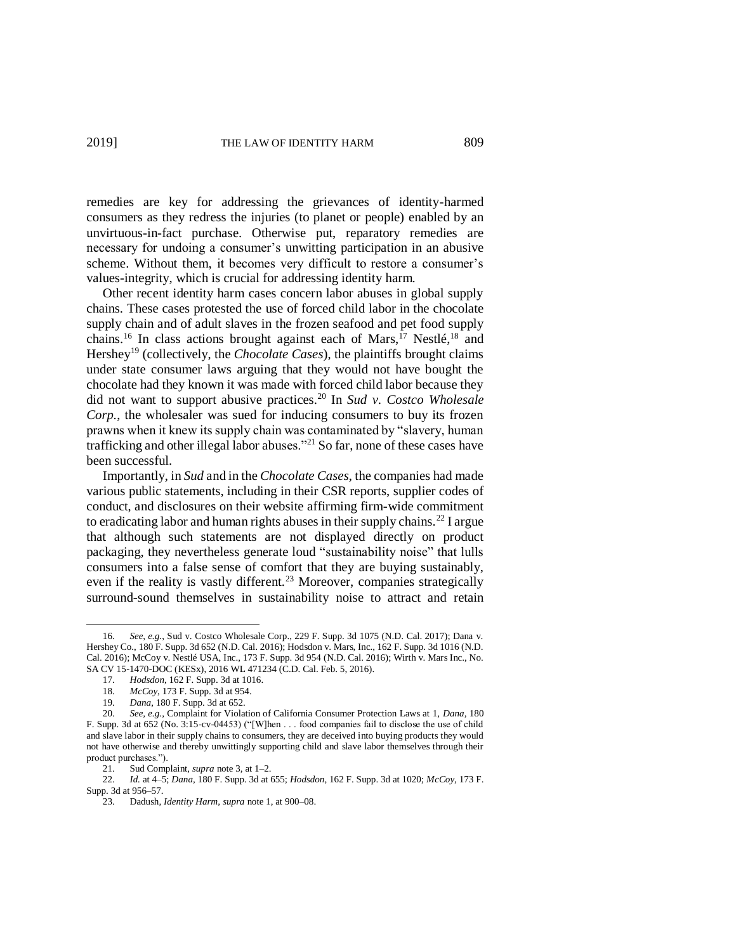remedies are key for addressing the grievances of identity-harmed consumers as they redress the injuries (to planet or people) enabled by an unvirtuous-in-fact purchase. Otherwise put, reparatory remedies are necessary for undoing a consumer's unwitting participation in an abusive scheme. Without them, it becomes very difficult to restore a consumer's values-integrity, which is crucial for addressing identity harm.

Other recent identity harm cases concern labor abuses in global supply chains. These cases protested the use of forced child labor in the chocolate supply chain and of adult slaves in the frozen seafood and pet food supply chains.<sup>16</sup> In class actions brought against each of Mars,<sup>17</sup> Nestlé,<sup>18</sup> and Hershey<sup>19</sup> (collectively, the *Chocolate Cases*), the plaintiffs brought claims under state consumer laws arguing that they would not have bought the chocolate had they known it was made with forced child labor because they did not want to support abusive practices.<sup>20</sup> In *Sud v. Costco Wholesale Corp.*, the wholesaler was sued for inducing consumers to buy its frozen prawns when it knew its supply chain was contaminated by "slavery, human trafficking and other illegal labor abuses."<sup>21</sup> So far, none of these cases have been successful.

Importantly, in *Sud* and in the *Chocolate Cases*, the companies had made various public statements, including in their CSR reports, supplier codes of conduct, and disclosures on their website affirming firm-wide commitment to eradicating labor and human rights abuses in their supply chains.<sup>22</sup> I argue that although such statements are not displayed directly on product packaging, they nevertheless generate loud "sustainability noise" that lulls consumers into a false sense of comfort that they are buying sustainably, even if the reality is vastly different.<sup>23</sup> Moreover, companies strategically surround-sound themselves in sustainability noise to attract and retain

<sup>16.</sup> *See, e.g.*, Sud v. Costco Wholesale Corp., 229 F. Supp. 3d 1075 (N.D. Cal. 2017); Dana v. Hershey Co., 180 F. Supp. 3d 652 (N.D. Cal. 2016); Hodsdon v. Mars, Inc., 162 F. Supp. 3d 1016 (N.D. Cal. 2016); McCoy v. Nestlé USA, Inc., 173 F. Supp. 3d 954 (N.D. Cal. 2016); Wirth v. Mars Inc., No. SA CV 15-1470-DOC (KESx), 2016 WL 471234 (C.D. Cal. Feb. 5, 2016).

<sup>17.</sup> *Hodsdon*, 162 F. Supp. 3d at 1016.

<sup>18.</sup> *McCoy*, 173 F. Supp. 3d at 954.

<sup>19.</sup> *Dana*, 180 F. Supp. 3d at 652.

<sup>20.</sup> *See, e.g.*, Complaint for Violation of California Consumer Protection Laws at 1, *Dana*, 180 F. Supp. 3d at 652 (No. 3:15-cv-04453) ("[W]hen . . . food companies fail to disclose the use of child and slave labor in their supply chains to consumers, they are deceived into buying products they would not have otherwise and thereby unwittingly supporting child and slave labor themselves through their product purchases.").

<sup>21.</sup> Sud Complaint, *supra* note 3, at 1–2.

<sup>22.</sup> *Id.* at 4–5; *Dana*, 180 F. Supp. 3d at 655; *Hodsdon*, 162 F. Supp. 3d at 1020; *McCoy*, 173 F. Supp. 3d at 956–57.

<sup>23.</sup> Dadush, *Identity Harm*, *supra* note 1, at 900–08.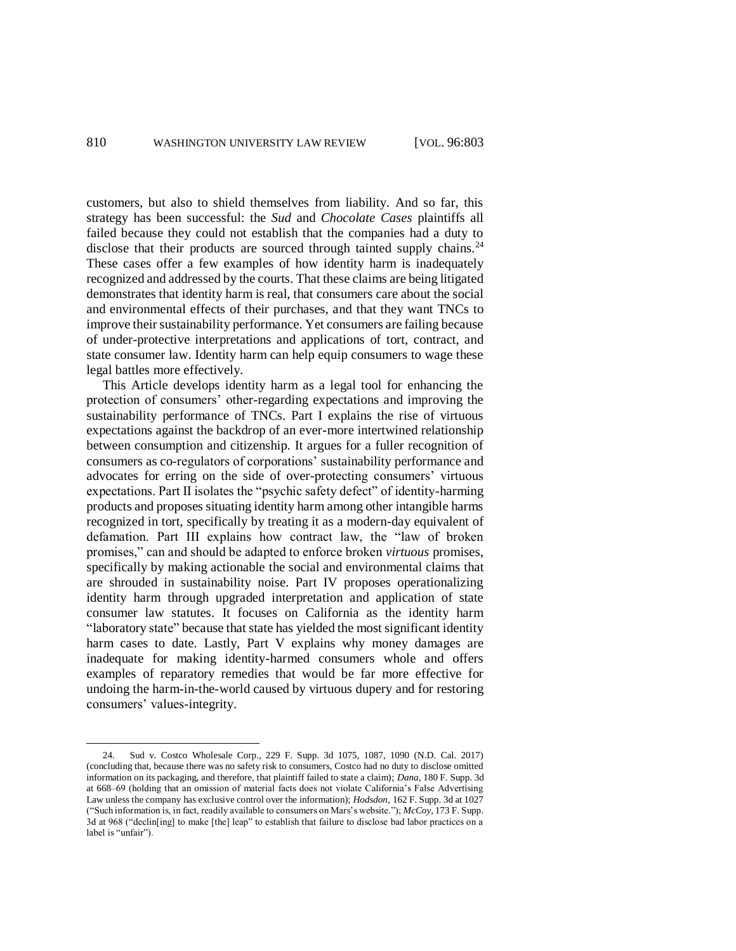customers, but also to shield themselves from liability. And so far, this strategy has been successful: the *Sud* and *Chocolate Cases* plaintiffs all failed because they could not establish that the companies had a duty to disclose that their products are sourced through tainted supply chains.<sup>24</sup> These cases offer a few examples of how identity harm is inadequately recognized and addressed by the courts. That these claims are being litigated demonstrates that identity harm is real, that consumers care about the social and environmental effects of their purchases, and that they want TNCs to improve their sustainability performance. Yet consumers are failing because of under-protective interpretations and applications of tort, contract, and state consumer law. Identity harm can help equip consumers to wage these legal battles more effectively.

This Article develops identity harm as a legal tool for enhancing the protection of consumers' other-regarding expectations and improving the sustainability performance of TNCs. Part I explains the rise of virtuous expectations against the backdrop of an ever-more intertwined relationship between consumption and citizenship. It argues for a fuller recognition of consumers as co-regulators of corporations' sustainability performance and advocates for erring on the side of over-protecting consumers' virtuous expectations. Part II isolates the "psychic safety defect" of identity-harming products and proposes situating identity harm among other intangible harms recognized in tort, specifically by treating it as a modern-day equivalent of defamation. Part III explains how contract law, the "law of broken promises," can and should be adapted to enforce broken *virtuous* promises, specifically by making actionable the social and environmental claims that are shrouded in sustainability noise. Part IV proposes operationalizing identity harm through upgraded interpretation and application of state consumer law statutes. It focuses on California as the identity harm "laboratory state" because that state has yielded the most significant identity harm cases to date. Lastly, Part V explains why money damages are inadequate for making identity-harmed consumers whole and offers examples of reparatory remedies that would be far more effective for undoing the harm-in-the-world caused by virtuous dupery and for restoring consumers' values-integrity.

<sup>24.</sup> Sud v. Costco Wholesale Corp., 229 F. Supp. 3d 1075, 1087, 1090 (N.D. Cal. 2017) (concluding that, because there was no safety risk to consumers, Costco had no duty to disclose omitted information on its packaging, and therefore, that plaintiff failed to state a claim); *Dana*, 180 F. Supp. 3d at 668–69 (holding that an omission of material facts does not violate California's False Advertising Law unless the company has exclusive control over the information); *Hodsdon*, 162 F. Supp. 3d at 1027 ("Such information is, in fact, readily available to consumers on Mars's website."); *McCoy*, 173 F. Supp. 3d at 968 ("declin[ing] to make [the] leap" to establish that failure to disclose bad labor practices on a label is "unfair").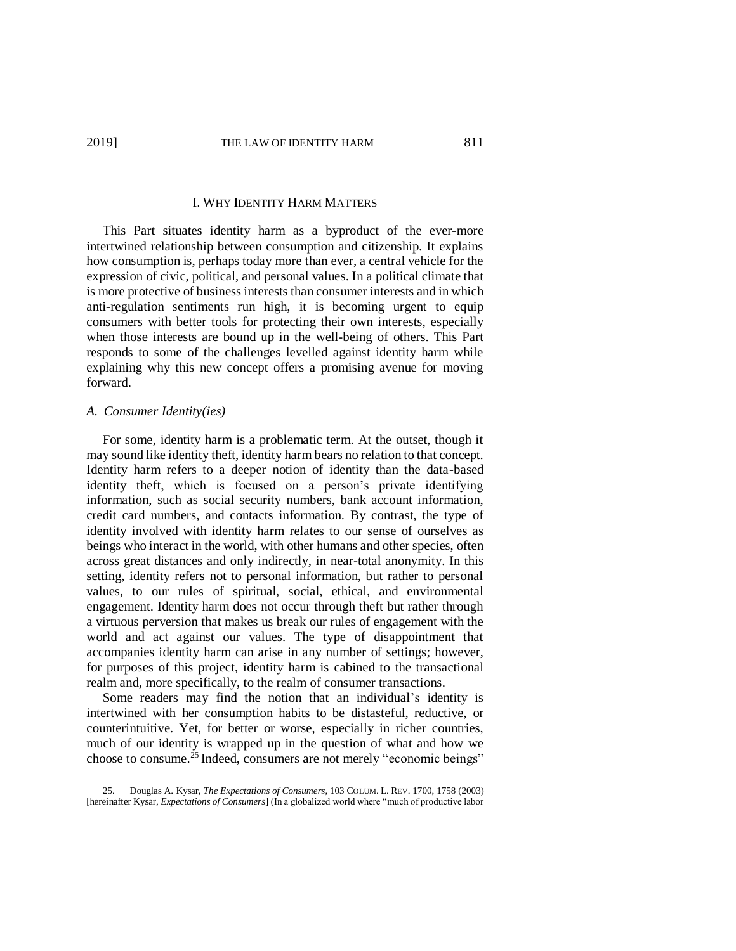#### I. WHY IDENTITY HARM MATTERS

This Part situates identity harm as a byproduct of the ever-more intertwined relationship between consumption and citizenship. It explains how consumption is, perhaps today more than ever, a central vehicle for the expression of civic, political, and personal values. In a political climate that is more protective of business interests than consumer interests and in which anti-regulation sentiments run high, it is becoming urgent to equip consumers with better tools for protecting their own interests, especially when those interests are bound up in the well-being of others. This Part responds to some of the challenges levelled against identity harm while explaining why this new concept offers a promising avenue for moving forward.

### *A. Consumer Identity(ies)*

 $\overline{a}$ 

For some, identity harm is a problematic term. At the outset, though it may sound like identity theft, identity harm bears no relation to that concept. Identity harm refers to a deeper notion of identity than the data-based identity theft, which is focused on a person's private identifying information, such as social security numbers, bank account information, credit card numbers, and contacts information. By contrast, the type of identity involved with identity harm relates to our sense of ourselves as beings who interact in the world, with other humans and other species, often across great distances and only indirectly, in near-total anonymity. In this setting, identity refers not to personal information, but rather to personal values, to our rules of spiritual, social, ethical, and environmental engagement. Identity harm does not occur through theft but rather through a virtuous perversion that makes us break our rules of engagement with the world and act against our values. The type of disappointment that accompanies identity harm can arise in any number of settings; however, for purposes of this project, identity harm is cabined to the transactional realm and, more specifically, to the realm of consumer transactions.

Some readers may find the notion that an individual's identity is intertwined with her consumption habits to be distasteful, reductive, or counterintuitive. Yet, for better or worse, especially in richer countries, much of our identity is wrapped up in the question of what and how we choose to consume. <sup>25</sup> Indeed, consumers are not merely "economic beings"

<sup>25.</sup> Douglas A. Kysar, *The Expectations of Consumers*, 103 COLUM. L. REV. 1700, 1758 (2003) [hereinafter Kysar, *Expectations of Consumers*] (In a globalized world where "much of productive labor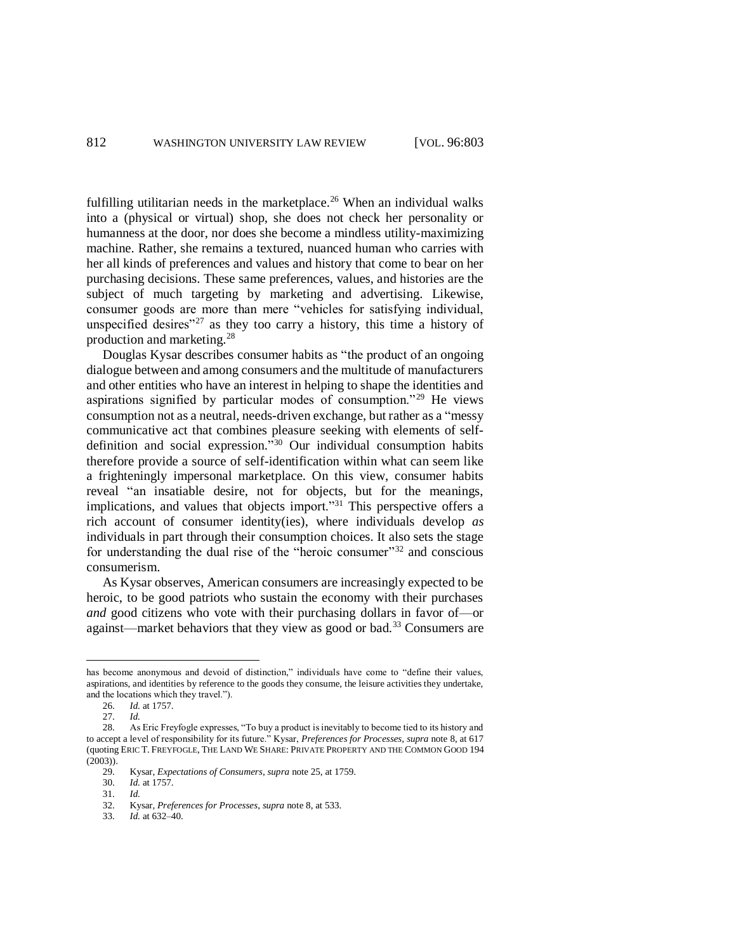fulfilling utilitarian needs in the marketplace.<sup>26</sup> When an individual walks into a (physical or virtual) shop, she does not check her personality or humanness at the door, nor does she become a mindless utility-maximizing machine. Rather, she remains a textured, nuanced human who carries with her all kinds of preferences and values and history that come to bear on her purchasing decisions. These same preferences, values, and histories are the subject of much targeting by marketing and advertising. Likewise, consumer goods are more than mere "vehicles for satisfying individual, unspecified desires"<sup>27</sup> as they too carry a history, this time a history of production and marketing.<sup>28</sup>

Douglas Kysar describes consumer habits as "the product of an ongoing dialogue between and among consumers and the multitude of manufacturers and other entities who have an interest in helping to shape the identities and aspirations signified by particular modes of consumption."<sup>29</sup> He views consumption not as a neutral, needs-driven exchange, but rather as a "messy communicative act that combines pleasure seeking with elements of selfdefinition and social expression." <sup>30</sup> Our individual consumption habits therefore provide a source of self-identification within what can seem like a frighteningly impersonal marketplace. On this view, consumer habits reveal "an insatiable desire, not for objects, but for the meanings, implications, and values that objects import."<sup>31</sup> This perspective offers a rich account of consumer identity(ies), where individuals develop *as* individuals in part through their consumption choices. It also sets the stage for understanding the dual rise of the "heroic consumer"<sup>32</sup> and conscious consumerism.

As Kysar observes, American consumers are increasingly expected to be heroic, to be good patriots who sustain the economy with their purchases *and* good citizens who vote with their purchasing dollars in favor of—or against—market behaviors that they view as good or bad.<sup>33</sup> Consumers are

has become anonymous and devoid of distinction," individuals have come to "define their values, aspirations, and identities by reference to the goods they consume, the leisure activities they undertake, and the locations which they travel.").

<sup>26.</sup> *Id.* at 1757.

<sup>27.</sup> *Id.*

<sup>28.</sup> As Eric Freyfogle expresses, "To buy a product is inevitably to become tied to its history and to accept a level of responsibility for its future." Kysar, *Preferences for Processes*, *supra* note 8, at 617 (quoting ERIC T. FREYFOGLE, THE LAND WE SHARE: PRIVATE PROPERTY AND THE COMMON GOOD 194 (2003)).

<sup>29.</sup> Kysar, *Expectations of Consumers*, *supra* note 25, at 1759.

<sup>30.</sup> *Id.* at 1757.

<sup>31.</sup> *Id.* 

<sup>32.</sup> Kysar, *Preferences for Processes*, *supra* note 8, at 533.

<sup>33.</sup> *Id.* at 632–40.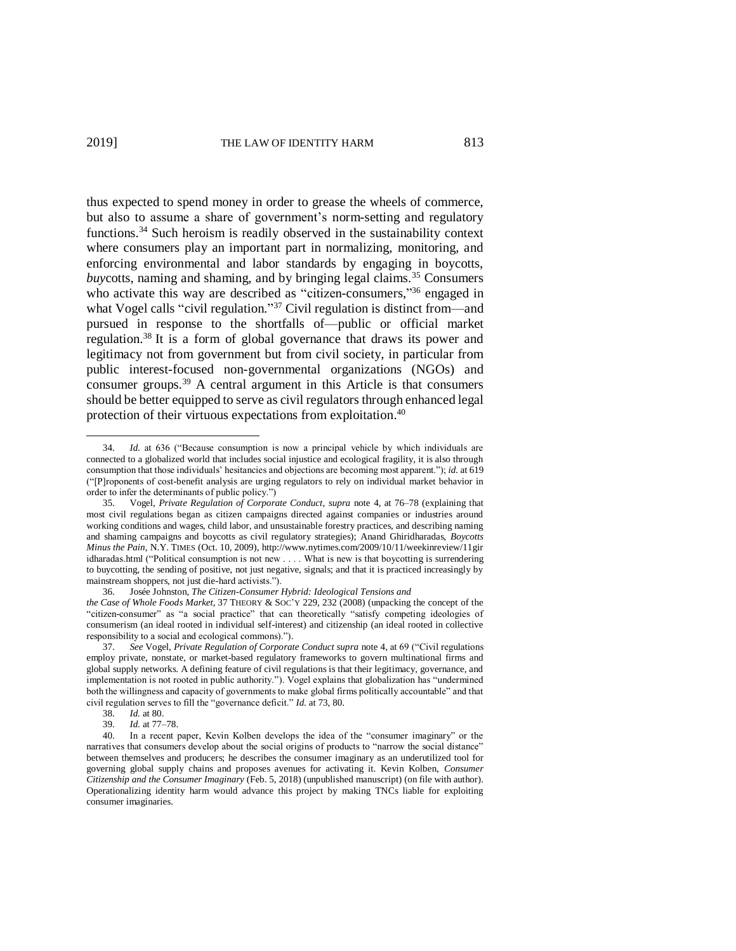$\overline{a}$ 

thus expected to spend money in order to grease the wheels of commerce, but also to assume a share of government's norm-setting and regulatory functions.<sup>34</sup> Such heroism is readily observed in the sustainability context where consumers play an important part in normalizing, monitoring, and enforcing environmental and labor standards by engaging in boycotts, *buycotts*, naming and shaming, and by bringing legal claims.<sup>35</sup> Consumers who activate this way are described as "citizen-consumers,"<sup>36</sup> engaged in what Vogel calls "civil regulation."<sup>37</sup> Civil regulation is distinct from—and pursued in response to the shortfalls of—public or official market regulation. <sup>38</sup> It is a form of global governance that draws its power and legitimacy not from government but from civil society, in particular from public interest-focused non-governmental organizations (NGOs) and consumer groups.<sup>39</sup> A central argument in this Article is that consumers should be better equipped to serve as civil regulators through enhanced legal protection of their virtuous expectations from exploitation.<sup>40</sup>

<sup>34.</sup> *Id.* at 636 ("Because consumption is now a principal vehicle by which individuals are connected to a globalized world that includes social injustice and ecological fragility, it is also through consumption that those individuals' hesitancies and objections are becoming most apparent."); *id.* at 619 ("[P]roponents of cost-benefit analysis are urging regulators to rely on individual market behavior in order to infer the determinants of public policy.")

<sup>35.</sup> Vogel, *Private Regulation of Corporate Conduct*, *supra* note 4, at 76–78 (explaining that most civil regulations began as citizen campaigns directed against companies or industries around working conditions and wages, child labor, and unsustainable forestry practices, and describing naming and shaming campaigns and boycotts as civil regulatory strategies); Anand Ghiridharadas, *Boycotts Minus the Pain*, N.Y. TIMES (Oct. 10, 2009), http://www.nytimes.com/2009/10/11/weekinreview/11gir idharadas.html ("Political consumption is not new . . . . What is new is that boycotting is surrendering to buycotting, the sending of positive, not just negative, signals; and that it is practiced increasingly by mainstream shoppers, not just die-hard activists.").

<sup>36.</sup> Josée Johnston, *The Citizen-Consumer Hybrid: Ideological Tensions and the Case of Whole Foods Market*, 37 THEORY & SOC'Y 229, 232 (2008) (unpacking the concept of the "citizen-consumer" as "a social practice" that can theoretically "satisfy competing ideologies of consumerism (an ideal rooted in individual self-interest) and citizenship (an ideal rooted in collective responsibility to a social and ecological commons).").

<sup>37.</sup> *See* Vogel, *Private Regulation of Corporate Conduct supra* note 4, at 69 ("Civil regulations employ private, nonstate, or market-based regulatory frameworks to govern multinational firms and global supply networks. A defining feature of civil regulations is that their legitimacy, governance, and implementation is not rooted in public authority."). Vogel explains that globalization has "undermined both the willingness and capacity of governments to make global firms politically accountable" and that civil regulation serves to fill the "governance deficit." *Id.* at 73, 80.

<sup>38.</sup> *Id.* at 80.

<sup>39.</sup> *Id.* at 77–78.

<sup>40.</sup> In a recent paper, Kevin Kolben develops the idea of the "consumer imaginary" or the narratives that consumers develop about the social origins of products to "narrow the social distance" between themselves and producers; he describes the consumer imaginary as an underutilized tool for governing global supply chains and proposes avenues for activating it. Kevin Kolben, *Consumer Citizenship and the Consumer Imaginary* (Feb. 5, 2018) (unpublished manuscript) (on file with author). Operationalizing identity harm would advance this project by making TNCs liable for exploiting consumer imaginaries.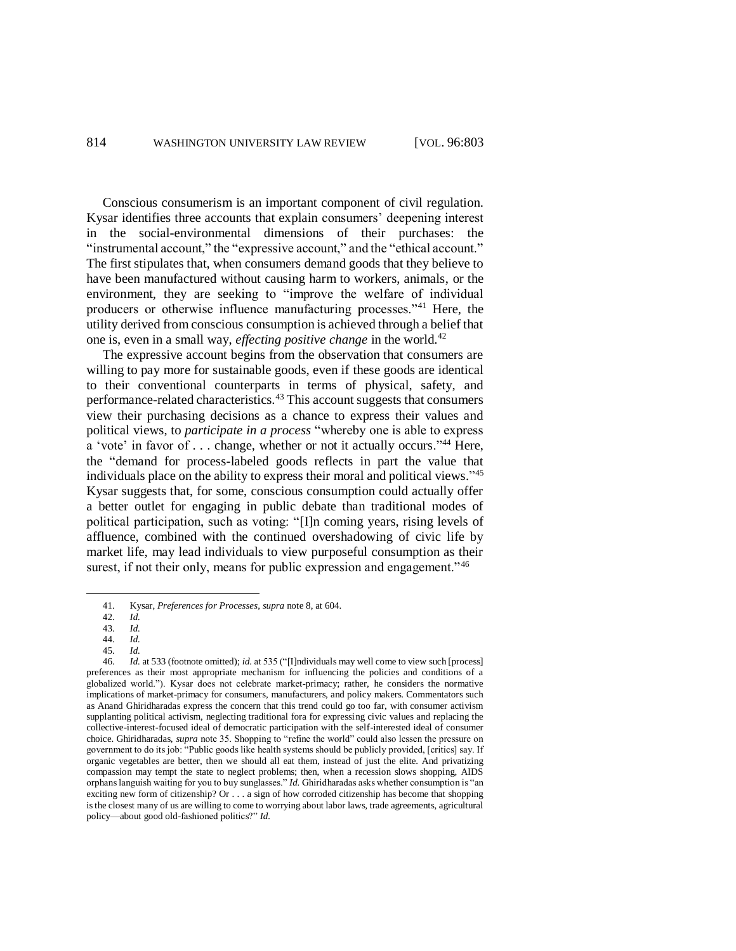Conscious consumerism is an important component of civil regulation. Kysar identifies three accounts that explain consumers' deepening interest in the social-environmental dimensions of their purchases: the "instrumental account," the "expressive account," and the "ethical account." The first stipulates that, when consumers demand goods that they believe to have been manufactured without causing harm to workers, animals, or the environment, they are seeking to "improve the welfare of individual producers or otherwise influence manufacturing processes."<sup>41</sup> Here, the utility derived from conscious consumption is achieved through a belief that one is, even in a small way, *effecting positive change* in the world. 42

The expressive account begins from the observation that consumers are willing to pay more for sustainable goods, even if these goods are identical to their conventional counterparts in terms of physical, safety, and performance-related characteristics.<sup>43</sup> This account suggests that consumers view their purchasing decisions as a chance to express their values and political views, to *participate in a process* "whereby one is able to express a 'vote' in favor of . . . change, whether or not it actually occurs."<sup>44</sup> Here, the "demand for process-labeled goods reflects in part the value that individuals place on the ability to express their moral and political views." 45 Kysar suggests that, for some, conscious consumption could actually offer a better outlet for engaging in public debate than traditional modes of political participation, such as voting: "[I]n coming years, rising levels of affluence, combined with the continued overshadowing of civic life by market life, may lead individuals to view purposeful consumption as their surest, if not their only, means for public expression and engagement.<sup>146</sup>

<sup>41.</sup> Kysar, *Preferences for Processes*, *supra* note 8, at 604.

<sup>42.</sup> *Id.*

<sup>43.</sup> *Id.* 44. *Id.* 

<sup>45.</sup> *Id.*

<sup>46.</sup> *Id.* at 533 (footnote omitted); *id.* at 535 ("[I]ndividuals may well come to view such [process] preferences as their most appropriate mechanism for influencing the policies and conditions of a globalized world."). Kysar does not celebrate market-primacy; rather, he considers the normative implications of market-primacy for consumers, manufacturers, and policy makers. Commentators such as Anand Ghiridharadas express the concern that this trend could go too far, with consumer activism supplanting political activism, neglecting traditional fora for expressing civic values and replacing the collective-interest-focused ideal of democratic participation with the self-interested ideal of consumer choice. Ghiridharadas, *supra* note 35. Shopping to "refine the world" could also lessen the pressure on government to do its job: "Public goods like health systems should be publicly provided, [critics] say. If organic vegetables are better, then we should all eat them, instead of just the elite. And privatizing compassion may tempt the state to neglect problems; then, when a recession slows shopping, AIDS orphans languish waiting for you to buy sunglasses." *Id.* Ghiridharadas asks whether consumption is "an exciting new form of citizenship? Or . . . a sign of how corroded citizenship has become that shopping is the closest many of us are willing to come to worrying about labor laws, trade agreements, agricultural policy—about good old-fashioned politics?" *Id.*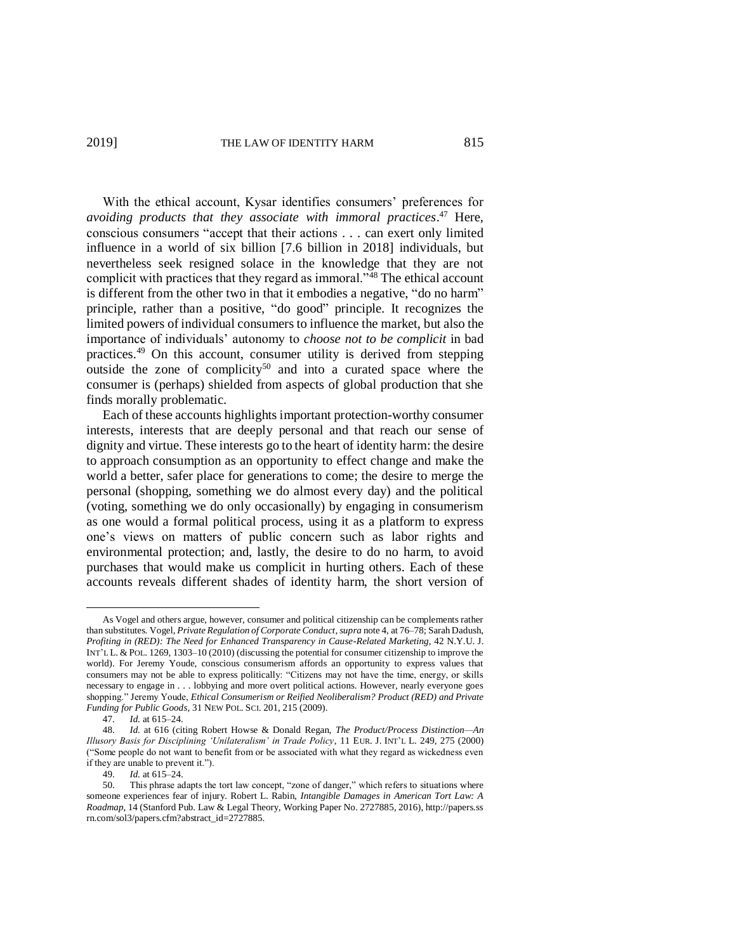With the ethical account, Kysar identifies consumers' preferences for *avoiding products that they associate with immoral practices*. <sup>47</sup> Here, conscious consumers "accept that their actions . . . can exert only limited influence in a world of six billion [7.6 billion in 2018] individuals, but nevertheless seek resigned solace in the knowledge that they are not complicit with practices that they regard as immoral."<sup>48</sup> The ethical account is different from the other two in that it embodies a negative, "do no harm" principle, rather than a positive, "do good" principle. It recognizes the limited powers of individual consumers to influence the market, but also the importance of individuals' autonomy to *choose not to be complicit* in bad practices.<sup>49</sup> On this account, consumer utility is derived from stepping outside the zone of complicity<sup>50</sup> and into a curated space where the consumer is (perhaps) shielded from aspects of global production that she finds morally problematic.

Each of these accounts highlights important protection-worthy consumer interests, interests that are deeply personal and that reach our sense of dignity and virtue. These interests go to the heart of identity harm: the desire to approach consumption as an opportunity to effect change and make the world a better, safer place for generations to come; the desire to merge the personal (shopping, something we do almost every day) and the political (voting, something we do only occasionally) by engaging in consumerism as one would a formal political process, using it as a platform to express one's views on matters of public concern such as labor rights and environmental protection; and, lastly, the desire to do no harm, to avoid purchases that would make us complicit in hurting others. Each of these accounts reveals different shades of identity harm, the short version of

As Vogel and others argue, however, consumer and political citizenship can be complements rather than substitutes. Vogel, *Private Regulation of Corporate Conduct*, *supra* note 4, at 76–78; Sarah Dadush, *Profiting in (RED): The Need for Enhanced Transparency in Cause-Related Marketing*, 42 N.Y.U. J. INT'L L. & POL. 1269, 1303–10 (2010) (discussing the potential for consumer citizenship to improve the world). For Jeremy Youde, conscious consumerism affords an opportunity to express values that consumers may not be able to express politically: "Citizens may not have the time, energy, or skills necessary to engage in . . . lobbying and more overt political actions. However, nearly everyone goes shopping." Jeremy Youde, *Ethical Consumerism or Reified Neoliberalism? Product (RED) and Private Funding for Public Goods*, 31 NEW POL. SCI. 201, 215 (2009).

<sup>47.</sup> *Id.* at 615–24.

<sup>48.</sup> *Id.* at 616 (citing Robert Howse & Donald Regan, *The Product/Process Distinction—An Illusory Basis for Disciplining 'Unilateralism' in Trade Policy*, 11 EUR. J. INT'L L. 249, 275 (2000) ("Some people do not want to benefit from or be associated with what they regard as wickedness even if they are unable to prevent it.").

<sup>49.</sup> *Id.* at 615–24.

<sup>50.</sup> This phrase adapts the tort law concept, "zone of danger," which refers to situations where someone experiences fear of injury. Robert L. Rabin, *Intangible Damages in American Tort Law: A Roadmap*, 14 (Stanford Pub. Law & Legal Theory, Working Paper No. 2727885, 2016), http://papers.ss rn.com/sol3/papers.cfm?abstract\_id=2727885.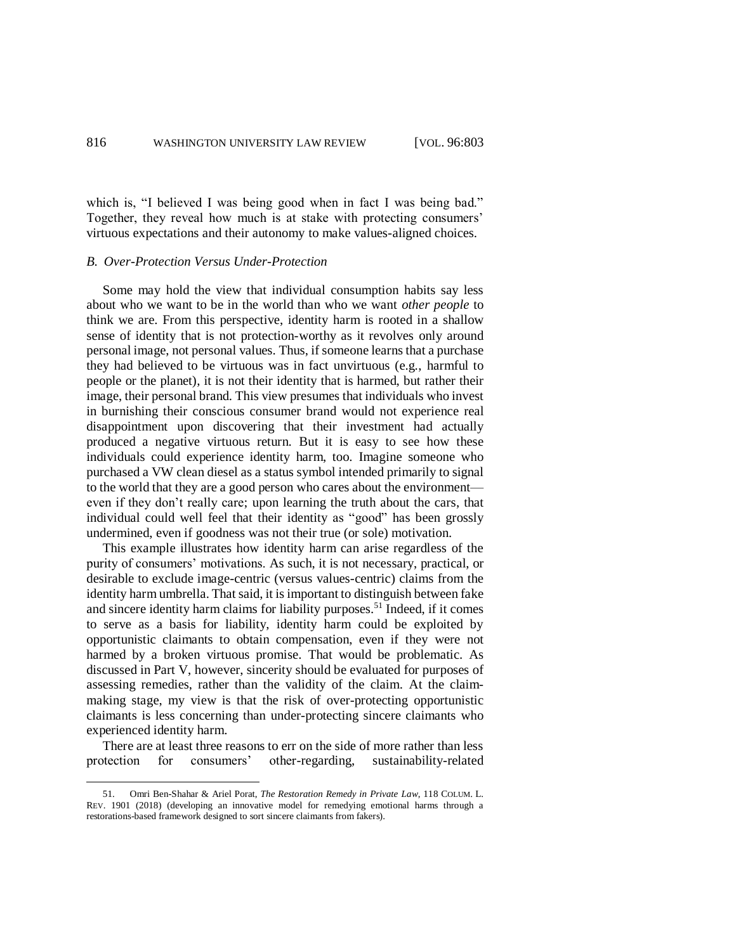which is, "I believed I was being good when in fact I was being bad." Together, they reveal how much is at stake with protecting consumers' virtuous expectations and their autonomy to make values-aligned choices.

### *B. Over-Protection Versus Under-Protection*

Some may hold the view that individual consumption habits say less about who we want to be in the world than who we want *other people* to think we are. From this perspective, identity harm is rooted in a shallow sense of identity that is not protection-worthy as it revolves only around personal image, not personal values. Thus, if someone learns that a purchase they had believed to be virtuous was in fact unvirtuous (e.g., harmful to people or the planet), it is not their identity that is harmed, but rather their image, their personal brand. This view presumes that individuals who invest in burnishing their conscious consumer brand would not experience real disappointment upon discovering that their investment had actually produced a negative virtuous return. But it is easy to see how these individuals could experience identity harm, too. Imagine someone who purchased a VW clean diesel as a status symbol intended primarily to signal to the world that they are a good person who cares about the environment even if they don't really care; upon learning the truth about the cars, that individual could well feel that their identity as "good" has been grossly undermined, even if goodness was not their true (or sole) motivation.

This example illustrates how identity harm can arise regardless of the purity of consumers' motivations. As such, it is not necessary, practical, or desirable to exclude image-centric (versus values-centric) claims from the identity harm umbrella. That said, it is important to distinguish between fake and sincere identity harm claims for liability purposes. <sup>51</sup> Indeed, if it comes to serve as a basis for liability, identity harm could be exploited by opportunistic claimants to obtain compensation, even if they were not harmed by a broken virtuous promise. That would be problematic. As discussed in Part V, however, sincerity should be evaluated for purposes of assessing remedies, rather than the validity of the claim. At the claimmaking stage, my view is that the risk of over-protecting opportunistic claimants is less concerning than under-protecting sincere claimants who experienced identity harm.

There are at least three reasons to err on the side of more rather than less protection for consumers' other-regarding, sustainability-related

<sup>51.</sup> Omri Ben-Shahar & Ariel Porat, *The Restoration Remedy in Private Law*, 118 COLUM. L. REV. 1901 (2018) (developing an innovative model for remedying emotional harms through a restorations-based framework designed to sort sincere claimants from fakers).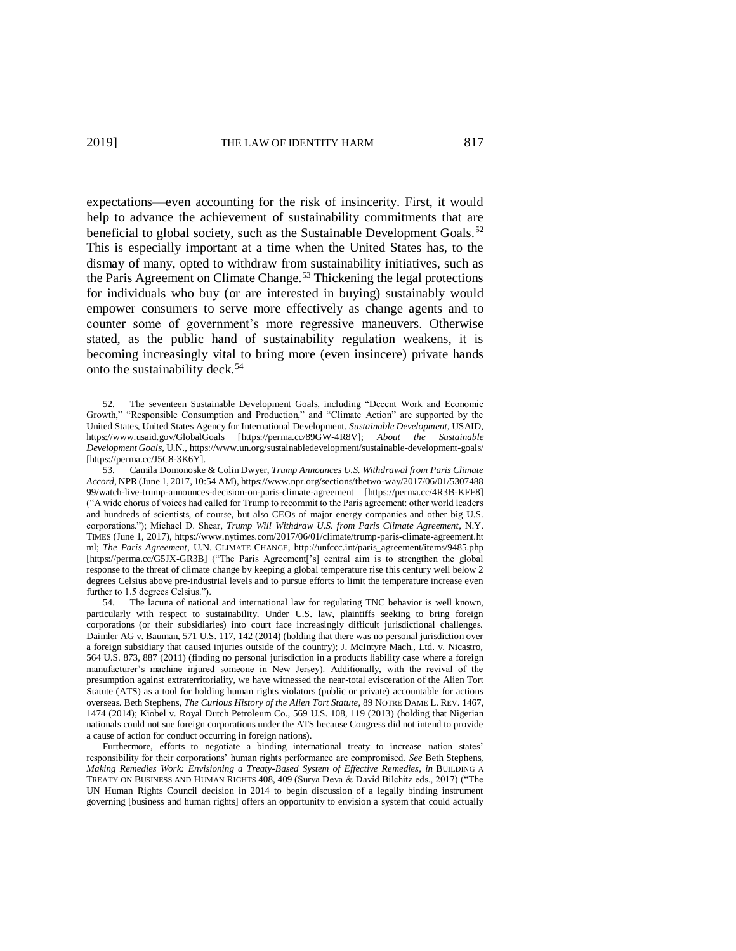expectations—even accounting for the risk of insincerity. First, it would help to advance the achievement of sustainability commitments that are beneficial to global society, such as the Sustainable Development Goals.<sup>52</sup> This is especially important at a time when the United States has, to the dismay of many, opted to withdraw from sustainability initiatives, such as the Paris Agreement on Climate Change.<sup>53</sup> Thickening the legal protections for individuals who buy (or are interested in buying) sustainably would empower consumers to serve more effectively as change agents and to counter some of government's more regressive maneuvers. Otherwise stated, as the public hand of sustainability regulation weakens, it is becoming increasingly vital to bring more (even insincere) private hands onto the sustainability deck.<sup>54</sup>

<sup>52.</sup> The seventeen Sustainable Development Goals, including "Decent Work and Economic Growth," "Responsible Consumption and Production," and "Climate Action" are supported by the United States, United States Agency for International Development. *Sustainable Development*, USAID, https://www.usaid.gov/GlobalGoals [https://perma.cc/89GW-4R8V]; *About the Sustainable Development Goals*, U.N., https://www.un.org/sustainabledevelopment/sustainable-development-goals/ [https://perma.cc/J5C8-3K6Y].

<sup>53.</sup> Camila Domonoske & Colin Dwyer, *Trump Announces U.S. Withdrawal from Paris Climate Accord*, NPR (June 1, 2017, 10:54 AM), https://www.npr.org/sections/thetwo-way/2017/06/01/5307488 99/watch-live-trump-announces-decision-on-paris-climate-agreement [https://perma.cc/4R3B-KFF8] ("A wide chorus of voices had called for Trump to recommit to the Paris agreement: other world leaders and hundreds of scientists, of course, but also CEOs of major energy companies and other big U.S. corporations."); Michael D. Shear, *Trump Will Withdraw U.S. from Paris Climate Agreement*, N.Y. TIMES (June 1, 2017), https://www.nytimes.com/2017/06/01/climate/trump-paris-climate-agreement.ht ml; *The Paris Agreement*, U.N. CLIMATE CHANGE, http://unfccc.int/paris\_agreement/items/9485.php [https://perma.cc/G5JX-GR3B] ("The Paris Agreement['s] central aim is to strengthen the global response to the threat of climate change by keeping a global temperature rise this century well below 2 degrees Celsius above pre-industrial levels and to pursue efforts to limit the temperature increase even further to 1.5 degrees Celsius.").

<sup>54.</sup> The lacuna of national and international law for regulating TNC behavior is well known, particularly with respect to sustainability. Under U.S. law, plaintiffs seeking to bring foreign corporations (or their subsidiaries) into court face increasingly difficult jurisdictional challenges. Daimler AG v. Bauman, 571 U.S. 117, 142 (2014) (holding that there was no personal jurisdiction over a foreign subsidiary that caused injuries outside of the country); J. McIntyre Mach., Ltd. v. Nicastro, 564 U.S. 873, 887 (2011) (finding no personal jurisdiction in a products liability case where a foreign manufacturer's machine injured someone in New Jersey). Additionally, with the revival of the presumption against extraterritoriality, we have witnessed the near-total evisceration of the Alien Tort Statute (ATS) as a tool for holding human rights violators (public or private) accountable for actions overseas. Beth Stephens, *The Curious History of the Alien Tort Statute*, 89 NOTRE DAME L. REV. 1467, 1474 (2014); Kiobel v. Royal Dutch Petroleum Co., 569 U.S. 108, 119 (2013) (holding that Nigerian nationals could not sue foreign corporations under the ATS because Congress did not intend to provide a cause of action for conduct occurring in foreign nations).

Furthermore, efforts to negotiate a binding international treaty to increase nation states' responsibility for their corporations' human rights performance are compromised. *See* Beth Stephens, *Making Remedies Work: Envisioning a Treaty-Based System of Effective Remedies*, *in* BUILDING A TREATY ON BUSINESS AND HUMAN RIGHTS 408, 409 (Surya Deva & David Bilchitz eds., 2017) ("The UN Human Rights Council decision in 2014 to begin discussion of a legally binding instrument governing [business and human rights] offers an opportunity to envision a system that could actually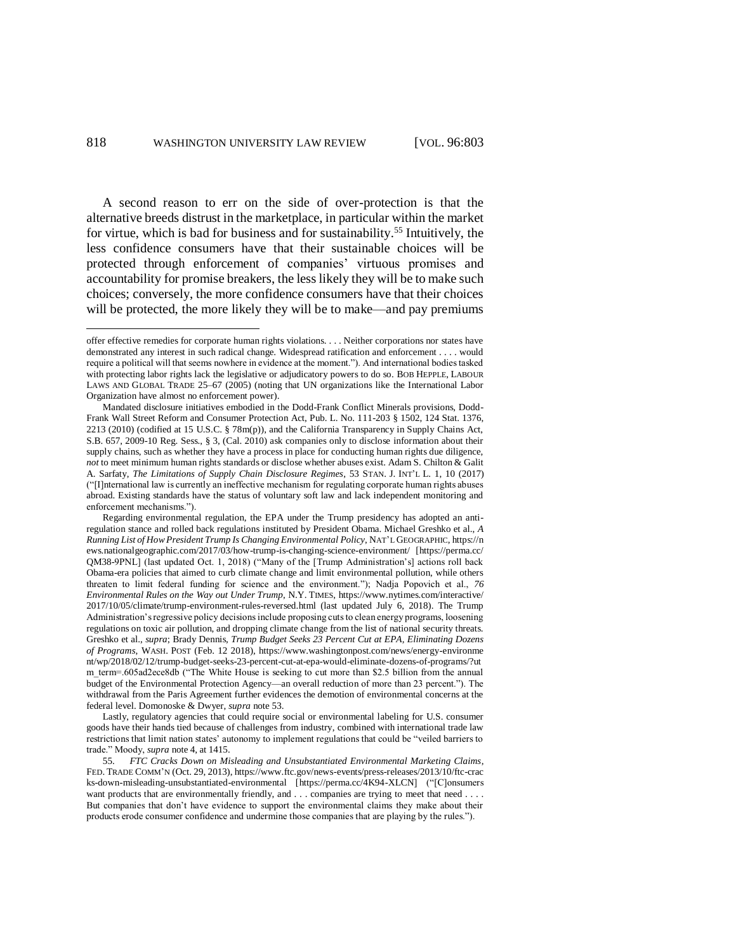$\overline{a}$ 

A second reason to err on the side of over-protection is that the alternative breeds distrust in the marketplace, in particular within the market for virtue, which is bad for business and for sustainability.<sup>55</sup> Intuitively, the less confidence consumers have that their sustainable choices will be protected through enforcement of companies' virtuous promises and accountability for promise breakers, the less likely they will be to make such choices; conversely, the more confidence consumers have that their choices will be protected, the more likely they will be to make—and pay premiums

offer effective remedies for corporate human rights violations. . . . Neither corporations nor states have demonstrated any interest in such radical change. Widespread ratification and enforcement . . . . would require a political will that seems nowhere in evidence at the moment."). And international bodies tasked with protecting labor rights lack the legislative or adjudicatory powers to do so. BOB HEPPLE, LABOUR LAWS AND GLOBAL TRADE 25–67 (2005) (noting that UN organizations like the International Labor Organization have almost no enforcement power).

Mandated disclosure initiatives embodied in the Dodd-Frank Conflict Minerals provisions, Dodd-Frank Wall Street Reform and Consumer Protection Act, Pub. L. No. 111-203 § 1502, 124 Stat. 1376, 2213 (2010) (codified at 15 U.S.C. § 78m(p)), and the California Transparency in Supply Chains Act, S.B. 657, 2009-10 Reg. Sess., § 3, (Cal. 2010) ask companies only to disclose information about their supply chains, such as whether they have a process in place for conducting human rights due diligence, *not* to meet minimum human rights standards or disclose whether abuses exist. Adam S. Chilton & Galit A. Sarfaty, *The Limitations of Supply Chain Disclosure Regimes*, 53 STAN. J. INT'L L. 1, 10 (2017) ("[I]nternational law is currently an ineffective mechanism for regulating corporate human rights abuses abroad. Existing standards have the status of voluntary soft law and lack independent monitoring and enforcement mechanisms.").

Regarding environmental regulation, the EPA under the Trump presidency has adopted an antiregulation stance and rolled back regulations instituted by President Obama. Michael Greshko et al., *A Running List of How President Trump Is Changing Environmental Policy*, NAT'L GEOGRAPHIC, https://n ews.nationalgeographic.com/2017/03/how-trump-is-changing-science-environment/ [https://perma.cc/ QM38-9PNL] (last updated Oct. 1, 2018) ("Many of the [Trump Administration's] actions roll back Obama-era policies that aimed to curb climate change and limit environmental pollution, while others threaten to limit federal funding for science and the environment."); Nadja Popovich et al., *76 Environmental Rules on the Way out Under Trump*, N.Y. TIMES, https://www.nytimes.com/interactive/ 2017/10/05/climate/trump-environment-rules-reversed.html (last updated July 6, 2018). The Trump Administration's regressive policy decisions include proposing cuts to clean energy programs, loosening regulations on toxic air pollution, and dropping climate change from the list of national security threats. Greshko et al., *supra*; Brady Dennis, *Trump Budget Seeks 23 Percent Cut at EPA, Eliminating Dozens of Programs*, WASH. POST (Feb. 12 2018), https://www.washingtonpost.com/news/energy-environme nt/wp/2018/02/12/trump-budget-seeks-23-percent-cut-at-epa-would-eliminate-dozens-of-programs/?ut m\_term=.605ad2ece8db ("The White House is seeking to cut more than \$2.5 billion from the annual budget of the Environmental Protection Agency—an overall reduction of more than 23 percent."). The withdrawal from the Paris Agreement further evidences the demotion of environmental concerns at the federal level. Domonoske & Dwyer, *supra* note 53.

Lastly, regulatory agencies that could require social or environmental labeling for U.S. consumer goods have their hands tied because of challenges from industry, combined with international trade law restrictions that limit nation states' autonomy to implement regulations that could be "veiled barriers to trade." Moody, *supra* note 4, at 1415.

<sup>55.</sup> *FTC Cracks Down on Misleading and Unsubstantiated Environmental Marketing Claims*, FED. TRADE COMM'N (Oct. 29, 2013), https://www.ftc.gov/news-events/press-releases/2013/10/ftc-crac ks-down-misleading-unsubstantiated-environmental [https://perma.cc/4K94-XLCN] ("[C]onsumers want products that are environmentally friendly, and . . . companies are trying to meet that need . . . . But companies that don't have evidence to support the environmental claims they make about their products erode consumer confidence and undermine those companies that are playing by the rules.").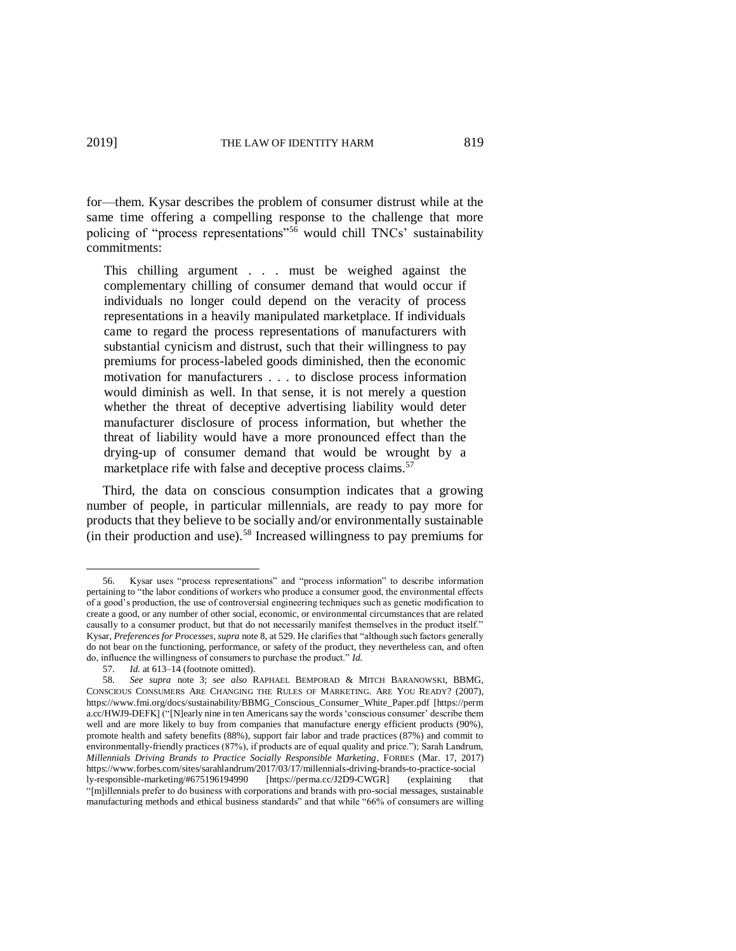for—them. Kysar describes the problem of consumer distrust while at the same time offering a compelling response to the challenge that more policing of "process representations"<sup>56</sup> would chill  $TNCs$ <sup>'</sup> sustainability commitments:

This chilling argument . . . must be weighed against the complementary chilling of consumer demand that would occur if individuals no longer could depend on the veracity of process representations in a heavily manipulated marketplace. If individuals came to regard the process representations of manufacturers with substantial cynicism and distrust, such that their willingness to pay premiums for process-labeled goods diminished, then the economic motivation for manufacturers . . . to disclose process information would diminish as well. In that sense, it is not merely a question whether the threat of deceptive advertising liability would deter manufacturer disclosure of process information, but whether the threat of liability would have a more pronounced effect than the drying-up of consumer demand that would be wrought by a marketplace rife with false and deceptive process claims.<sup>57</sup>

Third, the data on conscious consumption indicates that a growing number of people, in particular millennials, are ready to pay more for products that they believe to be socially and/or environmentally sustainable (in their production and use).<sup>58</sup> Increased willingness to pay premiums for

<sup>56.</sup> Kysar uses "process representations" and "process information" to describe information pertaining to "the labor conditions of workers who produce a consumer good, the environmental effects of a good's production, the use of controversial engineering techniques such as genetic modification to create a good, or any number of other social, economic, or environmental circumstances that are related causally to a consumer product, but that do not necessarily manifest themselves in the product itself." Kysar, *Preferences for Processes*, *supra* note 8, at 529. He clarifies that "although such factors generally do not bear on the functioning, performance, or safety of the product, they nevertheless can, and often do, influence the willingness of consumers to purchase the product." *Id.* 57. *Id.* at 613–14 (footnote omitted).

Id. at 613–14 (footnote omitted).

<sup>58.</sup> *See supra* note 3; *see also* RAPHAEL BEMPORAD & MITCH BARANOWSKI, BBMG, CONSCIOUS CONSUMERS ARE CHANGING THE RULES OF MARKETING. ARE YOU READY? (2007), https://www.fmi.org/docs/sustainability/BBMG\_Conscious\_Consumer\_White\_Paper.pdf [https://perm a.cc/HWJ9-DEFK] ("[N]early nine in ten Americans say the words 'conscious consumer' describe them well and are more likely to buy from companies that manufacture energy efficient products (90%), promote health and safety benefits (88%), support fair labor and trade practices (87%) and commit to environmentally-friendly practices (87%), if products are of equal quality and price."); Sarah Landrum, *Millennials Driving Brands to Practice Socially Responsible Marketing*, FORBES (Mar. 17, 2017) https://www.forbes.com/sites/sarahlandrum/2017/03/17/millennials-driving-brands-to-practice-social<br>ly-responsible-marketing/#675196194990 [https://perma.cc/J2D9-CWGR] (explaining the ly-responsible-marketing/#675196194990 [https://perma.cc/J2D9-CWGR] (explaining "[m]illennials prefer to do business with corporations and brands with pro-social messages, sustainable manufacturing methods and ethical business standards" and that while "66% of consumers are willing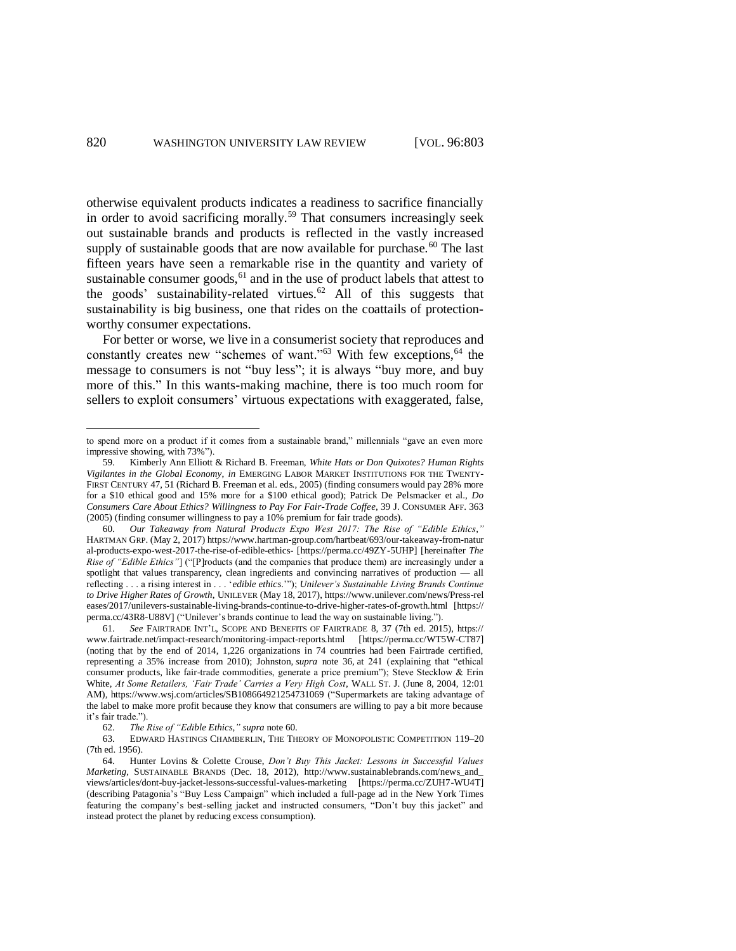otherwise equivalent products indicates a readiness to sacrifice financially in order to avoid sacrificing morally.<sup>59</sup> That consumers increasingly seek out sustainable brands and products is reflected in the vastly increased supply of sustainable goods that are now available for purchase.<sup>60</sup> The last fifteen years have seen a remarkable rise in the quantity and variety of sustainable consumer goods, $61$  and in the use of product labels that attest to the goods' sustainability-related virtues.<sup>62</sup> All of this suggests that sustainability is big business, one that rides on the coattails of protectionworthy consumer expectations.

For better or worse, we live in a consumerist society that reproduces and constantly creates new "schemes of want."<sup>63</sup> With few exceptions, <sup>64</sup> the message to consumers is not "buy less"; it is always "buy more, and buy more of this." In this wants-making machine, there is too much room for sellers to exploit consumers' virtuous expectations with exaggerated, false,

to spend more on a product if it comes from a sustainable brand," millennials "gave an even more impressive showing, with 73%").

<sup>59.</sup> Kimberly Ann Elliott & Richard B. Freeman, *White Hats or Don Quixotes? Human Rights Vigilantes in the Global Economy*, *in* EMERGING LABOR MARKET INSTITUTIONS FOR THE TWENTY-FIRST CENTURY 47, 51 (Richard B. Freeman et al. eds., 2005) (finding consumers would pay 28% more for a \$10 ethical good and 15% more for a \$100 ethical good); Patrick De Pelsmacker et al., *Do Consumers Care About Ethics? Willingness to Pay For Fair-Trade Coffee*, 39 J. CONSUMER AFF. 363 (2005) (finding consumer willingness to pay a 10% premium for fair trade goods).

<sup>60.</sup> *Our Takeaway from Natural Products Expo West 2017: The Rise of "Edible Ethics*,*"* HARTMAN GRP. (May 2, 2017) https://www.hartman-group.com/hartbeat/693/our-takeaway-from-natur al-products-expo-west-2017-the-rise-of-edible-ethics- [https://perma.cc/49ZY-5UHP] [hereinafter *The Rise of "Edible Ethics"*] ("[P]roducts (and the companies that produce them) are increasingly under a spotlight that values transparency, clean ingredients and convincing narratives of production — all reflecting . . . a rising interest in . . . '*edible ethics*.'"); *Unilever's Sustainable Living Brands Continue to Drive Higher Rates of Growth*, UNILEVER (May 18, 2017), https://www.unilever.com/news/Press-rel eases/2017/unilevers-sustainable-living-brands-continue-to-drive-higher-rates-of-growth.html [https:// perma.cc/43R8-U88V] ("Unilever's brands continue to lead the way on sustainable living.").

<sup>61.</sup> *See* FAIRTRADE INT'L, SCOPE AND BENEFITS OF FAIRTRADE 8, 37 (7th ed. 2015), https:// www.fairtrade.net/impact-research/monitoring-impact-reports.html [https://perma.cc/WT5W-CT87] (noting that by the end of 2014, 1,226 organizations in 74 countries had been Fairtrade certified, representing a 35% increase from 2010); Johnston, *supra* note 36, at 241 (explaining that "ethical consumer products, like fair-trade commodities, generate a price premium"); Steve Stecklow & Erin White, *At Some Retailers, 'Fair Trade' Carries a Very High Cost*, WALL ST. J. (June 8, 2004, 12:01 AM), https://www.wsj.com/articles/SB108664921254731069 ("Supermarkets are taking advantage of the label to make more profit because they know that consumers are willing to pay a bit more because it's fair trade.").

<sup>62.</sup> *The Rise of "Edible Ethics*,*" supra* note 60.

<sup>63.</sup> EDWARD HASTINGS CHAMBERLIN, THE THEORY OF MONOPOLISTIC COMPETITION 119–20 (7th ed. 1956).

<sup>64.</sup> Hunter Lovins & Colette Crouse, *Don't Buy This Jacket: Lessons in Successful Values Marketing,* SUSTAINABLE BRANDS (Dec. 18, 2012), http://www.sustainablebrands.com/news\_and\_ views/articles/dont-buy-jacket-lessons-successful-values-marketing [https://perma.cc/ZUH7-WU4T] (describing Patagonia's "Buy Less Campaign" which included a full-page ad in the New York Times featuring the company's best-selling jacket and instructed consumers, "Don't buy this jacket" and instead protect the planet by reducing excess consumption).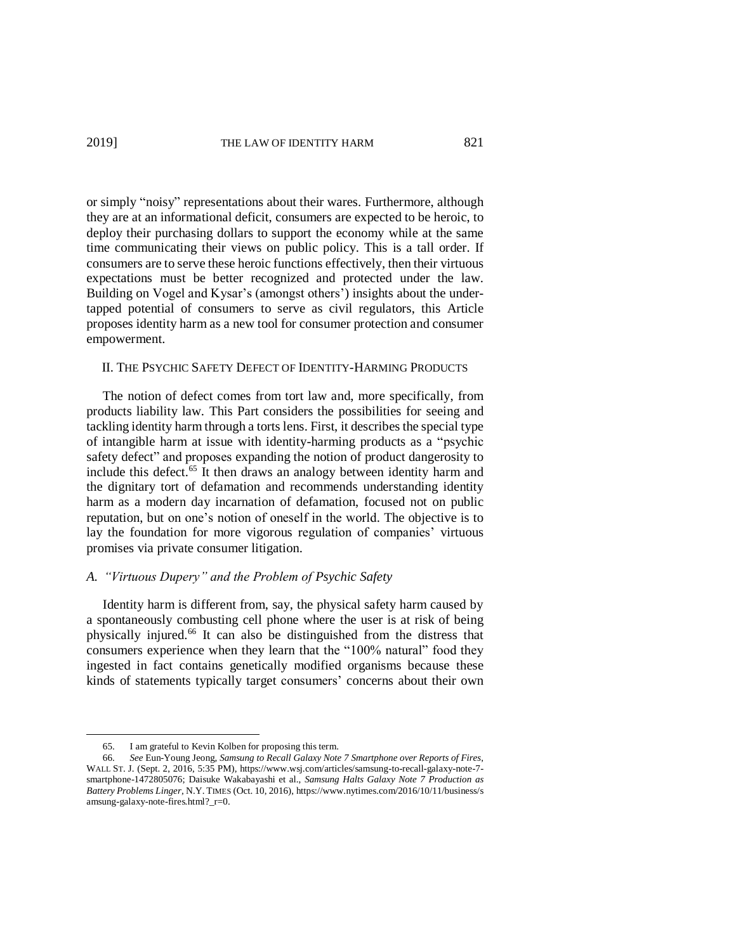or simply "noisy" representations about their wares. Furthermore, although they are at an informational deficit, consumers are expected to be heroic, to deploy their purchasing dollars to support the economy while at the same time communicating their views on public policy. This is a tall order. If consumers are to serve these heroic functions effectively, then their virtuous expectations must be better recognized and protected under the law. Building on Vogel and Kysar's (amongst others') insights about the undertapped potential of consumers to serve as civil regulators, this Article proposes identity harm as a new tool for consumer protection and consumer empowerment.

#### II. THE PSYCHIC SAFETY DEFECT OF IDENTITY-HARMING PRODUCTS

The notion of defect comes from tort law and, more specifically, from products liability law. This Part considers the possibilities for seeing and tackling identity harm through a torts lens. First, it describes the special type of intangible harm at issue with identity-harming products as a "psychic safety defect" and proposes expanding the notion of product dangerosity to include this defect. <sup>65</sup> It then draws an analogy between identity harm and the dignitary tort of defamation and recommends understanding identity harm as a modern day incarnation of defamation, focused not on public reputation, but on one's notion of oneself in the world. The objective is to lay the foundation for more vigorous regulation of companies' virtuous promises via private consumer litigation.

# *A. "Virtuous Dupery" and the Problem of Psychic Safety*

Identity harm is different from, say, the physical safety harm caused by a spontaneously combusting cell phone where the user is at risk of being physically injured. <sup>66</sup> It can also be distinguished from the distress that consumers experience when they learn that the "100% natural" food they ingested in fact contains genetically modified organisms because these kinds of statements typically target consumers' concerns about their own

<sup>65.</sup> I am grateful to Kevin Kolben for proposing this term.

<sup>66.</sup> *See* Eun-Young Jeong, *Samsung to Recall Galaxy Note 7 Smartphone over Reports of Fires*, WALL ST. J. (Sept. 2, 2016, 5:35 PM), https://www.wsj.com/articles/samsung-to-recall-galaxy-note-7 smartphone-1472805076; Daisuke Wakabayashi et al., *Samsung Halts Galaxy Note 7 Production as Battery Problems Linger*, N.Y. TIMES (Oct. 10, 2016), https://www.nytimes.com/2016/10/11/business/s amsung-galaxy-note-fires.html?\_r=0.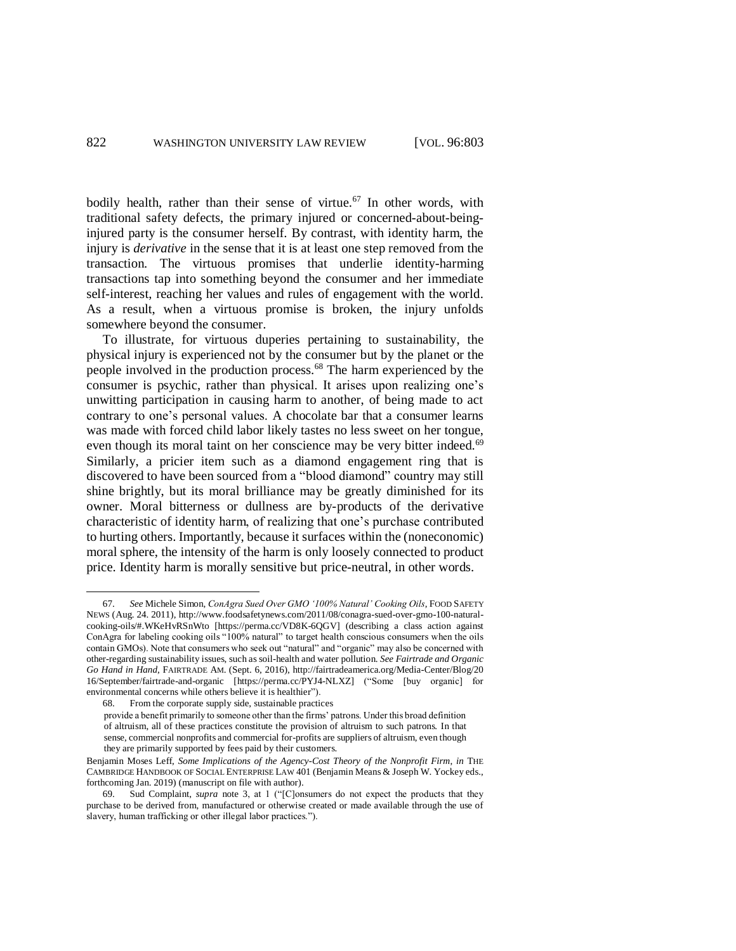bodily health, rather than their sense of virtue.<sup>67</sup> In other words, with traditional safety defects, the primary injured or concerned-about-beinginjured party is the consumer herself. By contrast, with identity harm, the injury is *derivative* in the sense that it is at least one step removed from the transaction. The virtuous promises that underlie identity-harming transactions tap into something beyond the consumer and her immediate self-interest, reaching her values and rules of engagement with the world. As a result, when a virtuous promise is broken, the injury unfolds somewhere beyond the consumer.

To illustrate, for virtuous duperies pertaining to sustainability, the physical injury is experienced not by the consumer but by the planet or the people involved in the production process. <sup>68</sup> The harm experienced by the consumer is psychic, rather than physical. It arises upon realizing one's unwitting participation in causing harm to another, of being made to act contrary to one's personal values. A chocolate bar that a consumer learns was made with forced child labor likely tastes no less sweet on her tongue, even though its moral taint on her conscience may be very bitter indeed.<sup>69</sup> Similarly, a pricier item such as a diamond engagement ring that is discovered to have been sourced from a "blood diamond" country may still shine brightly, but its moral brilliance may be greatly diminished for its owner. Moral bitterness or dullness are by-products of the derivative characteristic of identity harm, of realizing that one's purchase contributed to hurting others. Importantly, because it surfaces within the (noneconomic) moral sphere, the intensity of the harm is only loosely connected to product price. Identity harm is morally sensitive but price-neutral, in other words.

<sup>67.</sup> *See* Michele Simon, *ConAgra Sued Over GMO '100% Natural' Cooking Oils*, FOOD SAFETY NEWS (Aug. 24. 2011), http://www.foodsafetynews.com/2011/08/conagra-sued-over-gmo-100-naturalcooking-oils/#.WKeHvRSnWto [https://perma.cc/VD8K-6QGV] (describing a class action against ConAgra for labeling cooking oils "100% natural" to target health conscious consumers when the oils contain GMOs). Note that consumers who seek out "natural" and "organic" may also be concerned with other-regarding sustainability issues, such as soil-health and water pollution. *See Fairtrade and Organic Go Hand in Hand*, FAIRTRADE AM. (Sept. 6, 2016), http://fairtradeamerica.org/Media-Center/Blog/20 16/September/fairtrade-and-organic [https://perma.cc/PYJ4-NLXZ] ("Some [buy organic] for environmental concerns while others believe it is healthier").

<sup>68.</sup> From the corporate supply side, sustainable practices

provide a benefit primarily to someone other than the firms' patrons. Under this broad definition of altruism, all of these practices constitute the provision of altruism to such patrons. In that sense, commercial nonprofits and commercial for-profits are suppliers of altruism, even though they are primarily supported by fees paid by their customers.

Benjamin Moses Leff, *Some Implications of the Agency-Cost Theory of the Nonprofit Firm*, *in* THE CAMBRIDGE HANDBOOK OF SOCIAL ENTERPRISE LAW 401 (Benjamin Means & Joseph W. Yockey eds., forthcoming Jan. 2019) (manuscript on file with author).<br>69. Sud Complaint, *supra* note 3, at 1 ("[Clons]

Sud Complaint, *supra* note 3, at 1 ("[C]onsumers do not expect the products that they purchase to be derived from, manufactured or otherwise created or made available through the use of slavery, human trafficking or other illegal labor practices.").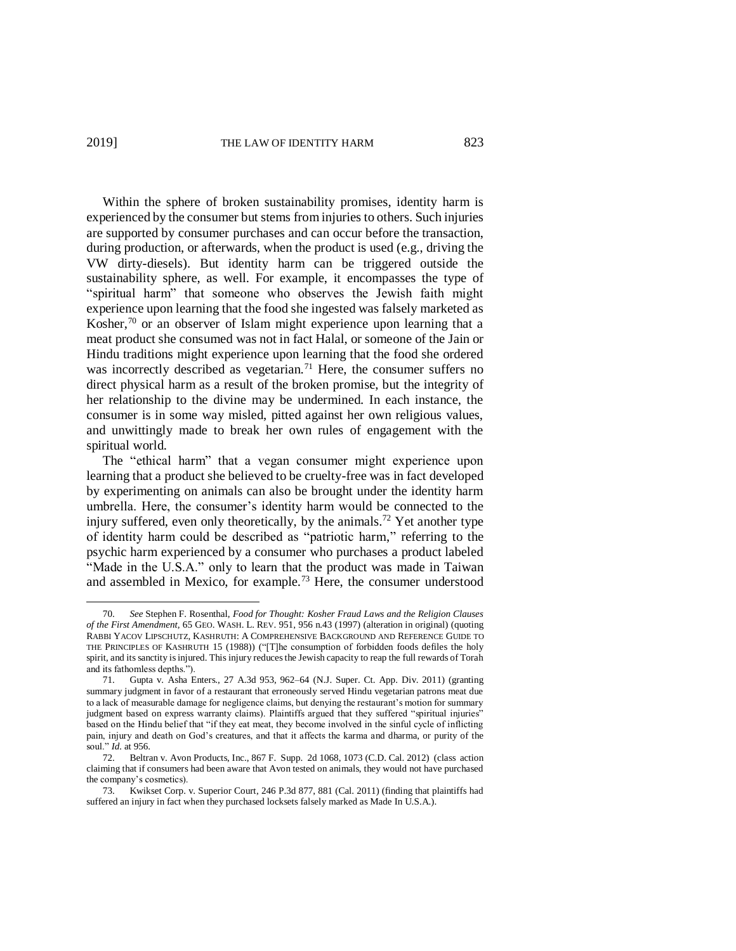Within the sphere of broken sustainability promises, identity harm is experienced by the consumer but stems from injuries to others. Such injuries are supported by consumer purchases and can occur before the transaction, during production, or afterwards, when the product is used (e.g., driving the VW dirty-diesels). But identity harm can be triggered outside the sustainability sphere, as well. For example, it encompasses the type of "spiritual harm" that someone who observes the Jewish faith might experience upon learning that the food she ingested was falsely marketed as Kosher,<sup>70</sup> or an observer of Islam might experience upon learning that a meat product she consumed was not in fact Halal, or someone of the Jain or Hindu traditions might experience upon learning that the food she ordered was incorrectly described as vegetarian.<sup>71</sup> Here, the consumer suffers no direct physical harm as a result of the broken promise, but the integrity of her relationship to the divine may be undermined. In each instance, the consumer is in some way misled, pitted against her own religious values, and unwittingly made to break her own rules of engagement with the spiritual world.

The "ethical harm" that a vegan consumer might experience upon learning that a product she believed to be cruelty-free was in fact developed by experimenting on animals can also be brought under the identity harm umbrella. Here, the consumer's identity harm would be connected to the injury suffered, even only theoretically, by the animals.<sup>72</sup> Yet another type of identity harm could be described as "patriotic harm," referring to the psychic harm experienced by a consumer who purchases a product labeled "Made in the U.S.A." only to learn that the product was made in Taiwan and assembled in Mexico, for example.<sup>73</sup> Here, the consumer understood

<sup>70.</sup> *See* Stephen F. Rosenthal, *Food for Thought: Kosher Fraud Laws and the Religion Clauses of the First Amendment,* 65 GEO. WASH. L. REV. 951, 956 n.43 (1997) (alteration in original) (quoting RABBI YACOV LIPSCHUTZ, KASHRUTH: A COMPREHENSIVE BACKGROUND AND REFERENCE GUIDE TO THE PRINCIPLES OF KASHRUTH 15 (1988)) ("[T]he consumption of forbidden foods defiles the holy spirit, and its sanctity is injured. This injury reduces the Jewish capacity to reap the full rewards of Torah and its fathomless depths.").

<sup>71.</sup> Gupta v. Asha Enters., 27 A.3d 953, 962–64 (N.J. Super. Ct. App. Div. 2011) (granting summary judgment in favor of a restaurant that erroneously served Hindu vegetarian patrons meat due to a lack of measurable damage for negligence claims, but denying the restaurant's motion for summary judgment based on express warranty claims). Plaintiffs argued that they suffered "spiritual injuries" based on the Hindu belief that "if they eat meat, they become involved in the sinful cycle of inflicting pain, injury and death on God's creatures, and that it affects the karma and dharma, or purity of the soul." *Id.* at 956.

<sup>72.</sup> Beltran v. Avon Products, Inc., 867 F. Supp. 2d 1068, 1073 (C.D. Cal. 2012) (class action claiming that if consumers had been aware that Avon tested on animals, they would not have purchased the company's cosmetics).

<sup>73.</sup> Kwikset Corp. v. Superior Court, 246 P.3d 877, 881 (Cal. 2011) (finding that plaintiffs had suffered an injury in fact when they purchased locksets falsely marked as Made In U.S.A.).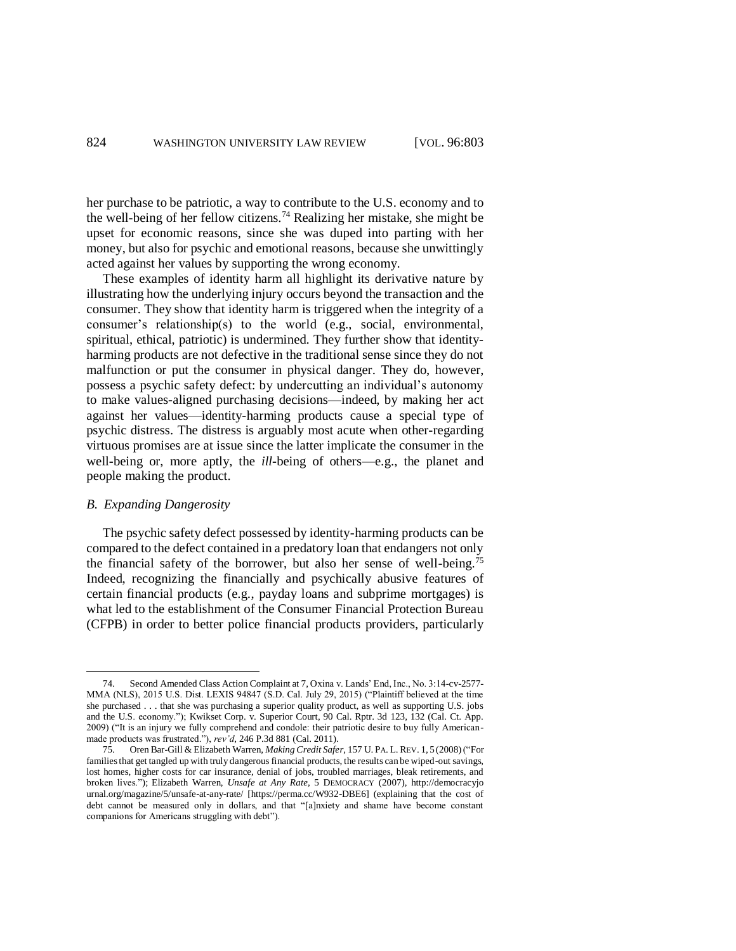her purchase to be patriotic, a way to contribute to the U.S. economy and to the well-being of her fellow citizens.<sup>74</sup> Realizing her mistake, she might be upset for economic reasons, since she was duped into parting with her money, but also for psychic and emotional reasons, because she unwittingly acted against her values by supporting the wrong economy.

These examples of identity harm all highlight its derivative nature by illustrating how the underlying injury occurs beyond the transaction and the consumer. They show that identity harm is triggered when the integrity of a consumer's relationship(s) to the world (e.g., social, environmental, spiritual, ethical, patriotic) is undermined. They further show that identityharming products are not defective in the traditional sense since they do not malfunction or put the consumer in physical danger. They do, however, possess a psychic safety defect: by undercutting an individual's autonomy to make values-aligned purchasing decisions—indeed, by making her act against her values—identity-harming products cause a special type of psychic distress. The distress is arguably most acute when other-regarding virtuous promises are at issue since the latter implicate the consumer in the well-being or, more aptly, the *ill*-being of others—e.g., the planet and people making the product.

### *B. Expanding Dangerosity*

 $\overline{a}$ 

The psychic safety defect possessed by identity-harming products can be compared to the defect contained in a predatory loan that endangers not only the financial safety of the borrower, but also her sense of well-being.<sup>75</sup> Indeed, recognizing the financially and psychically abusive features of certain financial products (e.g., payday loans and subprime mortgages) is what led to the establishment of the Consumer Financial Protection Bureau (CFPB) in order to better police financial products providers, particularly

<sup>74.</sup> Second Amended Class Action Complaint at 7, Oxina v. Lands' End, Inc., No. 3:14-cv-2577- MMA (NLS), 2015 U.S. Dist. LEXIS 94847 (S.D. Cal. July 29, 2015) ("Plaintiff believed at the time she purchased . . . that she was purchasing a superior quality product, as well as supporting U.S. jobs and the U.S. economy."); Kwikset Corp. v. Superior Court, 90 Cal. Rptr. 3d 123, 132 (Cal. Ct. App. 2009) ("It is an injury we fully comprehend and condole: their patriotic desire to buy fully Americanmade products was frustrated."), *rev'd*, 246 P.3d 881 (Cal. 2011).

<sup>75.</sup> Oren Bar-Gill & Elizabeth Warren, *Making Credit Safer*, 157 U. PA. L. REV. 1, 5(2008) ("For families that get tangled up with truly dangerous financial products, the results can be wiped-out savings, lost homes, higher costs for car insurance, denial of jobs, troubled marriages, bleak retirements, and broken lives."); Elizabeth Warren, *Unsafe at Any Rate*, 5 DEMOCRACY (2007), http://democracyjo urnal.org/magazine/5/unsafe-at-any-rate/ [https://perma.cc/W932-DBE6] (explaining that the cost of debt cannot be measured only in dollars, and that "[a]nxiety and shame have become constant companions for Americans struggling with debt").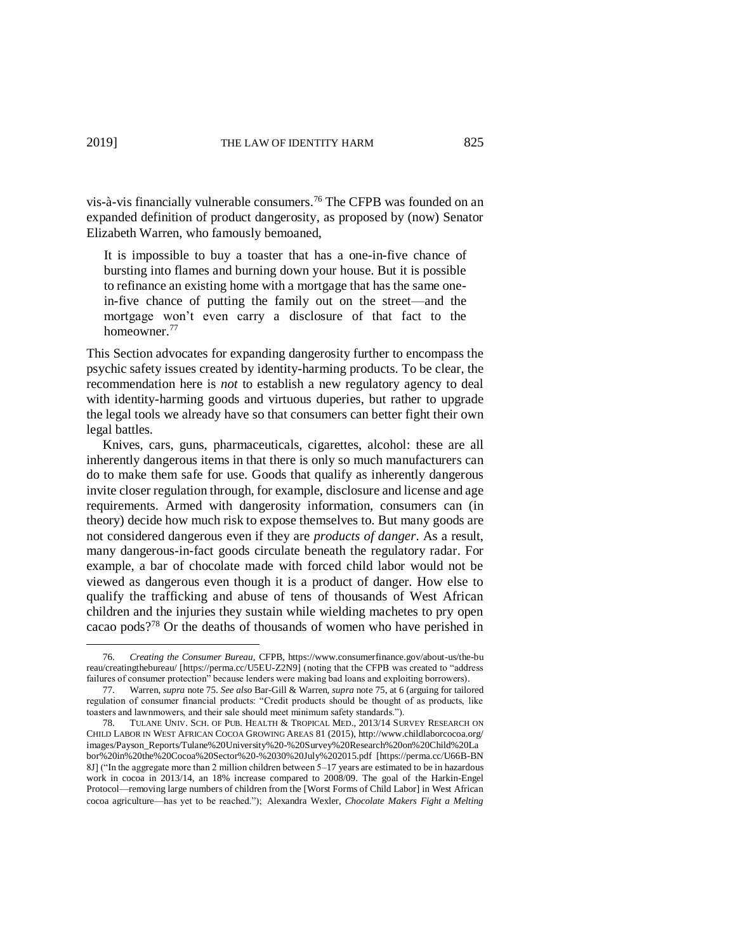vis-à-vis financially vulnerable consumers. <sup>76</sup> The CFPB was founded on an expanded definition of product dangerosity, as proposed by (now) Senator Elizabeth Warren, who famously bemoaned,

It is impossible to buy a toaster that has a one-in-five chance of bursting into flames and burning down your house. But it is possible to refinance an existing home with a mortgage that has the same onein-five chance of putting the family out on the street—and the mortgage won't even carry a disclosure of that fact to the homeowner.<sup>77</sup>

This Section advocates for expanding dangerosity further to encompass the psychic safety issues created by identity-harming products. To be clear, the recommendation here is *not* to establish a new regulatory agency to deal with identity-harming goods and virtuous duperies, but rather to upgrade the legal tools we already have so that consumers can better fight their own legal battles.

Knives, cars, guns, pharmaceuticals, cigarettes, alcohol: these are all inherently dangerous items in that there is only so much manufacturers can do to make them safe for use. Goods that qualify as inherently dangerous invite closer regulation through, for example, disclosure and license and age requirements. Armed with dangerosity information, consumers can (in theory) decide how much risk to expose themselves to. But many goods are not considered dangerous even if they are *products of danger*. As a result, many dangerous-in-fact goods circulate beneath the regulatory radar. For example, a bar of chocolate made with forced child labor would not be viewed as dangerous even though it is a product of danger. How else to qualify the trafficking and abuse of tens of thousands of West African children and the injuries they sustain while wielding machetes to pry open cacao pods?<sup>78</sup> Or the deaths of thousands of women who have perished in

<sup>76.</sup> *Creating the Consumer Bureau*, CFPB, https://www.consumerfinance.gov/about-us/the-bu reau/creatingthebureau/ [https://perma.cc/U5EU-Z2N9] (noting that the CFPB was created to "address failures of consumer protection" because lenders were making bad loans and exploiting borrowers).

<sup>77.</sup> Warren, *supra* note 75. *See also* Bar-Gill & Warren, *supra* note 75, at 6 (arguing for tailored regulation of consumer financial products: "Credit products should be thought of as products, like toasters and lawnmowers, and their sale should meet minimum safety standards.").

<sup>78.</sup> TULANE UNIV. SCH. OF PUB. HEALTH & TROPICAL MED., 2013/14 SURVEY RESEARCH ON CHILD LABOR IN WEST AFRICAN COCOA GROWING AREAS 81 (2015), http://www.childlaborcocoa.org/ images/Payson\_Reports/Tulane%20University%20-%20Survey%20Research%20on%20Child%20La bor%20in%20the%20Cocoa%20Sector%20-%2030%20July%202015.pdf [https://perma.cc/U66B-BN 8J] ("In the aggregate more than 2 million children between 5–17 years are estimated to be in hazardous work in cocoa in 2013/14, an 18% increase compared to 2008/09. The goal of the Harkin-Engel Protocol—removing large numbers of children from the [Worst Forms of Child Labor] in West African cocoa agriculture—has yet to be reached."); Alexandra Wexler, *Chocolate Makers Fight a Melting*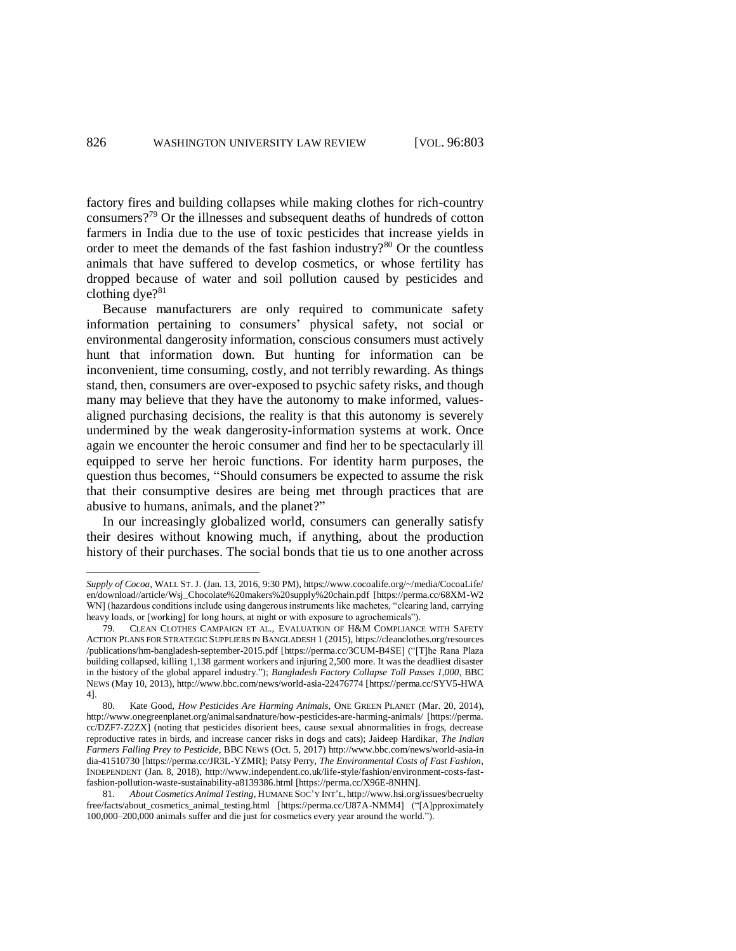factory fires and building collapses while making clothes for rich-country consumers?<sup>79</sup> Or the illnesses and subsequent deaths of hundreds of cotton farmers in India due to the use of toxic pesticides that increase yields in order to meet the demands of the fast fashion industry? $80$  Or the countless animals that have suffered to develop cosmetics, or whose fertility has dropped because of water and soil pollution caused by pesticides and clothing dye?<sup>81</sup>

Because manufacturers are only required to communicate safety information pertaining to consumers' physical safety, not social or environmental dangerosity information, conscious consumers must actively hunt that information down. But hunting for information can be inconvenient, time consuming, costly, and not terribly rewarding. As things stand, then, consumers are over-exposed to psychic safety risks, and though many may believe that they have the autonomy to make informed, valuesaligned purchasing decisions, the reality is that this autonomy is severely undermined by the weak dangerosity-information systems at work. Once again we encounter the heroic consumer and find her to be spectacularly ill equipped to serve her heroic functions. For identity harm purposes, the question thus becomes, "Should consumers be expected to assume the risk that their consumptive desires are being met through practices that are abusive to humans, animals, and the planet?"

In our increasingly globalized world, consumers can generally satisfy their desires without knowing much, if anything, about the production history of their purchases. The social bonds that tie us to one another across

*Supply of Cocoa*, WALL ST.J. (Jan. 13, 2016, 9:30 PM), https://www.cocoalife.org/~/media/CocoaLife/ en/download//article/Wsj\_Chocolate%20makers%20supply%20chain.pdf [https://perma.cc/68XM-W2 WN] (hazardous conditions include using dangerous instruments like machetes, "clearing land, carrying heavy loads, or [working] for long hours, at night or with exposure to agrochemicals").

<sup>79.</sup> CLEAN CLOTHES CAMPAIGN ET AL., EVALUATION OF H&M COMPLIANCE WITH SAFETY ACTION PLANS FOR STRATEGIC SUPPLIERS IN BANGLADESH 1 (2015), https://cleanclothes.org/resources /publications/hm-bangladesh-september-2015.pdf [https://perma.cc/3CUM-B4SE] ("[T]he Rana Plaza building collapsed, killing 1,138 garment workers and injuring 2,500 more. It was the deadliest disaster in the history of the global apparel industry."); *Bangladesh Factory Collapse Toll Passes 1,000*, BBC NEWS (May 10, 2013), http://www.bbc.com/news/world-asia-22476774 [https://perma.cc/SYV5-HWA 4].

<sup>80.</sup> Kate Good, *How Pesticides Are Harming Animals*, ONE GREEN PLANET (Mar. 20, 2014), http://www.onegreenplanet.org/animalsandnature/how-pesticides-are-harming-animals/ [https://perma. cc/DZF7-Z2ZX] (noting that pesticides disorient bees, cause sexual abnormalities in frogs, decrease reproductive rates in birds, and increase cancer risks in dogs and cats); Jaideep Hardikar, *The Indian Farmers Falling Prey to Pesticide*, BBC NEWS (Oct. 5, 2017) http://www.bbc.com/news/world-asia-in dia-41510730 [https://perma.cc/JR3L-YZMR]; Patsy Perry, *The Environmental Costs of Fast Fashion*, INDEPENDENT (Jan. 8, 2018), http://www.independent.co.uk/life-style/fashion/environment-costs-fastfashion-pollution-waste-sustainability-a8139386.html [https://perma.cc/X96E-8NHN].

<sup>81.</sup> *About Cosmetics Animal Testing*, HUMANE SOC'Y INT'L, http://www.hsi.org/issues/becruelty free/facts/about\_cosmetics\_animal\_testing.html [https://perma.cc/U87A-NMM4] ("[A]pproximately 100,000–200,000 animals suffer and die just for cosmetics every year around the world.").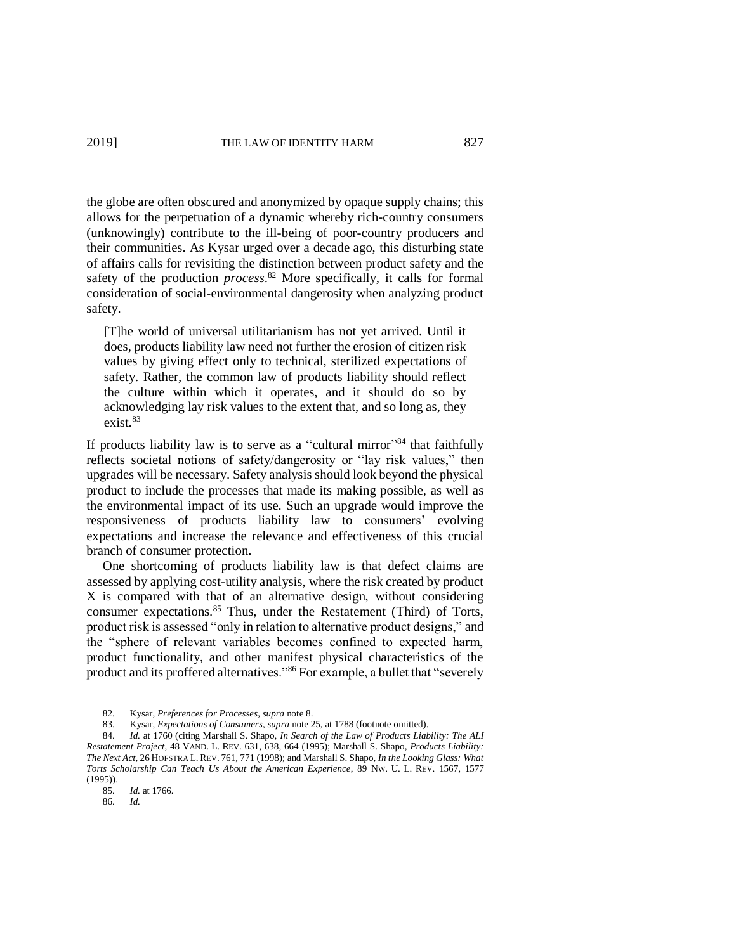the globe are often obscured and anonymized by opaque supply chains; this allows for the perpetuation of a dynamic whereby rich-country consumers (unknowingly) contribute to the ill-being of poor-country producers and their communities. As Kysar urged over a decade ago, this disturbing state of affairs calls for revisiting the distinction between product safety and the safety of the production *process*. <sup>82</sup> More specifically, it calls for formal consideration of social-environmental dangerosity when analyzing product safety.

[T]he world of universal utilitarianism has not yet arrived. Until it does, products liability law need not further the erosion of citizen risk values by giving effect only to technical, sterilized expectations of safety. Rather, the common law of products liability should reflect the culture within which it operates, and it should do so by acknowledging lay risk values to the extent that, and so long as, they  $exist.<sup>83</sup>$ 

If products liability law is to serve as a "cultural mirror"<sup>84</sup> that faithfully reflects societal notions of safety/dangerosity or "lay risk values," then upgrades will be necessary. Safety analysis should look beyond the physical product to include the processes that made its making possible, as well as the environmental impact of its use. Such an upgrade would improve the responsiveness of products liability law to consumers' evolving expectations and increase the relevance and effectiveness of this crucial branch of consumer protection.

One shortcoming of products liability law is that defect claims are assessed by applying cost-utility analysis, where the risk created by product X is compared with that of an alternative design, without considering consumer expectations. <sup>85</sup> Thus, under the Restatement (Third) of Torts, product risk is assessed "only in relation to alternative product designs," and the "sphere of relevant variables becomes confined to expected harm, product functionality, and other manifest physical characteristics of the product and its proffered alternatives."<sup>86</sup> For example, a bullet that "severely

<sup>82.</sup> Kysar, *Preferences for Processes*, *supra* note 8.

<sup>83.</sup> Kysar, *Expectations of Consumers*, *supra* note 25, at 1788 (footnote omitted).

<sup>84.</sup> *Id.* at 1760 (citing Marshall S. Shapo, *In Search of the Law of Products Liability: The ALI Restatement Project*, 48 VAND. L. REV. 631, 638, 664 (1995); Marshall S. Shapo, *Products Liability: The Next Act,* 26 HOFSTRA L. REV. 761, 771 (1998); and Marshall S. Shapo, *In the Looking Glass: What Torts Scholarship Can Teach Us About the American Experience*, 89 NW. U. L. REV. 1567, 1577 (1995)).

<sup>85.</sup> *Id.* at 1766.

<sup>86.</sup> *Id.*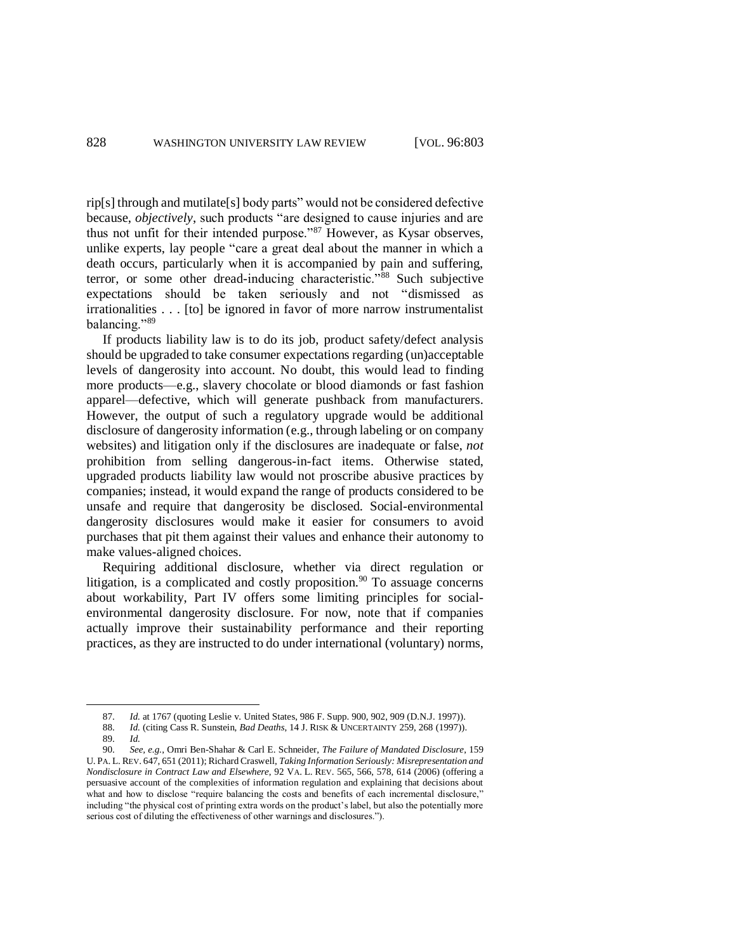rip[s] through and mutilate[s] body parts" would not be considered defective because, *objectively*, such products "are designed to cause injuries and are thus not unfit for their intended purpose."<sup>87</sup> However, as Kysar observes, unlike experts, lay people "care a great deal about the manner in which a death occurs, particularly when it is accompanied by pain and suffering, terror, or some other dread-inducing characteristic."<sup>88</sup> Such subjective expectations should be taken seriously and not "dismissed as irrationalities . . . [to] be ignored in favor of more narrow instrumentalist balancing."<sup>89</sup>

If products liability law is to do its job, product safety/defect analysis should be upgraded to take consumer expectations regarding (un)acceptable levels of dangerosity into account. No doubt, this would lead to finding more products—e.g., slavery chocolate or blood diamonds or fast fashion apparel—defective, which will generate pushback from manufacturers. However, the output of such a regulatory upgrade would be additional disclosure of dangerosity information (e.g., through labeling or on company websites) and litigation only if the disclosures are inadequate or false, *not*  prohibition from selling dangerous-in-fact items. Otherwise stated, upgraded products liability law would not proscribe abusive practices by companies; instead, it would expand the range of products considered to be unsafe and require that dangerosity be disclosed. Social-environmental dangerosity disclosures would make it easier for consumers to avoid purchases that pit them against their values and enhance their autonomy to make values-aligned choices.

Requiring additional disclosure, whether via direct regulation or litigation, is a complicated and costly proposition.<sup>90</sup> To assuage concerns about workability, Part IV offers some limiting principles for socialenvironmental dangerosity disclosure. For now, note that if companies actually improve their sustainability performance and their reporting practices, as they are instructed to do under international (voluntary) norms,

<sup>87.</sup> *Id.* at 1767 (quoting Leslie v. United States, 986 F. Supp. 900, 902, 909 (D.N.J. 1997)).

<sup>88.</sup> *Id.* (citing Cass R. Sunstein, *Bad Deaths*, 14 J. RISK & UNCERTAINTY 259, 268 (1997)).

<sup>89.</sup> *Id.*

<sup>90.</sup> *See, e.g.*, Omri Ben-Shahar & Carl E. Schneider, *The Failure of Mandated Disclosure*, 159 U. PA. L. REV. 647, 651 (2011); Richard Craswell, *Taking Information Seriously: Misrepresentation and Nondisclosure in Contract Law and Elsewhere*, 92 VA. L. REV. 565, 566, 578, 614 (2006) (offering a persuasive account of the complexities of information regulation and explaining that decisions about what and how to disclose "require balancing the costs and benefits of each incremental disclosure," including "the physical cost of printing extra words on the product's label, but also the potentially more serious cost of diluting the effectiveness of other warnings and disclosures.").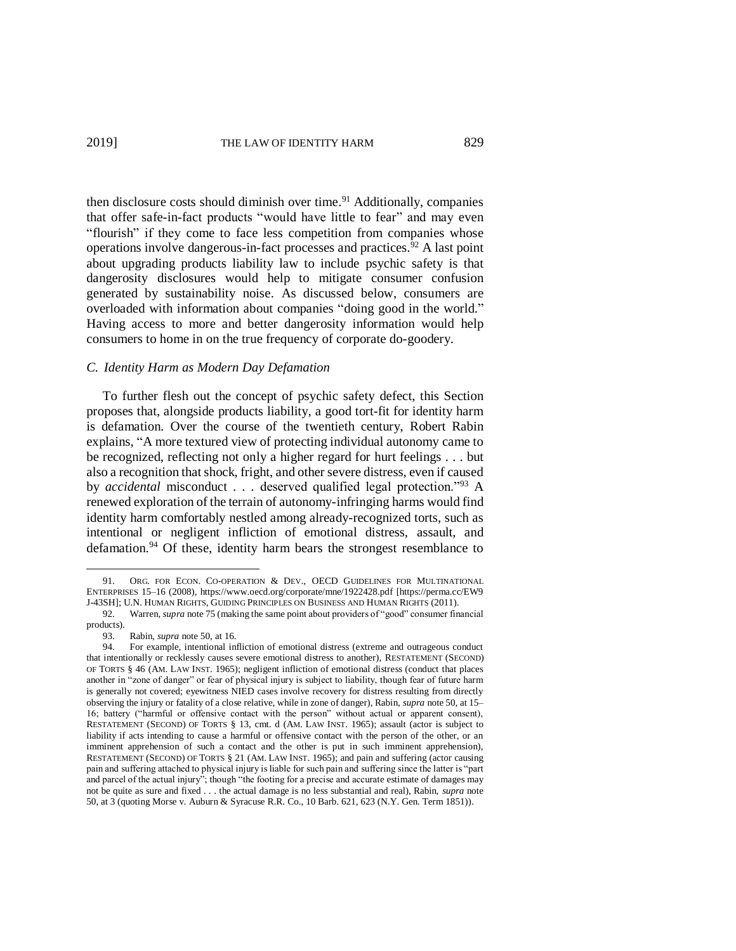then disclosure costs should diminish over time.<sup>91</sup> Additionally, companies that offer safe-in-fact products "would have little to fear" and may even "flourish" if they come to face less competition from companies whose operations involve dangerous-in-fact processes and practices. <sup>92</sup> A last point about upgrading products liability law to include psychic safety is that dangerosity disclosures would help to mitigate consumer confusion generated by sustainability noise. As discussed below, consumers are overloaded with information about companies "doing good in the world." Having access to more and better dangerosity information would help consumers to home in on the true frequency of corporate do-goodery.

#### *C. Identity Harm as Modern Day Defamation*

To further flesh out the concept of psychic safety defect, this Section proposes that, alongside products liability, a good tort-fit for identity harm is defamation. Over the course of the twentieth century, Robert Rabin explains, "A more textured view of protecting individual autonomy came to be recognized, reflecting not only a higher regard for hurt feelings . . . but also a recognition that shock, fright, and other severe distress, even if caused by *accidental* misconduct . . . deserved qualified legal protection."<sup>93</sup> A renewed exploration of the terrain of autonomy-infringing harms would find identity harm comfortably nestled among already-recognized torts, such as intentional or negligent infliction of emotional distress, assault, and defamation.<sup>94</sup> Of these, identity harm bears the strongest resemblance to

<sup>91.</sup> ORG. FOR ECON. CO-OPERATION & DEV., OECD GUIDELINES FOR MULTINATIONAL ENTERPRISES 15–16 (2008), https://www.oecd.org/corporate/mne/1922428.pdf [https://perma.cc/EW9 J-43SH]; U.N. HUMAN RIGHTS, GUIDING PRINCIPLES ON BUSINESS AND HUMAN RIGHTS (2011).

<sup>92.</sup> Warren, *supra* note 75 (making the same point about providers of "good" consumer financial products).

<sup>93.</sup> Rabin, *supra* note 50, at 16.

<sup>94.</sup> For example, intentional infliction of emotional distress (extreme and outrageous conduct that intentionally or recklessly causes severe emotional distress to another), RESTATEMENT (SECOND) OF TORTS § 46 (AM. LAW INST. 1965); negligent infliction of emotional distress (conduct that places another in "zone of danger" or fear of physical injury is subject to liability, though fear of future harm is generally not covered; eyewitness NIED cases involve recovery for distress resulting from directly observing the injury or fatality of a close relative, while in zone of danger), Rabin, *supra* note 50, at 15– 16; battery ("harmful or offensive contact with the person" without actual or apparent consent), RESTATEMENT (SECOND) OF TORTS § 13, cmt. d (AM. LAW INST. 1965); assault (actor is subject to liability if acts intending to cause a harmful or offensive contact with the person of the other, or an imminent apprehension of such a contact and the other is put in such imminent apprehension), RESTATEMENT (SECOND) OF TORTS § 21 (AM. LAW INST. 1965); and pain and suffering (actor causing pain and suffering attached to physical injury is liable for such pain and suffering since the latter is "part and parcel of the actual injury"; though "the footing for a precise and accurate estimate of damages may not be quite as sure and fixed . . . the actual damage is no less substantial and real), Rabin, *supra* note 50, at 3 (quoting Morse v. Auburn & Syracuse R.R. Co., 10 Barb. 621, 623 (N.Y. Gen. Term 1851)).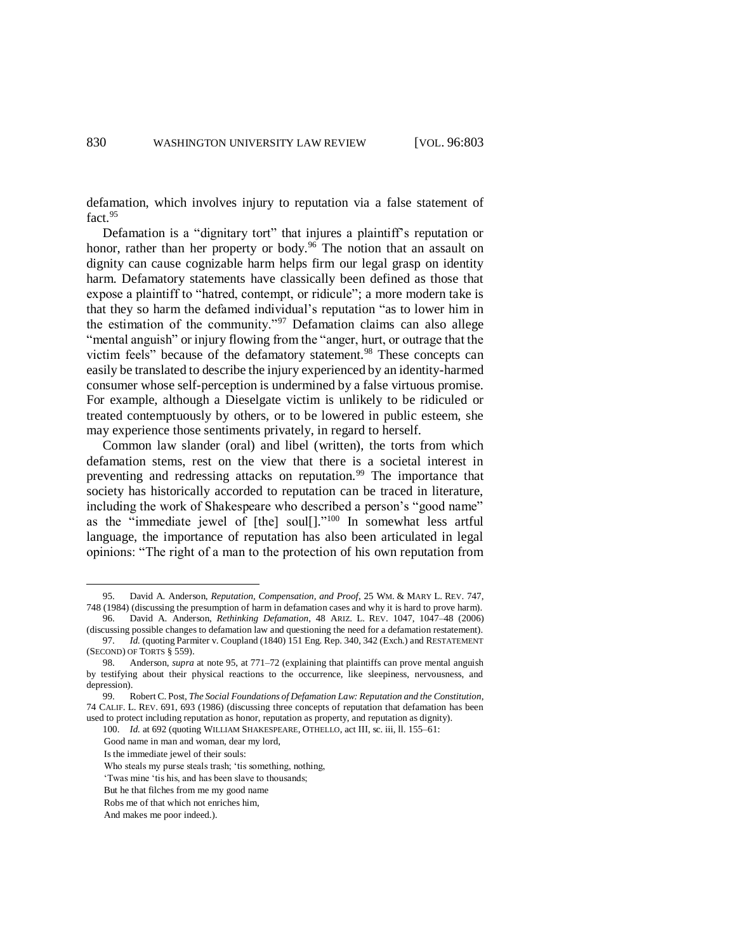defamation, which involves injury to reputation via a false statement of fact. 95

Defamation is a "dignitary tort" that injures a plaintiff's reputation or honor, rather than her property or body.<sup>96</sup> The notion that an assault on dignity can cause cognizable harm helps firm our legal grasp on identity harm. Defamatory statements have classically been defined as those that expose a plaintiff to "hatred, contempt, or ridicule"; a more modern take is that they so harm the defamed individual's reputation "as to lower him in the estimation of the community."<sup>97</sup> Defamation claims can also allege "mental anguish" or injury flowing from the "anger, hurt, or outrage that the victim feels" because of the defamatory statement.<sup>98</sup> These concepts can easily be translated to describe the injury experienced by an identity-harmed consumer whose self-perception is undermined by a false virtuous promise. For example, although a Dieselgate victim is unlikely to be ridiculed or treated contemptuously by others, or to be lowered in public esteem, she may experience those sentiments privately, in regard to herself.

Common law slander (oral) and libel (written), the torts from which defamation stems, rest on the view that there is a societal interest in preventing and redressing attacks on reputation.<sup>99</sup> The importance that society has historically accorded to reputation can be traced in literature, including the work of Shakespeare who described a person's "good name" as the "immediate jewel of [the] soul[]." <sup>100</sup> In somewhat less artful language, the importance of reputation has also been articulated in legal opinions: "The right of a man to the protection of his own reputation from

<sup>95.</sup> David A. Anderson, *Reputation, Compensation, and Proof*, 25 WM. & MARY L. REV. 747, 748 (1984) (discussing the presumption of harm in defamation cases and why it is hard to prove harm).

<sup>96.</sup> David A. Anderson, *Rethinking Defamation*, 48 ARIZ. L. REV. 1047, 1047–48 (2006) (discussing possible changes to defamation law and questioning the need for a defamation restatement). 97. *Id.* (quoting Parmiter v. Coupland (1840) 151 Eng. Rep. 340, 342 (Exch.) and RESTATEMENT

<sup>(</sup>SECOND) OF TORTS § 559). 98. Anderson, *supra* at note 95, at 771–72 (explaining that plaintiffs can prove mental anguish

by testifying about their physical reactions to the occurrence, like sleepiness, nervousness, and depression).

<sup>99.</sup> Robert C. Post, *The Social Foundations of Defamation Law: Reputation and the Constitution*, 74 CALIF. L. REV. 691, 693 (1986) (discussing three concepts of reputation that defamation has been used to protect including reputation as honor, reputation as property, and reputation as dignity).

<sup>100.</sup> *Id.* at 692 (quoting WILLIAM SHAKESPEARE, OTHELLO, act III, sc. iii, ll. 155–61:

Good name in man and woman, dear my lord,

Is the immediate jewel of their souls:

Who steals my purse steals trash; 'tis something, nothing,

<sup>&#</sup>x27;Twas mine 'tis his, and has been slave to thousands;

But he that filches from me my good name

Robs me of that which not enriches him,

And makes me poor indeed.).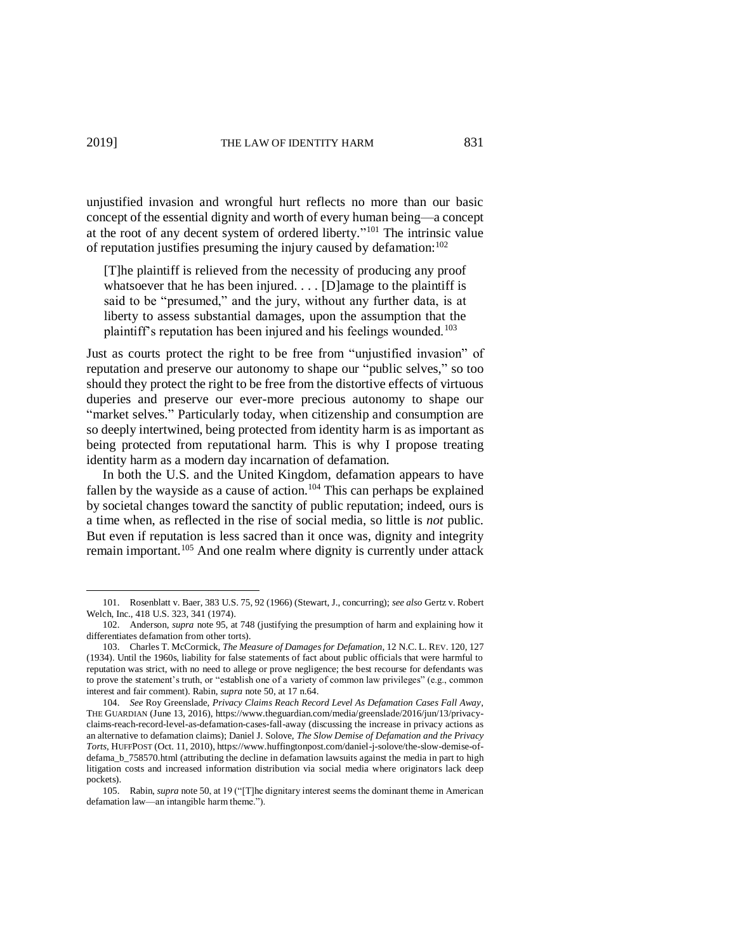unjustified invasion and wrongful hurt reflects no more than our basic concept of the essential dignity and worth of every human being—a concept at the root of any decent system of ordered liberty." <sup>101</sup> The intrinsic value of reputation justifies presuming the injury caused by defamation: 102

[T]he plaintiff is relieved from the necessity of producing any proof whatsoever that he has been injured. . . . [D] amage to the plaintiff is said to be "presumed," and the jury, without any further data, is at liberty to assess substantial damages, upon the assumption that the plaintiff's reputation has been injured and his feelings wounded.<sup>103</sup>

Just as courts protect the right to be free from "unjustified invasion" of reputation and preserve our autonomy to shape our "public selves," so too should they protect the right to be free from the distortive effects of virtuous duperies and preserve our ever-more precious autonomy to shape our "market selves." Particularly today, when citizenship and consumption are so deeply intertwined, being protected from identity harm is as important as being protected from reputational harm. This is why I propose treating identity harm as a modern day incarnation of defamation.

In both the U.S. and the United Kingdom, defamation appears to have fallen by the wayside as a cause of action.<sup>104</sup> This can perhaps be explained by societal changes toward the sanctity of public reputation; indeed, ours is a time when, as reflected in the rise of social media, so little is *not* public. But even if reputation is less sacred than it once was, dignity and integrity remain important.<sup>105</sup> And one realm where dignity is currently under attack

<sup>101.</sup> Rosenblatt v. Baer, 383 U.S. 75, 92 (1966) (Stewart, J., concurring); *see also* Gertz v. Robert Welch, Inc., 418 U.S. 323, 341 (1974).

<sup>102.</sup> Anderson, *supra* note 95, at 748 (justifying the presumption of harm and explaining how it differentiates defamation from other torts).

<sup>103.</sup> Charles T. McCormick, *The Measure of Damages for Defamation*, 12 N.C. L. REV. 120, 127 (1934). Until the 1960s, liability for false statements of fact about public officials that were harmful to reputation was strict, with no need to allege or prove negligence; the best recourse for defendants was to prove the statement's truth, or "establish one of a variety of common law privileges" (e.g., common interest and fair comment). Rabin, *supra* note 50, at 17 n.64.

<sup>104.</sup> *See* Roy Greenslade, *Privacy Claims Reach Record Level As Defamation Cases Fall Away*, THE GUARDIAN (June 13, 2016), https://www.theguardian.com/media/greenslade/2016/jun/13/privacyclaims-reach-record-level-as-defamation-cases-fall-away (discussing the increase in privacy actions as an alternative to defamation claims); Daniel J. Solove, *The Slow Demise of Defamation and the Privacy Torts*, HUFFPOST (Oct. 11, 2010), https://www.huffingtonpost.com/daniel-j-solove/the-slow-demise-ofdefama\_b\_758570.html (attributing the decline in defamation lawsuits against the media in part to high litigation costs and increased information distribution via social media where originators lack deep pockets).

<sup>105.</sup> Rabin, *supra* note 50, at 19 ("[T]he dignitary interest seems the dominant theme in American defamation law—an intangible harm theme.").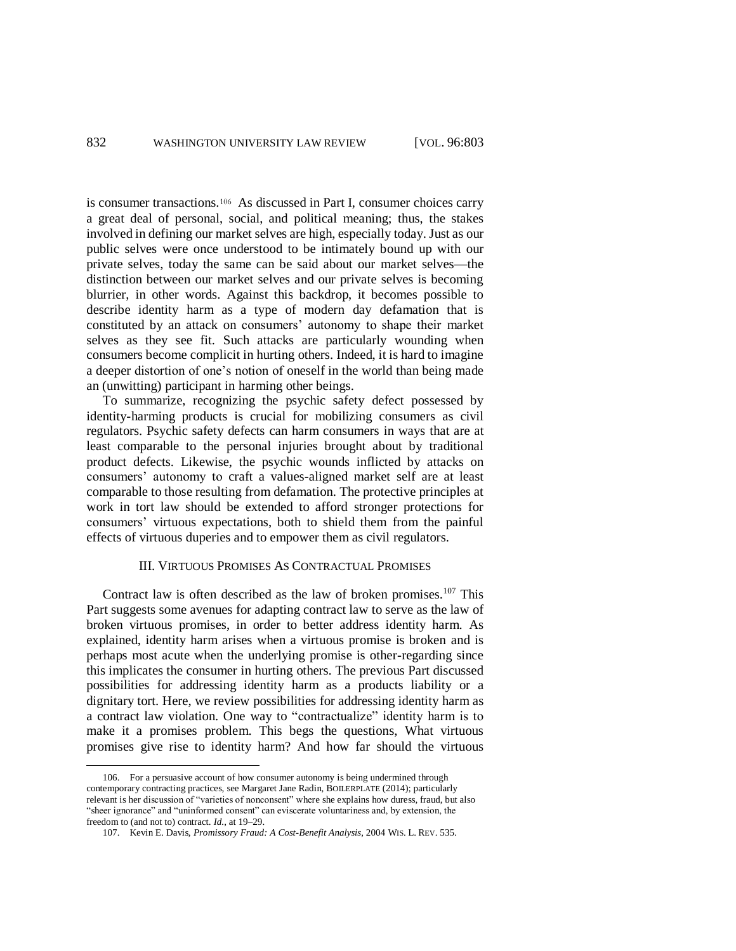is consumer transactions.<sup>106</sup> As discussed in Part I, consumer choices carry a great deal of personal, social, and political meaning; thus, the stakes involved in defining our market selves are high, especially today. Just as our public selves were once understood to be intimately bound up with our private selves, today the same can be said about our market selves—the distinction between our market selves and our private selves is becoming blurrier, in other words. Against this backdrop, it becomes possible to describe identity harm as a type of modern day defamation that is constituted by an attack on consumers' autonomy to shape their market selves as they see fit. Such attacks are particularly wounding when consumers become complicit in hurting others. Indeed, it is hard to imagine a deeper distortion of one's notion of oneself in the world than being made an (unwitting) participant in harming other beings.

To summarize, recognizing the psychic safety defect possessed by identity-harming products is crucial for mobilizing consumers as civil regulators. Psychic safety defects can harm consumers in ways that are at least comparable to the personal injuries brought about by traditional product defects. Likewise, the psychic wounds inflicted by attacks on consumers' autonomy to craft a values-aligned market self are at least comparable to those resulting from defamation. The protective principles at work in tort law should be extended to afford stronger protections for consumers' virtuous expectations, both to shield them from the painful effects of virtuous duperies and to empower them as civil regulators.

### III. VIRTUOUS PROMISES AS CONTRACTUAL PROMISES

Contract law is often described as the law of broken promises.<sup>107</sup> This Part suggests some avenues for adapting contract law to serve as the law of broken virtuous promises, in order to better address identity harm. As explained, identity harm arises when a virtuous promise is broken and is perhaps most acute when the underlying promise is other-regarding since this implicates the consumer in hurting others. The previous Part discussed possibilities for addressing identity harm as a products liability or a dignitary tort. Here, we review possibilities for addressing identity harm as a contract law violation. One way to "contractualize" identity harm is to make it a promises problem. This begs the questions, What virtuous promises give rise to identity harm? And how far should the virtuous

<sup>106.</sup> For a persuasive account of how consumer autonomy is being undermined through contemporary contracting practices, see Margaret Jane Radin, BOILERPLATE (2014); particularly relevant is her discussion of "varieties of nonconsent" where she explains how duress, fraud, but also "sheer ignorance" and "uninformed consent" can eviscerate voluntariness and, by extension, the freedom to (and not to) contract. *Id.*, at 19–29.

<sup>107.</sup> Kevin E. Davis, *Promissory Fraud: A Cost-Benefit Analysis*, 2004 WIS. L. REV. 535.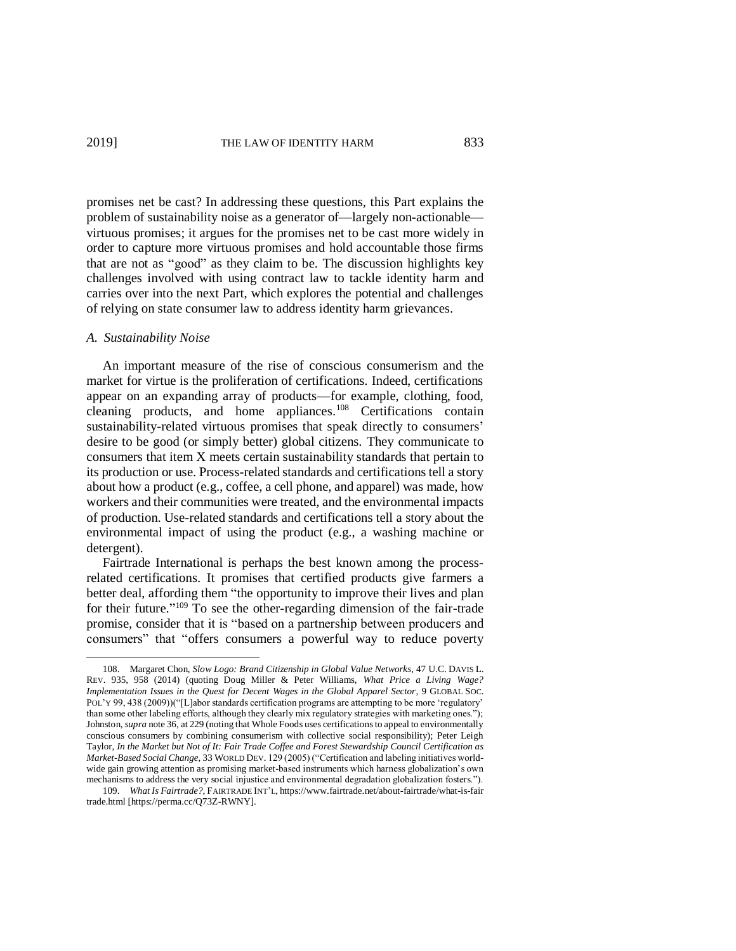promises net be cast? In addressing these questions, this Part explains the problem of sustainability noise as a generator of—largely non-actionable virtuous promises; it argues for the promises net to be cast more widely in order to capture more virtuous promises and hold accountable those firms that are not as "good" as they claim to be. The discussion highlights key challenges involved with using contract law to tackle identity harm and carries over into the next Part, which explores the potential and challenges of relying on state consumer law to address identity harm grievances.

### *A. Sustainability Noise*

 $\overline{a}$ 

An important measure of the rise of conscious consumerism and the market for virtue is the proliferation of certifications. Indeed, certifications appear on an expanding array of products—for example, clothing, food, cleaning products, and home appliances.<sup>108</sup> Certifications contain sustainability-related virtuous promises that speak directly to consumers' desire to be good (or simply better) global citizens. They communicate to consumers that item X meets certain sustainability standards that pertain to its production or use. Process-related standards and certifications tell a story about how a product (e.g., coffee, a cell phone, and apparel) was made, how workers and their communities were treated, and the environmental impacts of production. Use-related standards and certifications tell a story about the environmental impact of using the product (e.g., a washing machine or detergent).

Fairtrade International is perhaps the best known among the processrelated certifications. It promises that certified products give farmers a better deal, affording them "the opportunity to improve their lives and plan for their future." <sup>109</sup> To see the other-regarding dimension of the fair-trade promise, consider that it is "based on a partnership between producers and consumers" that "offers consumers a powerful way to reduce poverty

<sup>108.</sup> Margaret Chon, *Slow Logo: Brand Citizenship in Global Value Networks*, 47 U.C. DAVIS L. REV. 935, 958 (2014) (quoting Doug Miller & Peter Williams, *What Price a Living Wage? Implementation Issues in the Quest for Decent Wages in the Global Apparel Sector*, 9 GLOBAL SOC. POL'Y 99, 438 (2009))("[L]abor standards certification programs are attempting to be more 'regulatory' than some other labeling efforts, although they clearly mix regulatory strategies with marketing ones."); Johnston, *supra* note 36, at 229 (noting that Whole Foods uses certifications to appeal to environmentally conscious consumers by combining consumerism with collective social responsibility); Peter Leigh Taylor, *In the Market but Not of It: Fair Trade Coffee and Forest Stewardship Council Certification as Market-Based Social Change*, 33 WORLD DEV. 129 (2005) ("Certification and labeling initiatives worldwide gain growing attention as promising market-based instruments which harness globalization's own mechanisms to address the very social injustice and environmental degradation globalization fosters.").

<sup>109.</sup> *What Is Fairtrade?,* FAIRTRADE INT'L, https://www.fairtrade.net/about-fairtrade/what-is-fair trade.html [https://perma.cc/Q73Z-RWNY].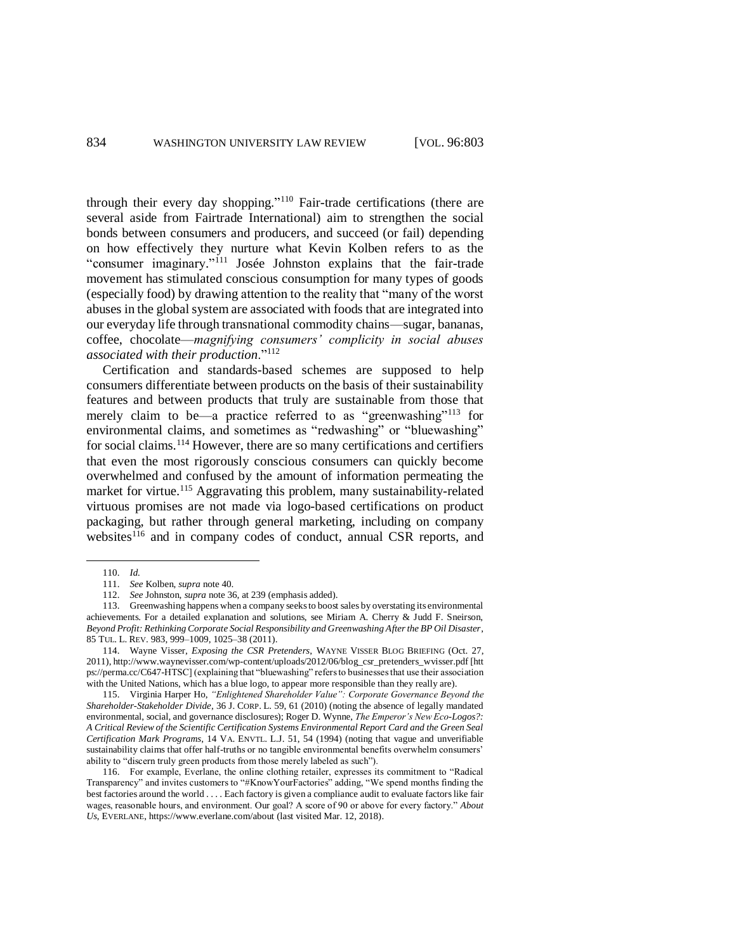through their every day shopping."<sup>110</sup> Fair-trade certifications (there are several aside from Fairtrade International) aim to strengthen the social bonds between consumers and producers, and succeed (or fail) depending on how effectively they nurture what Kevin Kolben refers to as the "consumer imaginary."<sup>111</sup> Josée Johnston explains that the fair-trade movement has stimulated conscious consumption for many types of goods (especially food) by drawing attention to the reality that "many of the worst abuses in the global system are associated with foods that are integrated into our everyday life through transnational commodity chains—sugar, bananas, coffee, chocolate—*magnifying consumers' complicity in social abuses associated with their production*."<sup>112</sup>

Certification and standards-based schemes are supposed to help consumers differentiate between products on the basis of their sustainability features and between products that truly are sustainable from those that merely claim to be—a practice referred to as "greenwashing"<sup>113</sup> for environmental claims, and sometimes as "redwashing" or "bluewashing" for social claims.<sup>114</sup> However, there are so many certifications and certifiers that even the most rigorously conscious consumers can quickly become overwhelmed and confused by the amount of information permeating the market for virtue.<sup>115</sup> Aggravating this problem, many sustainability-related virtuous promises are not made via logo-based certifications on product packaging, but rather through general marketing, including on company websites<sup>116</sup> and in company codes of conduct, annual CSR reports, and

<sup>110.</sup> *Id.*

<sup>111.</sup> *See* Kolben, *supra* note 40.

<sup>112.</sup> *See* Johnston, *supra* note 36, at 239 (emphasis added).

<sup>113.</sup> Greenwashing happens when a company seeks to boost sales by overstating its environmental achievements. For a detailed explanation and solutions, see Miriam A. Cherry & Judd F. Sneirson, *Beyond Profit: Rethinking Corporate Social Responsibility and Greenwashing After the BP Oil Disaster*, 85 TUL. L. REV. 983, 999–1009, 1025–38 (2011).

<sup>114.</sup> Wayne Visser, *Exposing the CSR Pretenders*, WAYNE VISSER BLOG BRIEFING (Oct. 27, 2011), http://www.waynevisser.com/wp-content/uploads/2012/06/blog\_csr\_pretenders\_wvisser.pdf [htt ps://perma.cc/C647-HTSC] (explaining that "bluewashing" refers to businesses that use their association with the United Nations, which has a blue logo, to appear more responsible than they really are).

<sup>115.</sup> Virginia Harper Ho, *"Enlightened Shareholder Value": Corporate Governance Beyond the Shareholder-Stakeholder Divide*, 36 J. CORP. L. 59, 61 (2010) (noting the absence of legally mandated environmental, social, and governance disclosures); Roger D. Wynne, *The Emperor's New Eco-Logos?: A Critical Review of the Scientific Certification Systems Environmental Report Card and the Green Seal Certification Mark Programs*, 14 VA. ENVTL. L.J. 51, 54 (1994) (noting that vague and unverifiable sustainability claims that offer half-truths or no tangible environmental benefits overwhelm consumers' ability to "discern truly green products from those merely labeled as such").

<sup>116.</sup> For example, Everlane, the online clothing retailer, expresses its commitment to "Radical Transparency" and invites customers to "#KnowYourFactories" adding, "We spend months finding the best factories around the world . . . . Each factory is given a compliance audit to evaluate factors like fair wages, reasonable hours, and environment. Our goal? A score of 90 or above for every factory." *About Us*, EVERLANE, https://www.everlane.com/about (last visited Mar. 12, 2018).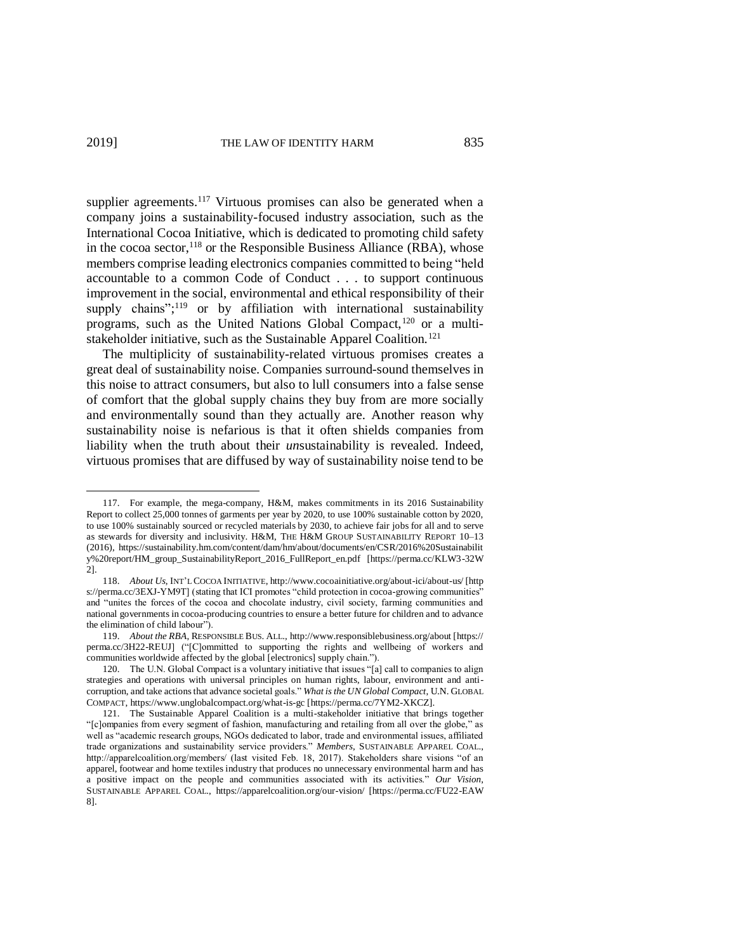supplier agreements.<sup>117</sup> Virtuous promises can also be generated when a company joins a sustainability-focused industry association, such as the International Cocoa Initiative, which is dedicated to promoting child safety in the cocoa sector,  $^{118}$  or the Responsible Business Alliance (RBA), whose members comprise leading electronics companies committed to being "held accountable to a common Code of Conduct . . . to support continuous improvement in the social, environmental and ethical responsibility of their supply chains";<sup>119</sup> or by affiliation with international sustainability programs, such as the United Nations Global Compact,<sup>120</sup> or a multistakeholder initiative, such as the Sustainable Apparel Coalition.<sup>121</sup>

The multiplicity of sustainability-related virtuous promises creates a great deal of sustainability noise. Companies surround-sound themselves in this noise to attract consumers, but also to lull consumers into a false sense of comfort that the global supply chains they buy from are more socially and environmentally sound than they actually are. Another reason why sustainability noise is nefarious is that it often shields companies from liability when the truth about their *un*sustainability is revealed. Indeed, virtuous promises that are diffused by way of sustainability noise tend to be

<sup>117.</sup> For example, the mega-company, H&M, makes commitments in its 2016 Sustainability Report to collect 25,000 tonnes of garments per year by 2020, to use 100% sustainable cotton by 2020, to use 100% sustainably sourced or recycled materials by 2030, to achieve fair jobs for all and to serve as stewards for diversity and inclusivity. H&M, THE H&M GROUP SUSTAINABILITY REPORT 10–13 (2016), https://sustainability.hm.com/content/dam/hm/about/documents/en/CSR/2016%20Sustainabilit y%20report/HM\_group\_SustainabilityReport\_2016\_FullReport\_en.pdf [https://perma.cc/KLW3-32W 2].

<sup>118.</sup> *About Us*, INT'L COCOA INITIATIVE, http://www.cocoainitiative.org/about-ici/about-us/ [http s://perma.cc/3EXJ-YM9T] (stating that ICI promotes "child protection in cocoa-growing communities" and "unites the forces of the cocoa and chocolate industry, civil society, farming communities and national governments in cocoa-producing countries to ensure a better future for children and to advance the elimination of child labour").

<sup>119.</sup> *About the RBA*, RESPONSIBLE BUS. ALL., http://www.responsiblebusiness.org/about [https:// perma.cc/3H22-REUJ] ("[C]ommitted to supporting the rights and wellbeing of workers and communities worldwide affected by the global [electronics] supply chain.").

<sup>120.</sup> The U.N. Global Compact is a voluntary initiative that issues "[a] call to companies to align strategies and operations with universal principles on human rights, labour, environment and anticorruption, and take actions that advance societal goals." *What is the UN Global Compact*, U.N. GLOBAL COMPACT, https://www.unglobalcompact.org/what-is-gc [https://perma.cc/7YM2-XKCZ].

<sup>121.</sup> The Sustainable Apparel Coalition is a multi-stakeholder initiative that brings together "[c]ompanies from every segment of fashion, manufacturing and retailing from all over the globe," as well as "academic research groups, NGOs dedicated to labor, trade and environmental issues, affiliated trade organizations and sustainability service providers." *Members*, SUSTAINABLE APPAREL COAL., http://apparelcoalition.org/members/ (last visited Feb. 18, 2017). Stakeholders share visions "of an apparel, footwear and home textiles industry that produces no unnecessary environmental harm and has a positive impact on the people and communities associated with its activities." *Our Vision*, SUSTAINABLE APPAREL COAL., https://apparelcoalition.org/our-vision/ [https://perma.cc/FU22-EAW 8].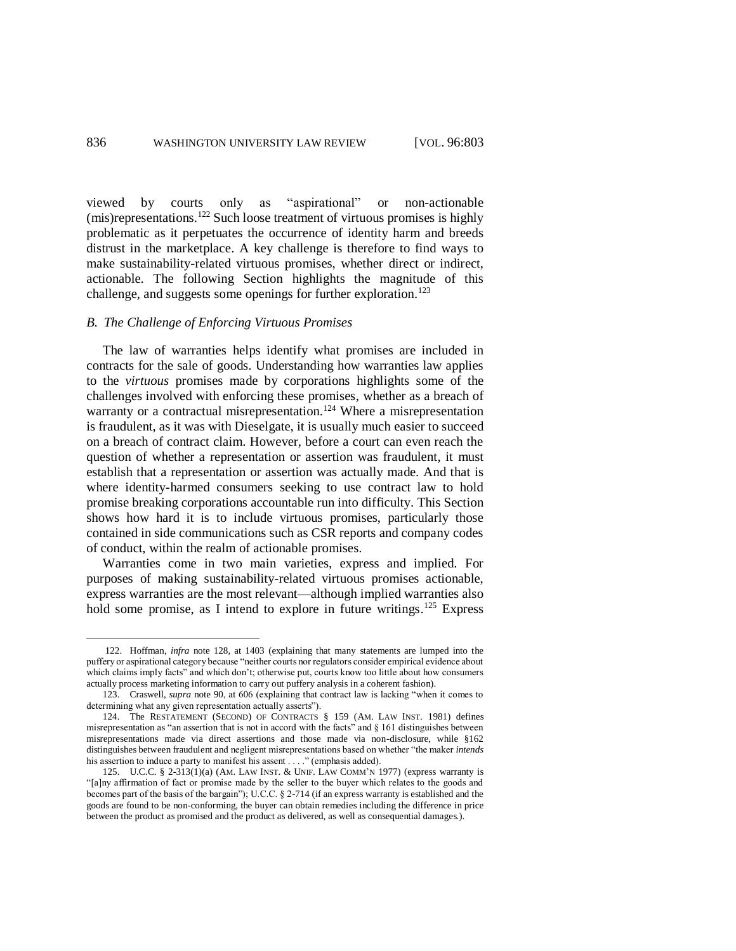viewed by courts only as "aspirational" or non-actionable (mis)representations.<sup>122</sup> Such loose treatment of virtuous promises is highly problematic as it perpetuates the occurrence of identity harm and breeds distrust in the marketplace. A key challenge is therefore to find ways to make sustainability-related virtuous promises, whether direct or indirect, actionable. The following Section highlights the magnitude of this challenge, and suggests some openings for further exploration.<sup>123</sup>

# *B. The Challenge of Enforcing Virtuous Promises*

 $\overline{a}$ 

The law of warranties helps identify what promises are included in contracts for the sale of goods. Understanding how warranties law applies to the *virtuous* promises made by corporations highlights some of the challenges involved with enforcing these promises, whether as a breach of warranty or a contractual misrepresentation.<sup>124</sup> Where a misrepresentation is fraudulent, as it was with Dieselgate, it is usually much easier to succeed on a breach of contract claim. However, before a court can even reach the question of whether a representation or assertion was fraudulent, it must establish that a representation or assertion was actually made. And that is where identity-harmed consumers seeking to use contract law to hold promise breaking corporations accountable run into difficulty. This Section shows how hard it is to include virtuous promises, particularly those contained in side communications such as CSR reports and company codes of conduct, within the realm of actionable promises.

Warranties come in two main varieties, express and implied. For purposes of making sustainability-related virtuous promises actionable, express warranties are the most relevant—although implied warranties also hold some promise, as I intend to explore in future writings.<sup>125</sup> Express

<sup>122.</sup> Hoffman, *infra* note 128, at 1403 (explaining that many statements are lumped into the puffery or aspirational category because "neither courts nor regulators consider empirical evidence about which claims imply facts" and which don't; otherwise put, courts know too little about how consumers actually process marketing information to carry out puffery analysis in a coherent fashion).

<sup>123.</sup> Craswell, *supra* note 90, at 606 (explaining that contract law is lacking "when it comes to determining what any given representation actually asserts").

<sup>124.</sup> The RESTATEMENT (SECOND) OF CONTRACTS § 159 (AM. LAW INST. 1981) defines misrepresentation as "an assertion that is not in accord with the facts" and § 161 distinguishes between misrepresentations made via direct assertions and those made via non-disclosure, while §162 distinguishes between fraudulent and negligent misrepresentations based on whether "the maker *intends* his assertion to induce a party to manifest his assent . . . ." (emphasis added).

<sup>125.</sup> U.C.C. § 2-313(1)(a) (AM. LAW INST. & UNIF. LAW COMM'N 1977) (express warranty is "[a]ny affirmation of fact or promise made by the seller to the buyer which relates to the goods and becomes part of the basis of the bargain"); U.C.C. § 2-714 (if an express warranty is established and the goods are found to be non-conforming, the buyer can obtain remedies including the difference in price between the product as promised and the product as delivered, as well as consequential damages.).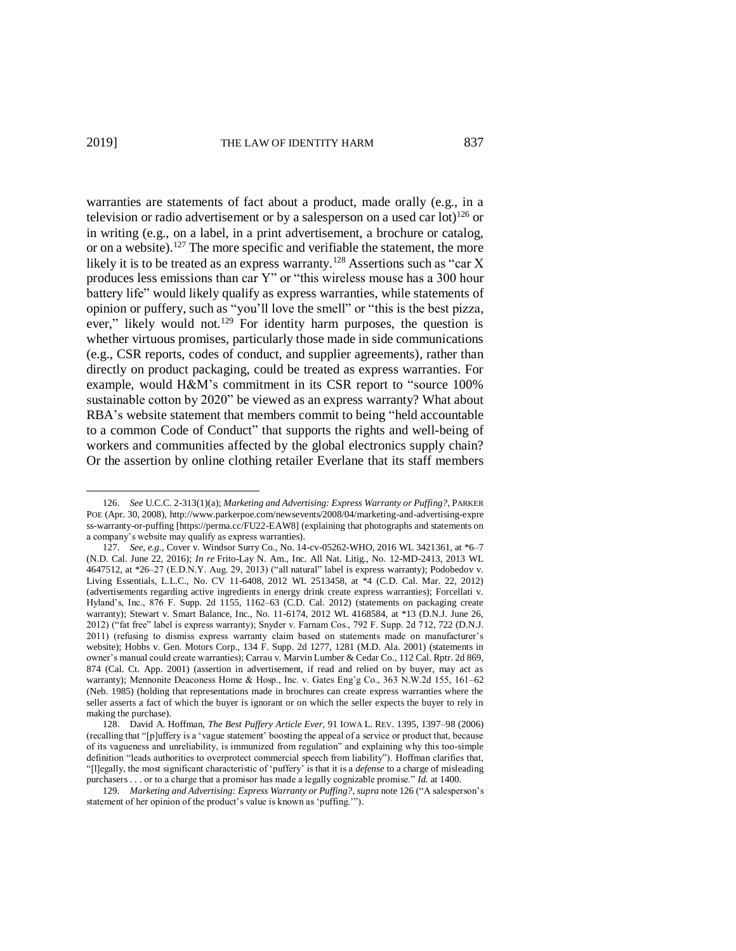$\overline{a}$ 

warranties are statements of fact about a product, made orally (e.g., in a television or radio advertisement or by a salesperson on a used car  $\text{lot}$ <sup>126</sup> or in writing (e.g., on a label, in a print advertisement, a brochure or catalog, or on a website). <sup>127</sup> The more specific and verifiable the statement, the more likely it is to be treated as an express warranty.<sup>128</sup> Assertions such as "car X" produces less emissions than car Y" or "this wireless mouse has a 300 hour battery life" would likely qualify as express warranties, while statements of opinion or puffery, such as "you'll love the smell" or "this is the best pizza, ever," likely would not.<sup>129</sup> For identity harm purposes, the question is whether virtuous promises, particularly those made in side communications (e.g., CSR reports, codes of conduct, and supplier agreements), rather than directly on product packaging, could be treated as express warranties. For example, would H&M's commitment in its CSR report to "source 100% sustainable cotton by 2020" be viewed as an express warranty? What about RBA's website statement that members commit to being "held accountable to a common Code of Conduct" that supports the rights and well-being of workers and communities affected by the global electronics supply chain? Or the assertion by online clothing retailer Everlane that its staff members

<sup>126.</sup> *See* U.C.C. 2-313(1)(a); *Marketing and Advertising: Express Warranty or Puffing?*, PARKER POE (Apr. 30, 2008), http://www.parkerpoe.com/newsevents/2008/04/marketing-and-advertising-expre ss-warranty-or-puffing [https://perma.cc/FU22-EAW8] (explaining that photographs and statements on a company's website may qualify as express warranties).

<sup>127.</sup> *See, e.g.*, Cover v. Windsor Surry Co., No. 14-cv-05262-WHO, 2016 WL 3421361, at \*6–7 (N.D. Cal. June 22, 2016); *In re* Frito-Lay N. Am., Inc. All Nat. Litig., No. 12-MD-2413, 2013 WL 4647512, at \*26–27 (E.D.N.Y. Aug. 29, 2013) ("all natural" label is express warranty); Podobedov v. Living Essentials, L.L.C., No. CV 11-6408, 2012 WL 2513458, at \*4 (C.D. Cal. Mar. 22, 2012) (advertisements regarding active ingredients in energy drink create express warranties); Forcellati v. Hyland's, Inc., 876 F. Supp. 2d 1155, 1162–63 (C.D. Cal. 2012) (statements on packaging create warranty); Stewart v. Smart Balance, Inc., No. 11-6174, 2012 WL 4168584, at \*13 (D.N.J. June 26, 2012) ("fat free" label is express warranty); Snyder v. Farnam Cos., 792 F. Supp. 2d 712, 722 (D.N.J. 2011) (refusing to dismiss express warranty claim based on statements made on manufacturer's website); Hobbs v. Gen. Motors Corp., 134 F. Supp. 2d 1277, 1281 (M.D. Ala. 2001) (statements in owner's manual could create warranties); Carrau v. Marvin Lumber & Cedar Co., 112 Cal. Rptr. 2d 869, 874 (Cal. Ct. App. 2001) (assertion in advertisement, if read and relied on by buyer, may act as warranty); Mennonite Deaconess Home & Hosp., Inc. v. Gates Eng'g Co., 363 N.W.2d 155, 161–62 (Neb. 1985) (holding that representations made in brochures can create express warranties where the seller asserts a fact of which the buyer is ignorant or on which the seller expects the buyer to rely in making the purchase).

<sup>128.</sup> David A. Hoffman, *The Best Puffery Article Ever*, 91 IOWA L. REV. 1395, 1397–98 (2006) (recalling that "[p]uffery is a 'vague statement' boosting the appeal of a service or product that, because of its vagueness and unreliability, is immunized from regulation" and explaining why this too-simple definition "leads authorities to overprotect commercial speech from liability"). Hoffman clarifies that, "[l]egally, the most significant characteristic of 'puffery' is that it is a *defense* to a charge of misleading purchasers . . . or to a charge that a promisor has made a legally cognizable promise." *Id.* at 1400.

<sup>129.</sup> *Marketing and Advertising: Express Warranty or Puffing?*, *supra* note 126 ("A salesperson's statement of her opinion of the product's value is known as 'puffing.'").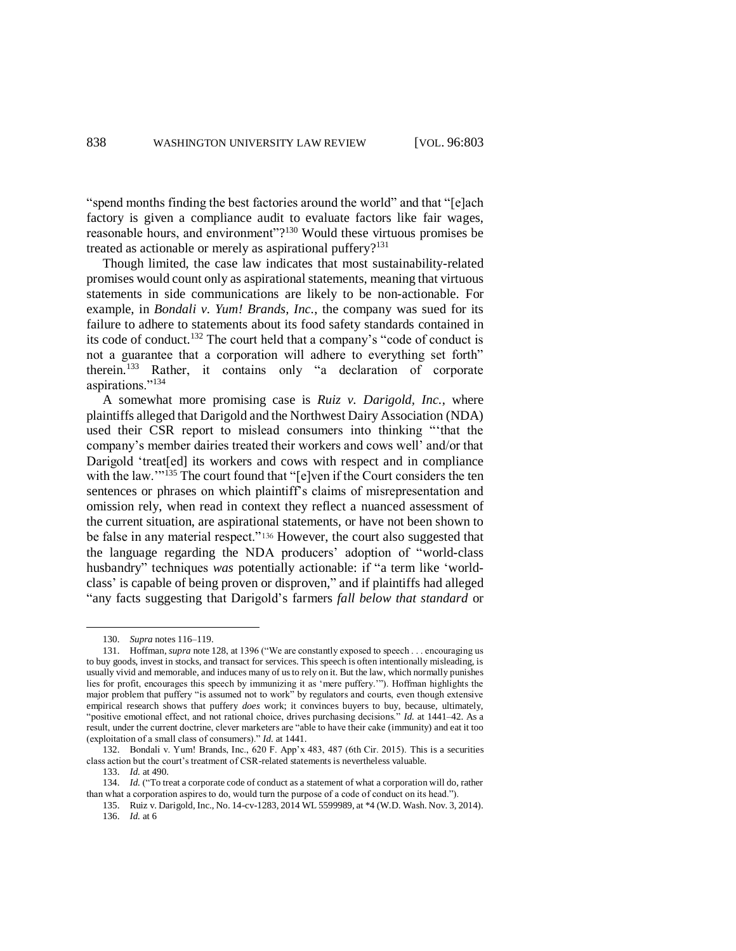"spend months finding the best factories around the world" and that "[e]ach factory is given a compliance audit to evaluate factors like fair wages, reasonable hours, and environment"?<sup>130</sup> Would these virtuous promises be treated as actionable or merely as aspirational puffery?<sup>131</sup>

Though limited, the case law indicates that most sustainability-related promises would count only as aspirational statements, meaning that virtuous statements in side communications are likely to be non-actionable. For example, in *Bondali v. Yum! Brands, Inc.*, the company was sued for its failure to adhere to statements about its food safety standards contained in its code of conduct. <sup>132</sup> The court held that a company's "code of conduct is not a guarantee that a corporation will adhere to everything set forth" therein.<sup>133</sup> Rather, it contains only "a declaration of corporate aspirations."<sup>134</sup>

A somewhat more promising case is *Ruiz v. Darigold, Inc.*, where plaintiffs alleged that Darigold and the Northwest Dairy Association (NDA) used their CSR report to mislead consumers into thinking "'that the company's member dairies treated their workers and cows well' and/or that Darigold 'treat[ed] its workers and cows with respect and in compliance with the law.'"<sup>135</sup> The court found that "[e]ven if the Court considers the ten sentences or phrases on which plaintiff's claims of misrepresentation and omission rely, when read in context they reflect a nuanced assessment of the current situation, are aspirational statements, or have not been shown to be false in any material respect."<sup>136</sup> However, the court also suggested that the language regarding the NDA producers' adoption of "world-class husbandry" techniques *was* potentially actionable: if "a term like 'worldclass' is capable of being proven or disproven," and if plaintiffs had alleged "any facts suggesting that Darigold's farmers *fall below that standard* or

 $\overline{a}$ 

133. *Id.* at 490.

134. *Id.* ("To treat a corporate code of conduct as a statement of what a corporation will do, rather than what a corporation aspires to do, would turn the purpose of a code of conduct on its head.").

<sup>130.</sup> *Supra* notes 116–119.

<sup>131.</sup> Hoffman, *supra* note 128, at 1396 ("We are constantly exposed to speech . . . encouraging us to buy goods, invest in stocks, and transact for services. This speech is often intentionally misleading, is usually vivid and memorable, and induces many of us to rely on it. But the law, which normally punishes lies for profit, encourages this speech by immunizing it as 'mere puffery.'"). Hoffman highlights the major problem that puffery "is assumed not to work" by regulators and courts, even though extensive empirical research shows that puffery *does* work; it convinces buyers to buy, because, ultimately, "positive emotional effect, and not rational choice, drives purchasing decisions." *Id.* at 1441–42. As a result, under the current doctrine, clever marketers are "able to have their cake (immunity) and eat it too (exploitation of a small class of consumers)." *Id.* at 1441.

<sup>132.</sup> Bondali v. Yum! Brands, Inc., 620 F. App'x 483, 487 (6th Cir. 2015). This is a securities class action but the court's treatment of CSR-related statements is nevertheless valuable.

<sup>135.</sup> Ruiz v. Darigold, Inc., No. 14-cv-1283, 2014 WL 5599989, at \*4 (W.D. Wash. Nov. 3, 2014). 136. *Id.* at 6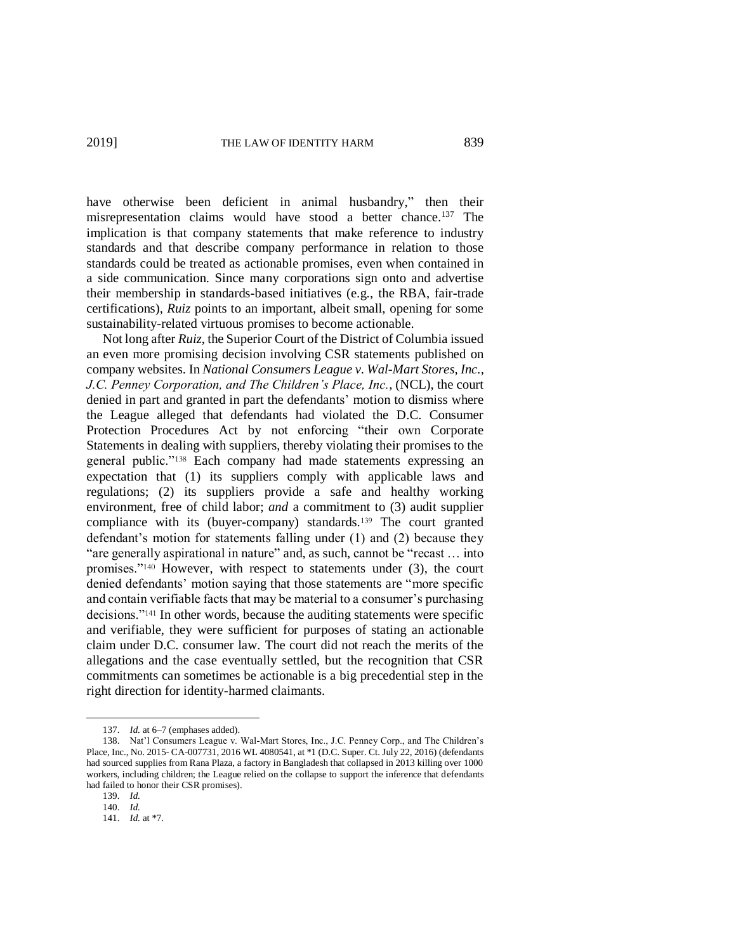have otherwise been deficient in animal husbandry," then their misrepresentation claims would have stood a better chance.<sup>137</sup> The implication is that company statements that make reference to industry standards and that describe company performance in relation to those standards could be treated as actionable promises, even when contained in a side communication. Since many corporations sign onto and advertise their membership in standards-based initiatives (e.g., the RBA, fair-trade certifications), *Ruiz* points to an important, albeit small, opening for some sustainability-related virtuous promises to become actionable.

Not long after *Ruiz*, the Superior Court of the District of Columbia issued an even more promising decision involving CSR statements published on company websites. In *National Consumers League v. Wal-Mart Stores, Inc.*, *J.C. Penney Corporation, and The Children's Place, Inc.*, (NCL), the court denied in part and granted in part the defendants' motion to dismiss where the League alleged that defendants had violated the D.C. Consumer Protection Procedures Act by not enforcing "their own Corporate Statements in dealing with suppliers, thereby violating their promises to the general public."<sup>138</sup> Each company had made statements expressing an expectation that (1) its suppliers comply with applicable laws and regulations; (2) its suppliers provide a safe and healthy working environment, free of child labor; *and* a commitment to (3) audit supplier compliance with its (buyer-company) standards.<sup>139</sup> The court granted defendant's motion for statements falling under (1) and (2) because they "are generally aspirational in nature" and, as such, cannot be "recast … into promises."<sup>140</sup> However, with respect to statements under (3), the court denied defendants' motion saying that those statements are "more specific and contain verifiable facts that may be material to a consumer's purchasing decisions."<sup>141</sup> In other words, because the auditing statements were specific and verifiable, they were sufficient for purposes of stating an actionable claim under D.C. consumer law. The court did not reach the merits of the allegations and the case eventually settled, but the recognition that CSR commitments can sometimes be actionable is a big precedential step in the right direction for identity-harmed claimants.

<sup>137.</sup> *Id.* at 6–7 (emphases added).

<sup>138.</sup> Nat'l Consumers League v. Wal-Mart Stores, Inc., J.C. Penney Corp., and The Children's Place, Inc., No. 2015- CA-007731, 2016 WL 4080541, at \*1 (D.C. Super. Ct. July 22, 2016) (defendants had sourced supplies from Rana Plaza, a factory in Bangladesh that collapsed in 2013 killing over 1000 workers, including children; the League relied on the collapse to support the inference that defendants had failed to honor their CSR promises).

<sup>139.</sup> *Id.*

<sup>140.</sup> *Id.*

<sup>141.</sup> *Id.* at \*7.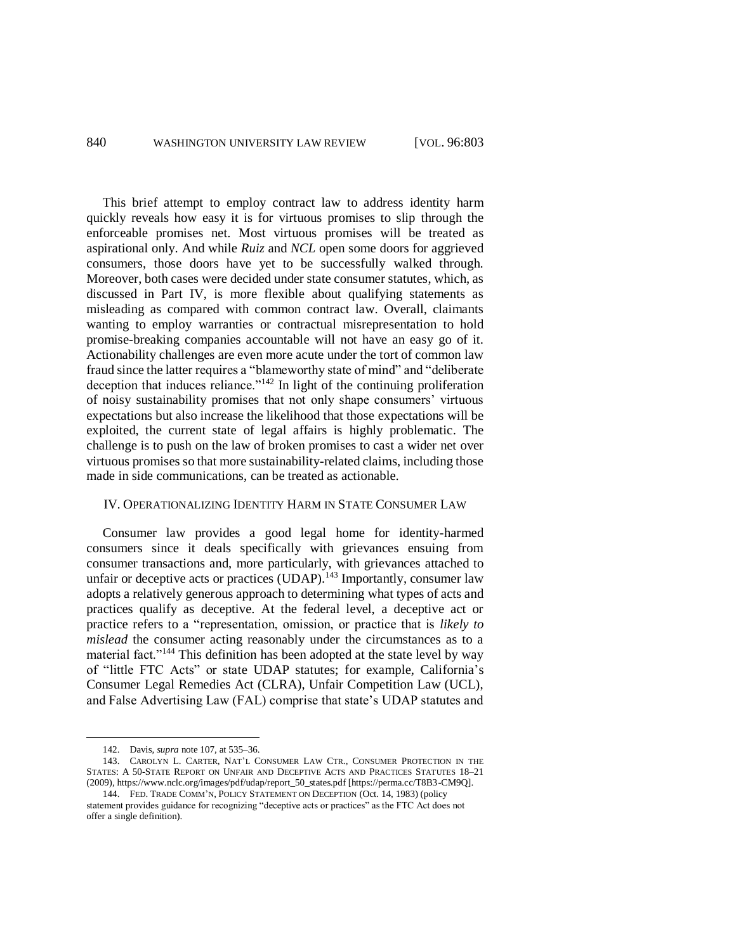This brief attempt to employ contract law to address identity harm quickly reveals how easy it is for virtuous promises to slip through the enforceable promises net. Most virtuous promises will be treated as aspirational only. And while *Ruiz* and *NCL* open some doors for aggrieved consumers, those doors have yet to be successfully walked through. Moreover, both cases were decided under state consumer statutes, which, as discussed in Part IV, is more flexible about qualifying statements as misleading as compared with common contract law. Overall, claimants wanting to employ warranties or contractual misrepresentation to hold promise-breaking companies accountable will not have an easy go of it. Actionability challenges are even more acute under the tort of common law fraud since the latter requires a "blameworthy state of mind" and "deliberate deception that induces reliance."<sup>142</sup> In light of the continuing proliferation of noisy sustainability promises that not only shape consumers' virtuous expectations but also increase the likelihood that those expectations will be exploited, the current state of legal affairs is highly problematic. The challenge is to push on the law of broken promises to cast a wider net over virtuous promises so that more sustainability-related claims, including those made in side communications, can be treated as actionable.

# IV. OPERATIONALIZING IDENTITY HARM IN STATE CONSUMER LAW

Consumer law provides a good legal home for identity-harmed consumers since it deals specifically with grievances ensuing from consumer transactions and, more particularly, with grievances attached to unfair or deceptive acts or practices (UDAP).<sup>143</sup> Importantly, consumer law adopts a relatively generous approach to determining what types of acts and practices qualify as deceptive. At the federal level, a deceptive act or practice refers to a "representation, omission, or practice that is *likely to mislead* the consumer acting reasonably under the circumstances as to a material fact."<sup>144</sup> This definition has been adopted at the state level by way of "little FTC Acts" or state UDAP statutes; for example, California's Consumer Legal Remedies Act (CLRA), Unfair Competition Law (UCL), and False Advertising Law (FAL) comprise that state's UDAP statutes and

<sup>142.</sup> Davis, *supra* note 107, at 535–36.

<sup>143.</sup> CAROLYN L. CARTER, NAT'L CONSUMER LAW CTR., CONSUMER PROTECTION IN THE STATES: A 50-STATE REPORT ON UNFAIR AND DECEPTIVE ACTS AND PRACTICES STATUTES 18–21 (2009), https://www.nclc.org/images/pdf/udap/report\_50\_states.pdf [https://perma.cc/T8B3-CM9Q].

<sup>144.</sup> FED. TRADE COMM'N, POLICY STATEMENT ON DECEPTION (Oct. 14, 1983) (policy statement provides guidance for recognizing "deceptive acts or practices" as the FTC Act does not offer a single definition).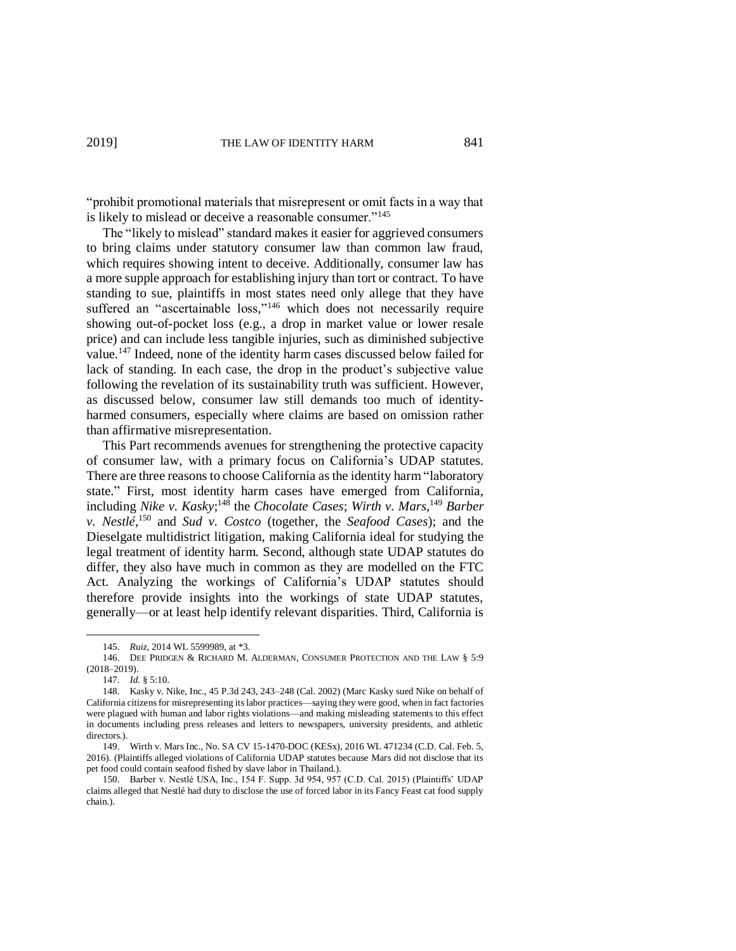"prohibit promotional materials that misrepresent or omit facts in a way that is likely to mislead or deceive a reasonable consumer."<sup>145</sup>

The "likely to mislead" standard makes it easier for aggrieved consumers to bring claims under statutory consumer law than common law fraud, which requires showing intent to deceive. Additionally, consumer law has a more supple approach for establishing injury than tort or contract. To have standing to sue, plaintiffs in most states need only allege that they have suffered an "ascertainable loss,"<sup>146</sup> which does not necessarily require showing out-of-pocket loss (e.g., a drop in market value or lower resale price) and can include less tangible injuries, such as diminished subjective value. <sup>147</sup> Indeed, none of the identity harm cases discussed below failed for lack of standing. In each case, the drop in the product's subjective value following the revelation of its sustainability truth was sufficient. However, as discussed below, consumer law still demands too much of identityharmed consumers, especially where claims are based on omission rather than affirmative misrepresentation.

This Part recommends avenues for strengthening the protective capacity of consumer law, with a primary focus on California's UDAP statutes. There are three reasons to choose California as the identity harm "laboratory state." First, most identity harm cases have emerged from California, including *Nike v. Kasky*;<sup>148</sup> the *Chocolate Cases*; *Wirth v. Mars*,<sup>149</sup> *Barber v. Nestlé,* <sup>150</sup> and *Sud v. Costco* (together, the *Seafood Cases*); and the Dieselgate multidistrict litigation, making California ideal for studying the legal treatment of identity harm. Second, although state UDAP statutes do differ, they also have much in common as they are modelled on the FTC Act. Analyzing the workings of California's UDAP statutes should therefore provide insights into the workings of state UDAP statutes, generally—or at least help identify relevant disparities. Third, California is

<sup>145.</sup> *Ruiz*, 2014 WL 5599989, at \*3.

<sup>146.</sup> DEE PRIDGEN & RICHARD M. ALDERMAN, CONSUMER PROTECTION AND THE LAW § 5:9 (2018–2019).

<sup>147.</sup> *Id.* § 5:10.

<sup>148.</sup> Kasky v. Nike, Inc., 45 P.3d 243, 243–248 (Cal. 2002) (Marc Kasky sued Nike on behalf of California citizens for misrepresenting its labor practices—saying they were good, when in fact factories were plagued with human and labor rights violations—and making misleading statements to this effect in documents including press releases and letters to newspapers, university presidents, and athletic directors.).

<sup>149.</sup> Wirth v. Mars Inc., No. SA CV 15-1470-DOC (KESx), 2016 WL 471234 (C.D. Cal. Feb. 5, 2016). (Plaintiffs alleged violations of California UDAP statutes because Mars did not disclose that its pet food could contain seafood fished by slave labor in Thailand.).

<sup>150.</sup> Barber v. Nestlé USA, Inc., 154 F. Supp. 3d 954, 957 (C.D. Cal. 2015) (Plaintiffs' UDAP claims alleged that Nestlé had duty to disclose the use of forced labor in its Fancy Feast cat food supply chain.).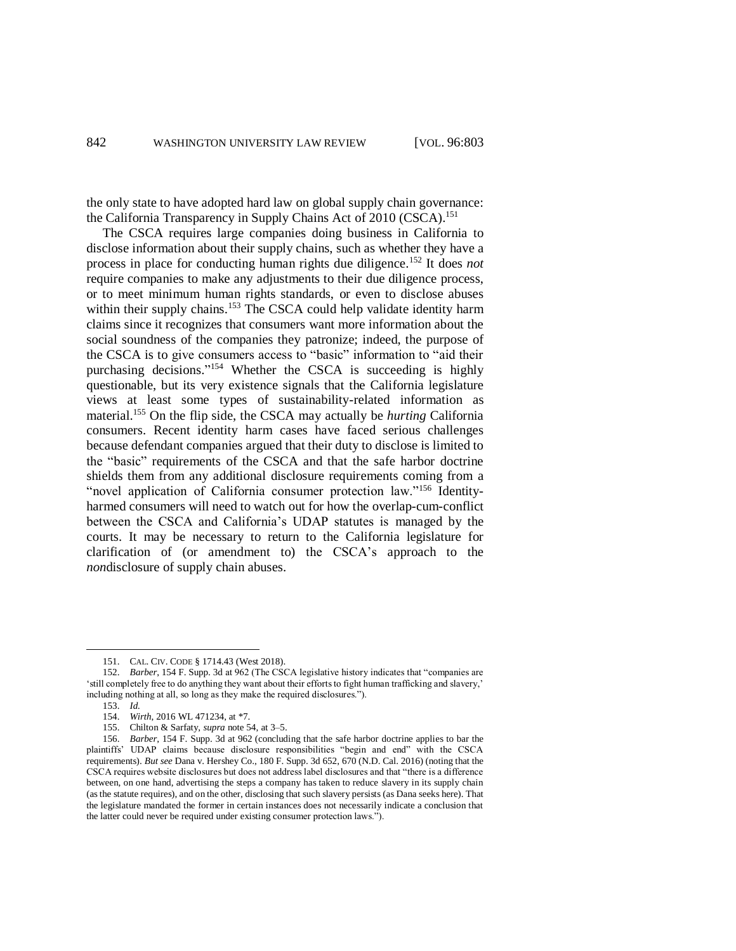the only state to have adopted hard law on global supply chain governance: the California Transparency in Supply Chains Act of 2010 (CSCA).<sup>151</sup>

The CSCA requires large companies doing business in California to disclose information about their supply chains, such as whether they have a process in place for conducting human rights due diligence. <sup>152</sup> It does *not* require companies to make any adjustments to their due diligence process, or to meet minimum human rights standards, or even to disclose abuses within their supply chains.<sup>153</sup> The CSCA could help validate identity harm claims since it recognizes that consumers want more information about the social soundness of the companies they patronize; indeed, the purpose of the CSCA is to give consumers access to "basic" information to "aid their purchasing decisions." <sup>154</sup> Whether the CSCA is succeeding is highly questionable, but its very existence signals that the California legislature views at least some types of sustainability-related information as material. <sup>155</sup> On the flip side, the CSCA may actually be *hurting* California consumers. Recent identity harm cases have faced serious challenges because defendant companies argued that their duty to disclose is limited to the "basic" requirements of the CSCA and that the safe harbor doctrine shields them from any additional disclosure requirements coming from a "novel application of California consumer protection law."<sup>156</sup> Identityharmed consumers will need to watch out for how the overlap-cum-conflict between the CSCA and California's UDAP statutes is managed by the courts. It may be necessary to return to the California legislature for clarification of (or amendment to) the CSCA's approach to the *non*disclosure of supply chain abuses.

153. *Id.*

<sup>151.</sup> CAL. CIV. CODE § 1714.43 (West 2018).

<sup>152.</sup> *Barber*, 154 F. Supp. 3d at 962 (The CSCA legislative history indicates that "companies are 'still completely free to do anything they want about their efforts to fight human trafficking and slavery,' including nothing at all, so long as they make the required disclosures.").

<sup>154.</sup> *Wirth*, 2016 WL 471234, at \*7.

<sup>155.</sup> Chilton & Sarfaty, *supra* note 54, at 3–5.

<sup>156.</sup> *Barber*, 154 F. Supp. 3d at 962 (concluding that the safe harbor doctrine applies to bar the plaintiffs' UDAP claims because disclosure responsibilities "begin and end" with the CSCA requirements). *But see* Dana v. Hershey Co., 180 F. Supp. 3d 652, 670 (N.D. Cal. 2016) (noting that the CSCA requires website disclosures but does not address label disclosures and that "there is a difference between, on one hand, advertising the steps a company has taken to reduce slavery in its supply chain (as the statute requires), and on the other, disclosing that such slavery persists (as Dana seeks here). That the legislature mandated the former in certain instances does not necessarily indicate a conclusion that the latter could never be required under existing consumer protection laws.").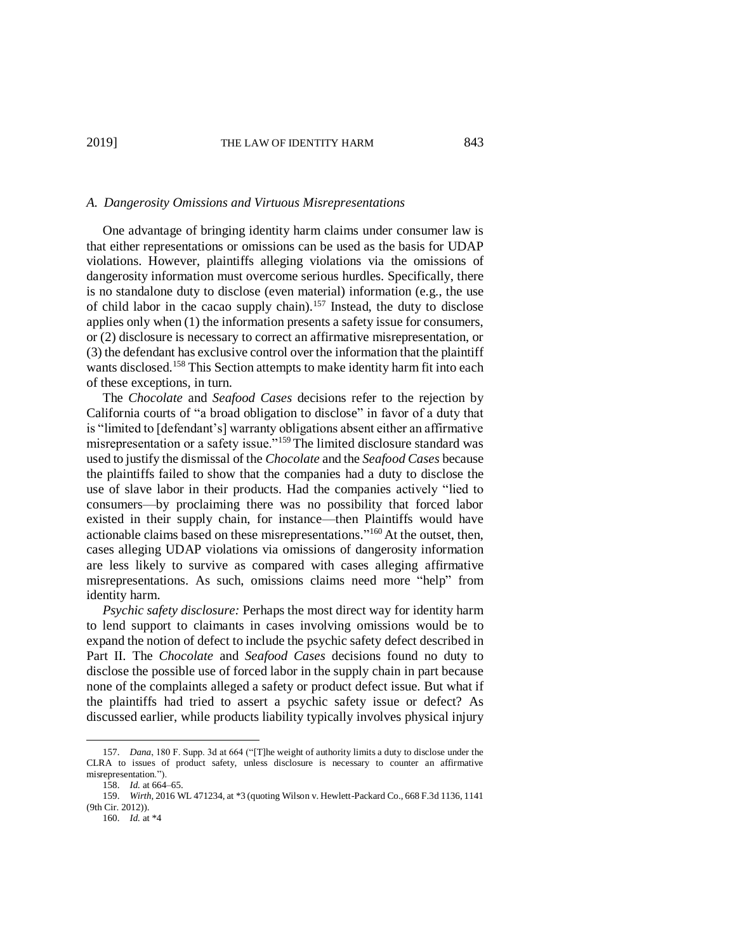# *A. Dangerosity Omissions and Virtuous Misrepresentations*

One advantage of bringing identity harm claims under consumer law is that either representations or omissions can be used as the basis for UDAP violations. However, plaintiffs alleging violations via the omissions of dangerosity information must overcome serious hurdles. Specifically, there is no standalone duty to disclose (even material) information (e.g., the use of child labor in the cacao supply chain). <sup>157</sup> Instead, the duty to disclose applies only when (1) the information presents a safety issue for consumers, or (2) disclosure is necessary to correct an affirmative misrepresentation, or (3) the defendant has exclusive control over the information that the plaintiff wants disclosed. <sup>158</sup> This Section attempts to make identity harm fit into each of these exceptions, in turn.

The *Chocolate* and *Seafood Cases* decisions refer to the rejection by California courts of "a broad obligation to disclose" in favor of a duty that is "limited to [defendant's] warranty obligations absent either an affirmative misrepresentation or a safety issue."<sup>159</sup> The limited disclosure standard was used to justify the dismissal of the *Chocolate* and the *Seafood Cases* because the plaintiffs failed to show that the companies had a duty to disclose the use of slave labor in their products. Had the companies actively "lied to consumers—by proclaiming there was no possibility that forced labor existed in their supply chain, for instance—then Plaintiffs would have actionable claims based on these misrepresentations." <sup>160</sup> At the outset, then, cases alleging UDAP violations via omissions of dangerosity information are less likely to survive as compared with cases alleging affirmative misrepresentations. As such, omissions claims need more "help" from identity harm.

*Psychic safety disclosure:* Perhaps the most direct way for identity harm to lend support to claimants in cases involving omissions would be to expand the notion of defect to include the psychic safety defect described in Part II. The *Chocolate* and *Seafood Cases* decisions found no duty to disclose the possible use of forced labor in the supply chain in part because none of the complaints alleged a safety or product defect issue. But what if the plaintiffs had tried to assert a psychic safety issue or defect? As discussed earlier, while products liability typically involves physical injury

<sup>157.</sup> *Dana*, 180 F. Supp. 3d at 664 ("[T]he weight of authority limits a duty to disclose under the CLRA to issues of product safety, unless disclosure is necessary to counter an affirmative misrepresentation.").

<sup>158.</sup> *Id.* at 664–65.

<sup>159.</sup> *Wirth*, 2016 WL 471234, at \*3 (quoting Wilson v. Hewlett-Packard Co., 668 F.3d 1136, 1141 (9th Cir. 2012)).

<sup>160.</sup> *Id.* at \*4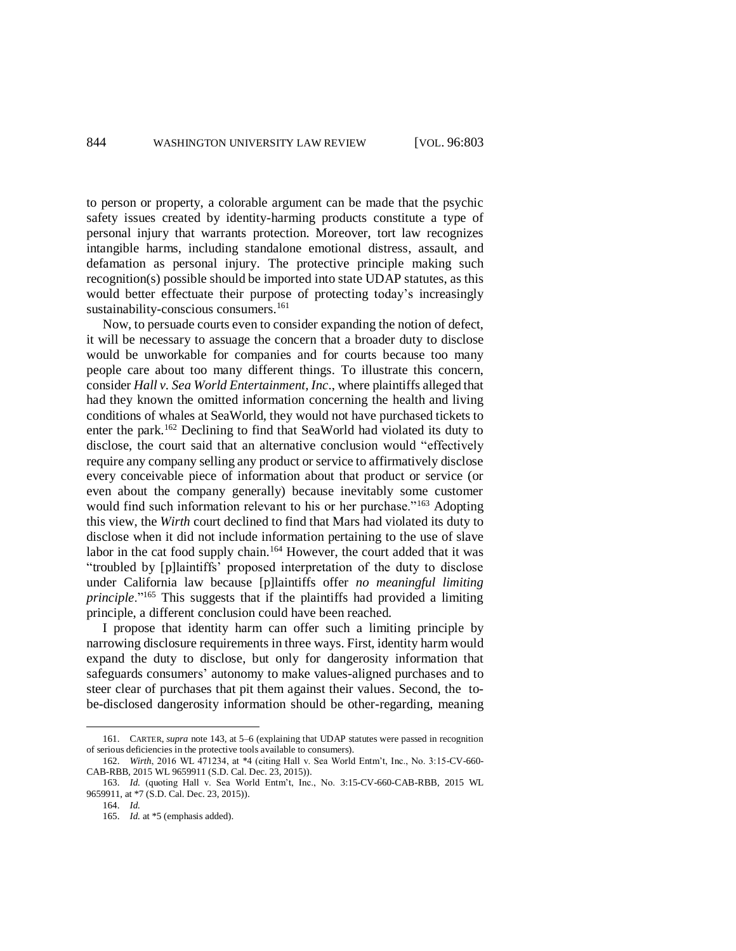to person or property, a colorable argument can be made that the psychic safety issues created by identity-harming products constitute a type of personal injury that warrants protection. Moreover, tort law recognizes intangible harms, including standalone emotional distress, assault, and defamation as personal injury. The protective principle making such recognition(s) possible should be imported into state UDAP statutes, as this would better effectuate their purpose of protecting today's increasingly sustainability-conscious consumers.<sup>161</sup>

Now, to persuade courts even to consider expanding the notion of defect, it will be necessary to assuage the concern that a broader duty to disclose would be unworkable for companies and for courts because too many people care about too many different things. To illustrate this concern, consider *Hall v. Sea World Entertainment, Inc*., where plaintiffs alleged that had they known the omitted information concerning the health and living conditions of whales at SeaWorld, they would not have purchased tickets to enter the park.<sup>162</sup> Declining to find that SeaWorld had violated its duty to disclose, the court said that an alternative conclusion would "effectively require any company selling any product or service to affirmatively disclose every conceivable piece of information about that product or service (or even about the company generally) because inevitably some customer would find such information relevant to his or her purchase."<sup>163</sup> Adopting this view, the *Wirth* court declined to find that Mars had violated its duty to disclose when it did not include information pertaining to the use of slave labor in the cat food supply chain.<sup>164</sup> However, the court added that it was "troubled by [p]laintiffs' proposed interpretation of the duty to disclose under California law because [p]laintiffs offer *no meaningful limiting principle*."<sup>165</sup> This suggests that if the plaintiffs had provided a limiting principle, a different conclusion could have been reached.

I propose that identity harm can offer such a limiting principle by narrowing disclosure requirements in three ways. First, identity harm would expand the duty to disclose, but only for dangerosity information that safeguards consumers' autonomy to make values-aligned purchases and to steer clear of purchases that pit them against their values. Second, the tobe-disclosed dangerosity information should be other-regarding, meaning

<sup>161.</sup> CARTER, *supra* note 143, at 5–6 (explaining that UDAP statutes were passed in recognition of serious deficiencies in the protective tools available to consumers).

<sup>162.</sup> *Wirth*, 2016 WL 471234, at \*4 (citing Hall v. Sea World Entm't, Inc., No. 3:15-CV-660- CAB-RBB, 2015 WL 9659911 (S.D. Cal. Dec. 23, 2015)).

<sup>163.</sup> *Id.* (quoting Hall v. Sea World Entm't, Inc., No. 3:15-CV-660-CAB-RBB, 2015 WL 9659911, at \*7 (S.D. Cal. Dec. 23, 2015)).

<sup>164.</sup> *Id.*

<sup>165.</sup> *Id.* at \*5 (emphasis added).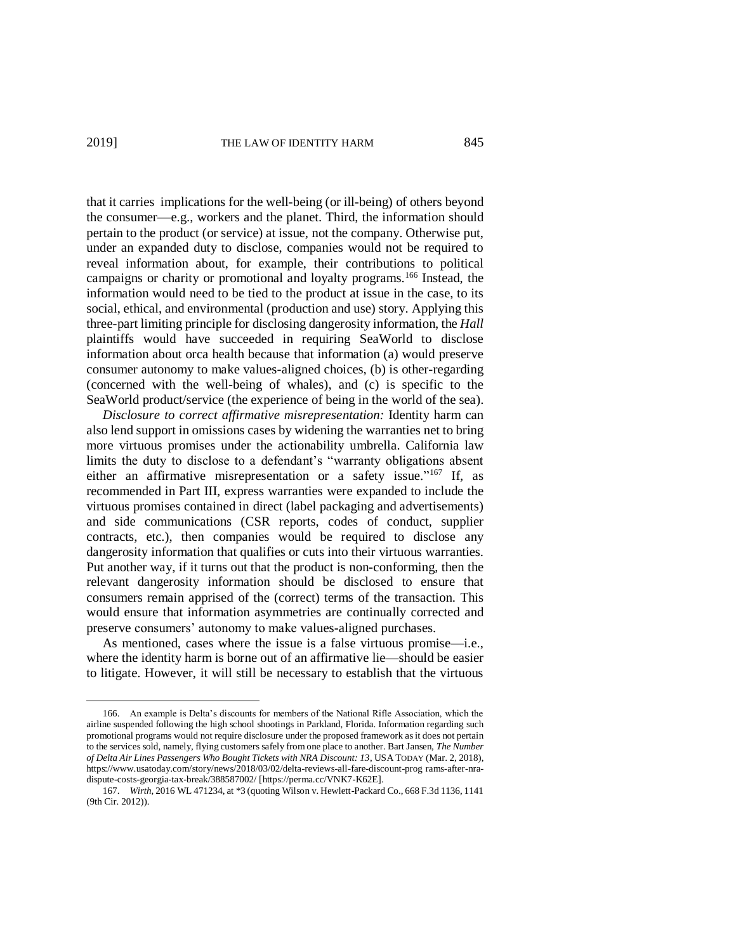$\overline{a}$ 

that it carries implications for the well-being (or ill-being) of others beyond the consumer—e.g., workers and the planet. Third, the information should pertain to the product (or service) at issue, not the company. Otherwise put, under an expanded duty to disclose, companies would not be required to reveal information about, for example, their contributions to political campaigns or charity or promotional and loyalty programs.<sup>166</sup> Instead, the information would need to be tied to the product at issue in the case, to its social, ethical, and environmental (production and use) story. Applying this three-part limiting principle for disclosing dangerosity information, the *Hall* plaintiffs would have succeeded in requiring SeaWorld to disclose information about orca health because that information (a) would preserve consumer autonomy to make values-aligned choices, (b) is other-regarding (concerned with the well-being of whales), and (c) is specific to the SeaWorld product/service (the experience of being in the world of the sea).

*Disclosure to correct affirmative misrepresentation:* Identity harm can also lend support in omissions cases by widening the warranties net to bring more virtuous promises under the actionability umbrella. California law limits the duty to disclose to a defendant's "warranty obligations absent either an affirmative misrepresentation or a safety issue."<sup>167</sup> If, as recommended in Part III, express warranties were expanded to include the virtuous promises contained in direct (label packaging and advertisements) and side communications (CSR reports, codes of conduct, supplier contracts, etc.), then companies would be required to disclose any dangerosity information that qualifies or cuts into their virtuous warranties. Put another way, if it turns out that the product is non-conforming, then the relevant dangerosity information should be disclosed to ensure that consumers remain apprised of the (correct) terms of the transaction. This would ensure that information asymmetries are continually corrected and preserve consumers' autonomy to make values-aligned purchases.

As mentioned, cases where the issue is a false virtuous promise—i.e., where the identity harm is borne out of an affirmative lie—should be easier to litigate. However, it will still be necessary to establish that the virtuous

<sup>166.</sup> An example is Delta's discounts for members of the National Rifle Association, which the airline suspended following the high school shootings in Parkland, Florida. Information regarding such promotional programs would not require disclosure under the proposed framework as it does not pertain to the services sold, namely, flying customers safely from one place to another. Bart Jansen, *The Number of Delta Air Lines Passengers Who Bought Tickets with NRA Discount: 13*, USA TODAY (Mar. 2, 2018), https://www.usatoday.com/story/news/2018/03/02/delta-reviews-all-fare-discount-prog rams-after-nradispute-costs-georgia-tax-break/388587002/ [https://perma.cc/VNK7-K62E].

<sup>167.</sup> *Wirth*, 2016 WL 471234, at \*3 (quoting Wilson v. Hewlett-Packard Co., 668 F.3d 1136, 1141 (9th Cir. 2012)).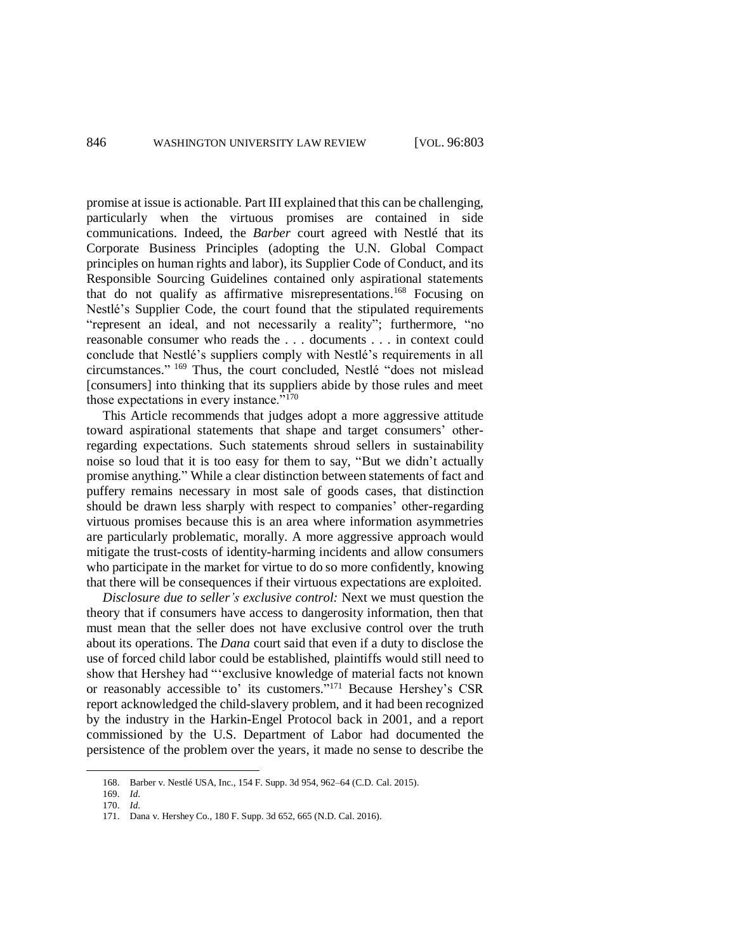promise at issue is actionable. Part III explained that this can be challenging, particularly when the virtuous promises are contained in side communications. Indeed, the *Barber* court agreed with Nestlé that its Corporate Business Principles (adopting the U.N. Global Compact principles on human rights and labor), its Supplier Code of Conduct, and its Responsible Sourcing Guidelines contained only aspirational statements that do not qualify as affirmative misrepresentations. <sup>168</sup> Focusing on Nestlé's Supplier Code, the court found that the stipulated requirements "represent an ideal, and not necessarily a reality"; furthermore, "no reasonable consumer who reads the . . . documents . . . in context could conclude that Nestlé's suppliers comply with Nestlé's requirements in all circumstances." <sup>169</sup> Thus, the court concluded, Nestlé "does not mislead [consumers] into thinking that its suppliers abide by those rules and meet those expectations in every instance."<sup>170</sup>

This Article recommends that judges adopt a more aggressive attitude toward aspirational statements that shape and target consumers' otherregarding expectations. Such statements shroud sellers in sustainability noise so loud that it is too easy for them to say, "But we didn't actually promise anything." While a clear distinction between statements of fact and puffery remains necessary in most sale of goods cases, that distinction should be drawn less sharply with respect to companies' other-regarding virtuous promises because this is an area where information asymmetries are particularly problematic, morally. A more aggressive approach would mitigate the trust-costs of identity-harming incidents and allow consumers who participate in the market for virtue to do so more confidently, knowing that there will be consequences if their virtuous expectations are exploited.

*Disclosure due to seller's exclusive control:* Next we must question the theory that if consumers have access to dangerosity information, then that must mean that the seller does not have exclusive control over the truth about its operations. The *Dana* court said that even if a duty to disclose the use of forced child labor could be established, plaintiffs would still need to show that Hershey had "'exclusive knowledge of material facts not known or reasonably accessible to' its customers." <sup>171</sup> Because Hershey's CSR report acknowledged the child-slavery problem, and it had been recognized by the industry in the Harkin-Engel Protocol back in 2001, and a report commissioned by the U.S. Department of Labor had documented the persistence of the problem over the years, it made no sense to describe the

<sup>168.</sup> Barber v. Nestlé USA, Inc., 154 F. Supp. 3d 954, 962–64 (C.D. Cal. 2015).

<sup>169.</sup> *Id*.

<sup>170.</sup> *Id*.

<sup>171.</sup> Dana v. Hershey Co., 180 F. Supp. 3d 652, 665 (N.D. Cal. 2016).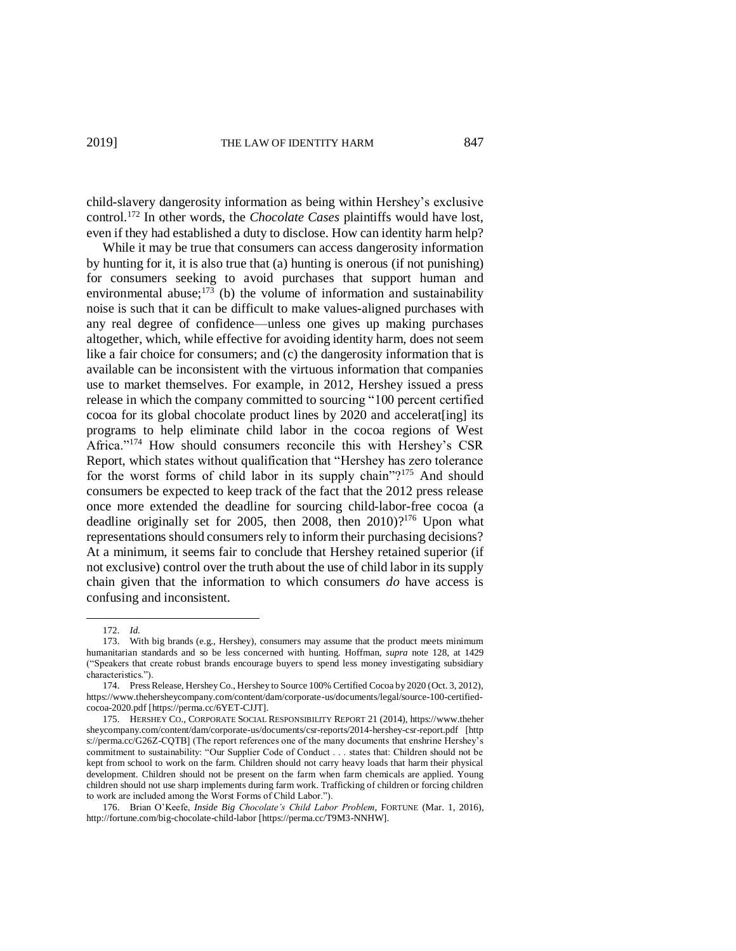child-slavery dangerosity information as being within Hershey's exclusive control.<sup>172</sup> In other words, the *Chocolate Cases* plaintiffs would have lost, even if they had established a duty to disclose. How can identity harm help?

While it may be true that consumers can access dangerosity information by hunting for it, it is also true that (a) hunting is onerous (if not punishing) for consumers seeking to avoid purchases that support human and environmental abuse; $^{173}$  (b) the volume of information and sustainability noise is such that it can be difficult to make values-aligned purchases with any real degree of confidence—unless one gives up making purchases altogether, which, while effective for avoiding identity harm, does not seem like a fair choice for consumers; and (c) the dangerosity information that is available can be inconsistent with the virtuous information that companies use to market themselves. For example, in 2012, Hershey issued a press release in which the company committed to sourcing "100 percent certified cocoa for its global chocolate product lines by 2020 and accelerat[ing] its programs to help eliminate child labor in the cocoa regions of West Africa."<sup>174</sup> How should consumers reconcile this with Hershey's CSR Report, which states without qualification that "Hershey has zero tolerance for the worst forms of child labor in its supply chain"?<sup>175</sup> And should consumers be expected to keep track of the fact that the 2012 press release once more extended the deadline for sourcing child-labor-free cocoa (a deadline originally set for 2005, then 2008, then  $2010$ )?<sup>176</sup> Upon what representations should consumers rely to inform their purchasing decisions? At a minimum, it seems fair to conclude that Hershey retained superior (if not exclusive) control over the truth about the use of child labor in its supply chain given that the information to which consumers *do* have access is confusing and inconsistent.

 $\overline{a}$ 

172. *Id.*

<sup>173.</sup> With big brands (e.g., Hershey), consumers may assume that the product meets minimum humanitarian standards and so be less concerned with hunting. Hoffman, *supra* note 128, at 1429 ("Speakers that create robust brands encourage buyers to spend less money investigating subsidiary characteristics.").

<sup>174.</sup> Press Release, Hershey Co., Hershey to Source 100% Certified Cocoa by 2020 (Oct. 3, 2012), https://www.thehersheycompany.com/content/dam/corporate-us/documents/legal/source-100-certifiedcocoa-2020.pdf [https://perma.cc/6YET-CJJT].

<sup>175.</sup> HERSHEY CO., CORPORATE SOCIAL RESPONSIBILITY REPORT 21 (2014), https://www.theher sheycompany.com/content/dam/corporate-us/documents/csr-reports/2014-hershey-csr-report.pdf [http s://perma.cc/G26Z-CQTB] (The report references one of the many documents that enshrine Hershey's commitment to sustainability: "Our Supplier Code of Conduct . . . states that: Children should not be kept from school to work on the farm. Children should not carry heavy loads that harm their physical development. Children should not be present on the farm when farm chemicals are applied. Young children should not use sharp implements during farm work. Trafficking of children or forcing children to work are included among the Worst Forms of Child Labor.").

<sup>176.</sup> Brian O'Keefe, *Inside Big Chocolate's Child Labor Problem*, FORTUNE (Mar. 1, 2016), http://fortune.com/big-chocolate-child-labor [https://perma.cc/T9M3-NNHW].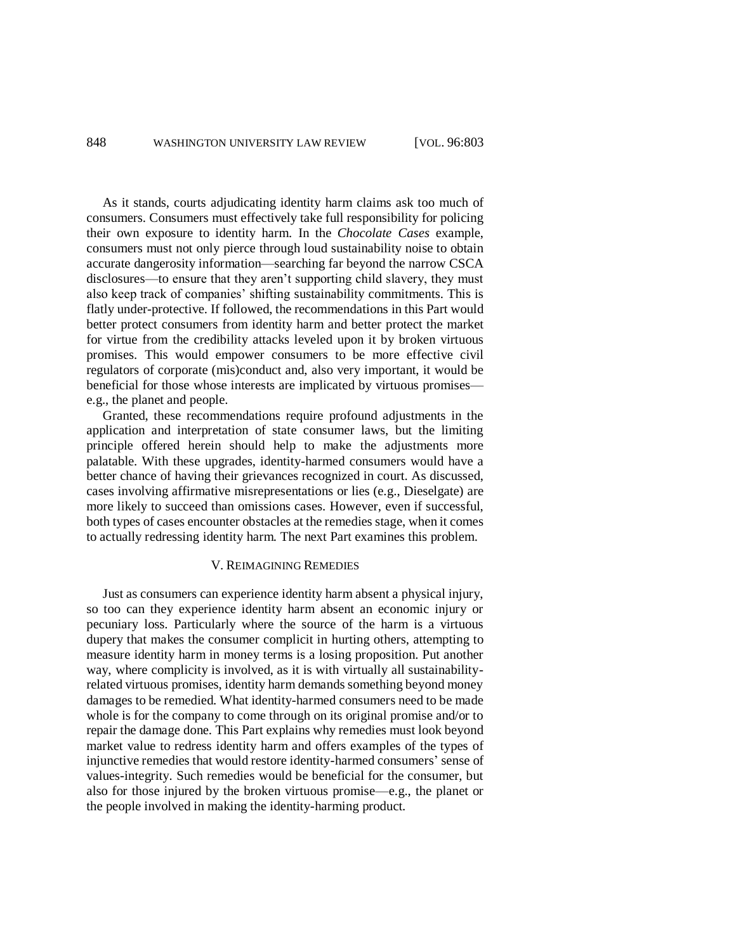As it stands, courts adjudicating identity harm claims ask too much of consumers. Consumers must effectively take full responsibility for policing their own exposure to identity harm. In the *Chocolate Cases* example, consumers must not only pierce through loud sustainability noise to obtain accurate dangerosity information—searching far beyond the narrow CSCA disclosures—to ensure that they aren't supporting child slavery, they must also keep track of companies' shifting sustainability commitments. This is flatly under-protective. If followed, the recommendations in this Part would better protect consumers from identity harm and better protect the market for virtue from the credibility attacks leveled upon it by broken virtuous promises. This would empower consumers to be more effective civil regulators of corporate (mis)conduct and, also very important, it would be beneficial for those whose interests are implicated by virtuous promises e.g., the planet and people.

Granted, these recommendations require profound adjustments in the application and interpretation of state consumer laws, but the limiting principle offered herein should help to make the adjustments more palatable. With these upgrades, identity-harmed consumers would have a better chance of having their grievances recognized in court. As discussed, cases involving affirmative misrepresentations or lies (e.g., Dieselgate) are more likely to succeed than omissions cases. However, even if successful, both types of cases encounter obstacles at the remedies stage, when it comes to actually redressing identity harm. The next Part examines this problem.

#### V. REIMAGINING REMEDIES

Just as consumers can experience identity harm absent a physical injury, so too can they experience identity harm absent an economic injury or pecuniary loss. Particularly where the source of the harm is a virtuous dupery that makes the consumer complicit in hurting others, attempting to measure identity harm in money terms is a losing proposition. Put another way, where complicity is involved, as it is with virtually all sustainabilityrelated virtuous promises, identity harm demands something beyond money damages to be remedied. What identity-harmed consumers need to be made whole is for the company to come through on its original promise and/or to repair the damage done. This Part explains why remedies must look beyond market value to redress identity harm and offers examples of the types of injunctive remedies that would restore identity-harmed consumers' sense of values-integrity. Such remedies would be beneficial for the consumer, but also for those injured by the broken virtuous promise—e.g., the planet or the people involved in making the identity-harming product.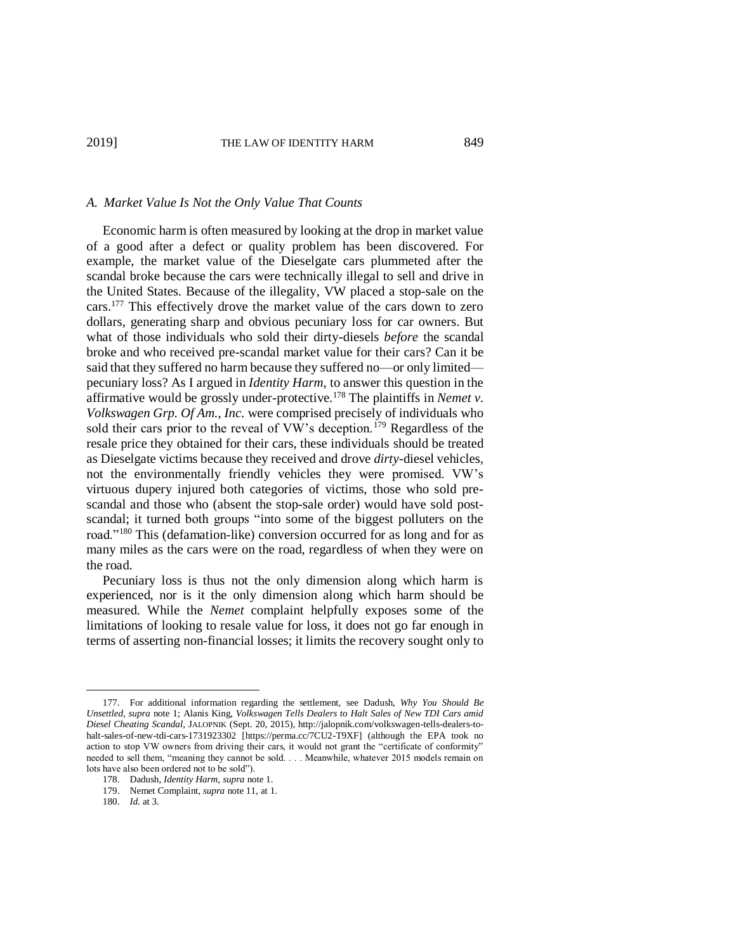#### *A. Market Value Is Not the Only Value That Counts*

Economic harm is often measured by looking at the drop in market value of a good after a defect or quality problem has been discovered. For example, the market value of the Dieselgate cars plummeted after the scandal broke because the cars were technically illegal to sell and drive in the United States. Because of the illegality, VW placed a stop-sale on the cars.<sup>177</sup> This effectively drove the market value of the cars down to zero dollars, generating sharp and obvious pecuniary loss for car owners. But what of those individuals who sold their dirty-diesels *before* the scandal broke and who received pre-scandal market value for their cars? Can it be said that they suffered no harm because they suffered no—or only limited pecuniary loss? As I argued in *Identity Harm*, to answer this question in the affirmative would be grossly under-protective.<sup>178</sup> The plaintiffs in *Nemet v. Volkswagen Grp. Of Am., Inc.* were comprised precisely of individuals who sold their cars prior to the reveal of VW's deception.<sup>179</sup> Regardless of the resale price they obtained for their cars, these individuals should be treated as Dieselgate victims because they received and drove *dirty*-diesel vehicles, not the environmentally friendly vehicles they were promised. VW's virtuous dupery injured both categories of victims, those who sold prescandal and those who (absent the stop-sale order) would have sold postscandal; it turned both groups "into some of the biggest polluters on the road."<sup>180</sup> This (defamation-like) conversion occurred for as long and for as many miles as the cars were on the road, regardless of when they were on the road.

Pecuniary loss is thus not the only dimension along which harm is experienced, nor is it the only dimension along which harm should be measured. While the *Nemet* complaint helpfully exposes some of the limitations of looking to resale value for loss, it does not go far enough in terms of asserting non-financial losses; it limits the recovery sought only to

<sup>177.</sup> For additional information regarding the settlement, see Dadush, *Why You Should Be Unsettled*, *supra* note 1; Alanis King, *Volkswagen Tells Dealers to Halt Sales of New TDI Cars amid Diesel Cheating Scandal*, JALOPNIK (Sept. 20, 2015), http://jalopnik.com/volkswagen-tells-dealers-tohalt-sales-of-new-tdi-cars-1731923302 [https://perma.cc/7CU2-T9XF] (although the EPA took no action to stop VW owners from driving their cars, it would not grant the "certificate of conformity" needed to sell them, "meaning they cannot be sold. . . . Meanwhile, whatever 2015 models remain on lots have also been ordered not to be sold").

<sup>178.</sup> Dadush, *Identity Harm*, *supra* note 1.

<sup>179.</sup> Nemet Complaint, *supra* note 11, at 1.

<sup>180.</sup> *Id.* at 3.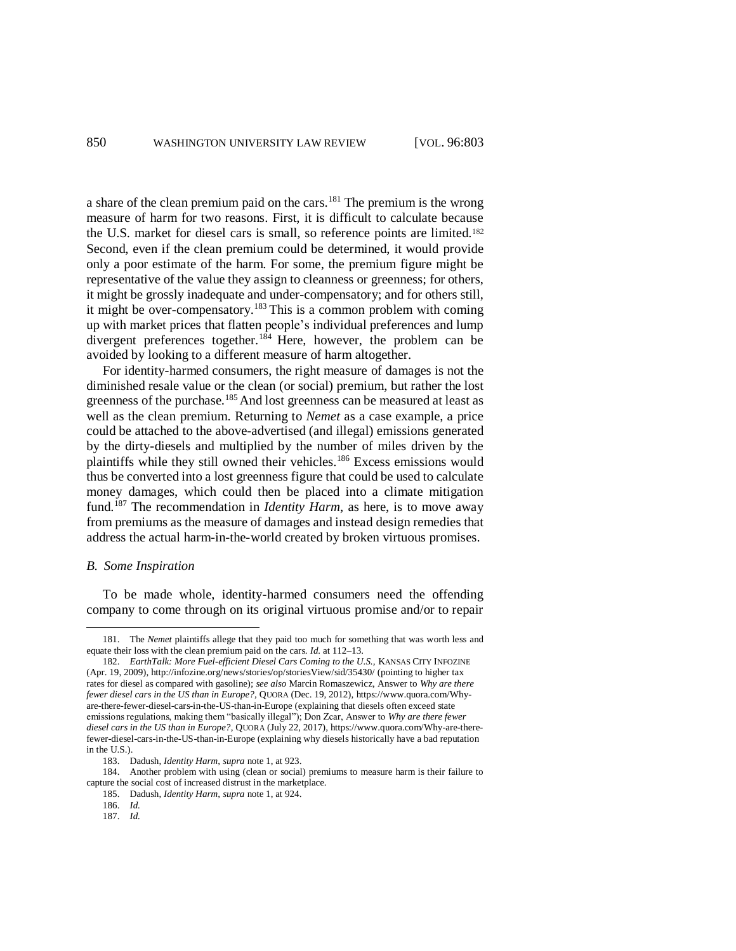a share of the clean premium paid on the cars.<sup>181</sup> The premium is the wrong measure of harm for two reasons. First, it is difficult to calculate because the U.S. market for diesel cars is small, so reference points are limited. 182 Second, even if the clean premium could be determined, it would provide only a poor estimate of the harm. For some, the premium figure might be representative of the value they assign to cleanness or greenness; for others, it might be grossly inadequate and under-compensatory; and for others still, it might be over-compensatory.<sup>183</sup> This is a common problem with coming up with market prices that flatten people's individual preferences and lump divergent preferences together.<sup>184</sup> Here, however, the problem can be avoided by looking to a different measure of harm altogether.

For identity-harmed consumers, the right measure of damages is not the diminished resale value or the clean (or social) premium, but rather the lost greenness of the purchase.<sup>185</sup> And lost greenness can be measured at least as well as the clean premium. Returning to *Nemet* as a case example, a price could be attached to the above-advertised (and illegal) emissions generated by the dirty-diesels and multiplied by the number of miles driven by the plaintiffs while they still owned their vehicles.<sup>186</sup> Excess emissions would thus be converted into a lost greenness figure that could be used to calculate money damages, which could then be placed into a climate mitigation fund.<sup>187</sup> The recommendation in *Identity Harm*, as here, is to move away from premiums as the measure of damages and instead design remedies that address the actual harm-in-the-world created by broken virtuous promises.

### *B. Some Inspiration*

 $\overline{a}$ 

To be made whole, identity-harmed consumers need the offending company to come through on its original virtuous promise and/or to repair

<sup>181.</sup> The *Nemet* plaintiffs allege that they paid too much for something that was worth less and equate their loss with the clean premium paid on the cars. *Id.* at 112–13.

<sup>182.</sup> *EarthTalk: More Fuel-efficient Diesel Cars Coming to the U.S., KANSAS CITY INFOZINE* (Apr. 19, 2009), http://infozine.org/news/stories/op/storiesView/sid/35430/ (pointing to higher tax rates for diesel as compared with gasoline); *see also* Marcin Romaszewicz, Answer to *Why are there fewer diesel cars in the US than in Europe?*, QUORA (Dec. 19, 2012), https://www.quora.com/Whyare-there-fewer-diesel-cars-in-the-US-than-in-Europe (explaining that diesels often exceed state emissions regulations, making them "basically illegal"); Don Zcar, Answer to *Why are there fewer diesel cars in the US than in Europe?*, QUORA (July 22, 2017), https://www.quora.com/Why-are-therefewer-diesel-cars-in-the-US-than-in-Europe (explaining why diesels historically have a bad reputation in the U.S.).

<sup>183.</sup> Dadush, *Identity Harm*, *supra* note 1, at 923.

<sup>184.</sup> Another problem with using (clean or social) premiums to measure harm is their failure to capture the social cost of increased distrust in the marketplace.

<sup>185.</sup> Dadush, *Identity Harm*, *supra* note 1, at 924.

<sup>186.</sup> *Id.*

<sup>187.</sup> *Id.*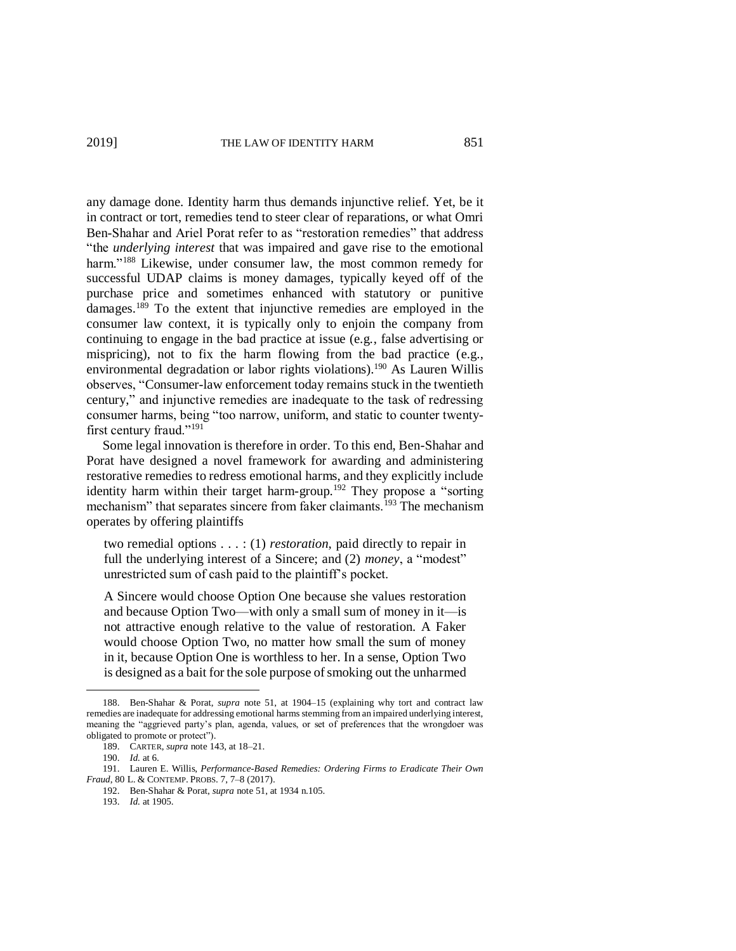any damage done. Identity harm thus demands injunctive relief. Yet, be it in contract or tort, remedies tend to steer clear of reparations, or what Omri Ben-Shahar and Ariel Porat refer to as "restoration remedies" that address "the *underlying interest* that was impaired and gave rise to the emotional harm."<sup>188</sup> Likewise, under consumer law, the most common remedy for successful UDAP claims is money damages, typically keyed off of the purchase price and sometimes enhanced with statutory or punitive damages.<sup>189</sup> To the extent that injunctive remedies are employed in the consumer law context, it is typically only to enjoin the company from continuing to engage in the bad practice at issue (e.g., false advertising or mispricing), not to fix the harm flowing from the bad practice (e.g., environmental degradation or labor rights violations).<sup>190</sup> As Lauren Willis observes, "Consumer-law enforcement today remains stuck in the twentieth century," and injunctive remedies are inadequate to the task of redressing consumer harms, being "too narrow, uniform, and static to counter twentyfirst century fraud."<sup>191</sup>

Some legal innovation is therefore in order. To this end, Ben-Shahar and Porat have designed a novel framework for awarding and administering restorative remedies to redress emotional harms, and they explicitly include identity harm within their target harm-group.<sup>192</sup> They propose a "sorting mechanism" that separates sincere from faker claimants.<sup>193</sup> The mechanism operates by offering plaintiffs

two remedial options . . . : (1) *restoration*, paid directly to repair in full the underlying interest of a Sincere; and (2) *money*, a "modest" unrestricted sum of cash paid to the plaintiff's pocket.

A Sincere would choose Option One because she values restoration and because Option Two—with only a small sum of money in it—is not attractive enough relative to the value of restoration. A Faker would choose Option Two, no matter how small the sum of money in it, because Option One is worthless to her. In a sense, Option Two is designed as a bait for the sole purpose of smoking out the unharmed

<sup>188.</sup> Ben-Shahar & Porat, *supra* note 51, at 1904–15 (explaining why tort and contract law remedies are inadequate for addressing emotional harms stemming from an impaired underlying interest, meaning the "aggrieved party's plan, agenda, values, or set of preferences that the wrongdoer was obligated to promote or protect").

<sup>189.</sup> CARTER, *supra* note 143, at 18–21.

<sup>190.</sup> *Id.* at 6.

<sup>191.</sup> Lauren E. Willis, *Performance-Based Remedies: Ordering Firms to Eradicate Their Own Fraud*, 80 L. & CONTEMP. PROBS. 7, 7–8 (2017).

<sup>192.</sup> Ben-Shahar & Porat, *supra* note 51, at 1934 n.105.

<sup>193.</sup> *Id.* at 1905.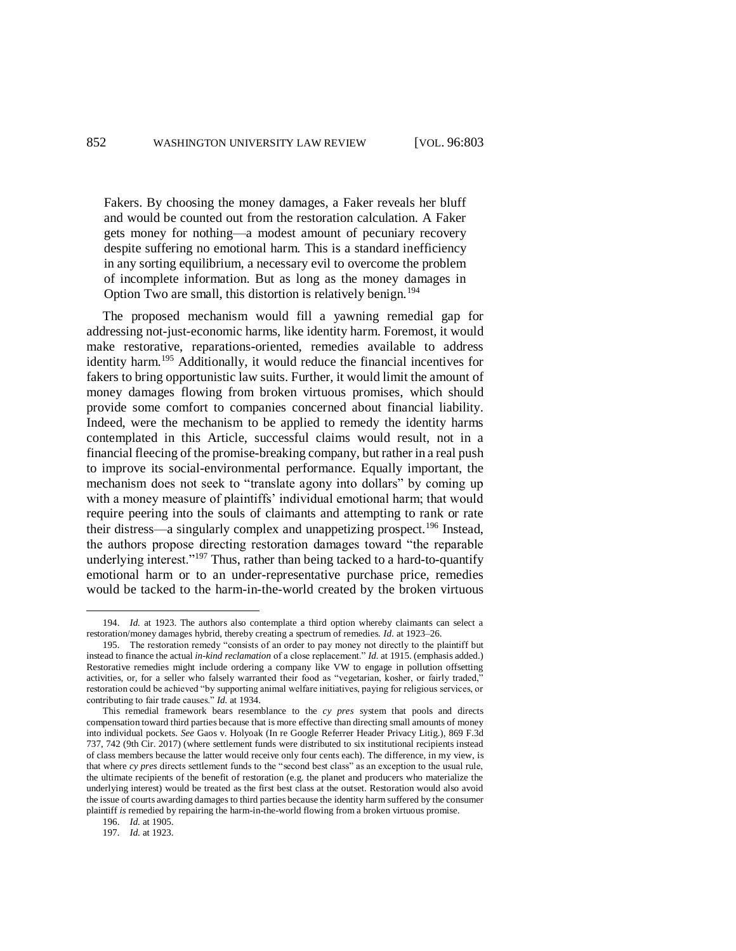Fakers. By choosing the money damages, a Faker reveals her bluff and would be counted out from the restoration calculation. A Faker gets money for nothing—a modest amount of pecuniary recovery despite suffering no emotional harm. This is a standard inefficiency in any sorting equilibrium, a necessary evil to overcome the problem of incomplete information. But as long as the money damages in Option Two are small, this distortion is relatively benign.<sup>194</sup>

The proposed mechanism would fill a yawning remedial gap for addressing not-just-economic harms, like identity harm. Foremost, it would make restorative, reparations-oriented, remedies available to address identity harm. <sup>195</sup> Additionally, it would reduce the financial incentives for fakers to bring opportunistic law suits. Further, it would limit the amount of money damages flowing from broken virtuous promises, which should provide some comfort to companies concerned about financial liability. Indeed, were the mechanism to be applied to remedy the identity harms contemplated in this Article, successful claims would result, not in a financial fleecing of the promise-breaking company, but rather in a real push to improve its social-environmental performance. Equally important, the mechanism does not seek to "translate agony into dollars" by coming up with a money measure of plaintiffs' individual emotional harm; that would require peering into the souls of claimants and attempting to rank or rate their distress—a singularly complex and unappetizing prospect.<sup>196</sup> Instead, the authors propose directing restoration damages toward "the reparable underlying interest."<sup>197</sup> Thus, rather than being tacked to a hard-to-quantify emotional harm or to an under-representative purchase price, remedies would be tacked to the harm-in-the-world created by the broken virtuous

196. *Id.* at 1905.

 $\overline{a}$ 

197. *Id.* at 1923.

<sup>194.</sup> *Id.* at 1923. The authors also contemplate a third option whereby claimants can select a restoration/money damages hybrid, thereby creating a spectrum of remedies. *Id.* at 1923–26.

<sup>195.</sup> The restoration remedy "consists of an order to pay money not directly to the plaintiff but instead to finance the actual *in-kind reclamation* of a close replacement." *Id.* at 1915. (emphasis added.) Restorative remedies might include ordering a company like VW to engage in pollution offsetting activities, or, for a seller who falsely warranted their food as "vegetarian, kosher, or fairly traded," restoration could be achieved "by supporting animal welfare initiatives, paying for religious services, or contributing to fair trade causes." *Id.* at 1934.

This remedial framework bears resemblance to the *cy pres* system that pools and directs compensation toward third parties because that is more effective than directing small amounts of money into individual pockets. *See* Gaos v. Holyoak (In re Google Referrer Header Privacy Litig.), 869 F.3d 737, 742 (9th Cir. 2017) (where settlement funds were distributed to six institutional recipients instead of class members because the latter would receive only four cents each). The difference, in my view, is that where *cy pres* directs settlement funds to the "second best class" as an exception to the usual rule, the ultimate recipients of the benefit of restoration (e.g. the planet and producers who materialize the underlying interest) would be treated as the first best class at the outset. Restoration would also avoid the issue of courts awarding damages to third parties because the identity harm suffered by the consumer plaintiff *is* remedied by repairing the harm-in-the-world flowing from a broken virtuous promise.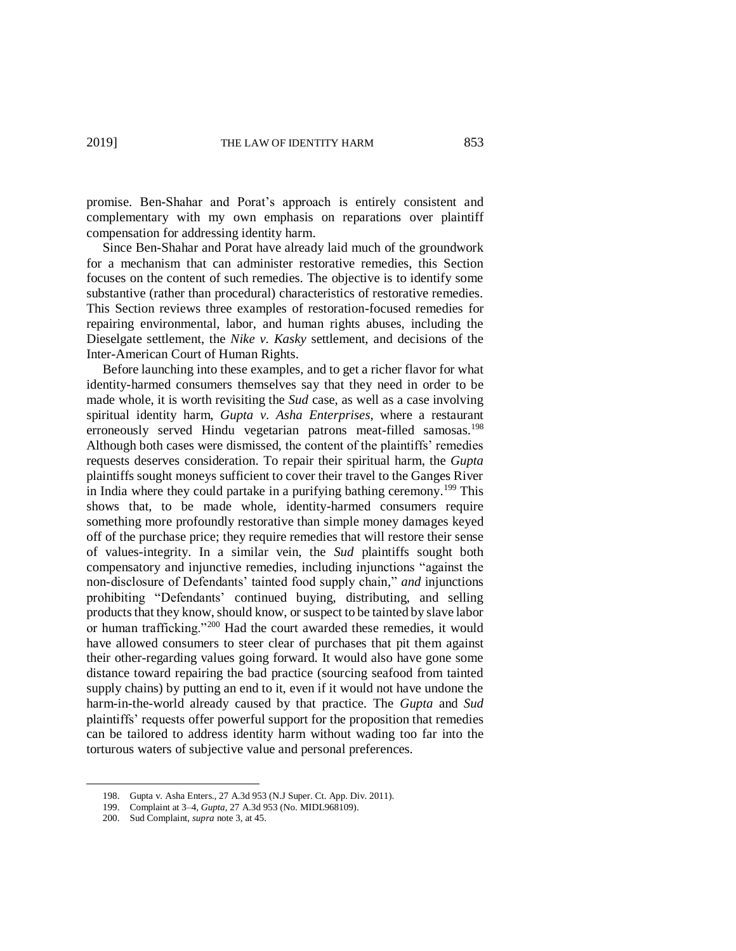promise. Ben-Shahar and Porat's approach is entirely consistent and complementary with my own emphasis on reparations over plaintiff compensation for addressing identity harm.

Since Ben-Shahar and Porat have already laid much of the groundwork for a mechanism that can administer restorative remedies, this Section focuses on the content of such remedies. The objective is to identify some substantive (rather than procedural) characteristics of restorative remedies. This Section reviews three examples of restoration-focused remedies for repairing environmental, labor, and human rights abuses, including the Dieselgate settlement, the *Nike v. Kasky* settlement, and decisions of the Inter-American Court of Human Rights.

Before launching into these examples, and to get a richer flavor for what identity-harmed consumers themselves say that they need in order to be made whole, it is worth revisiting the *Sud* case, as well as a case involving spiritual identity harm, *Gupta v. Asha Enterprises*, where a restaurant erroneously served Hindu vegetarian patrons meat-filled samosas.<sup>198</sup> Although both cases were dismissed, the content of the plaintiffs' remedies requests deserves consideration. To repair their spiritual harm, the *Gupta* plaintiffs sought moneys sufficient to cover their travel to the Ganges River in India where they could partake in a purifying bathing ceremony.<sup>199</sup> This shows that, to be made whole, identity-harmed consumers require something more profoundly restorative than simple money damages keyed off of the purchase price; they require remedies that will restore their sense of values-integrity. In a similar vein, the *Sud* plaintiffs sought both compensatory and injunctive remedies, including injunctions "against the non-disclosure of Defendants' tainted food supply chain," *and* injunctions prohibiting "Defendants' continued buying, distributing, and selling products that they know, should know, or suspect to be tainted by slave labor or human trafficking."<sup>200</sup> Had the court awarded these remedies, it would have allowed consumers to steer clear of purchases that pit them against their other-regarding values going forward. It would also have gone some distance toward repairing the bad practice (sourcing seafood from tainted supply chains) by putting an end to it, even if it would not have undone the harm-in-the-world already caused by that practice. The *Gupta* and *Sud* plaintiffs' requests offer powerful support for the proposition that remedies can be tailored to address identity harm without wading too far into the torturous waters of subjective value and personal preferences.

<sup>198.</sup> Gupta v. Asha Enters., 27 A.3d 953 (N.J Super. Ct. App. Div. 2011).

<sup>199.</sup> Complaint at 3–4, *Gupta*, 27 A.3d 953 (No. MIDL968109).

<sup>200.</sup> Sud Complaint, *supra* note 3, at 45.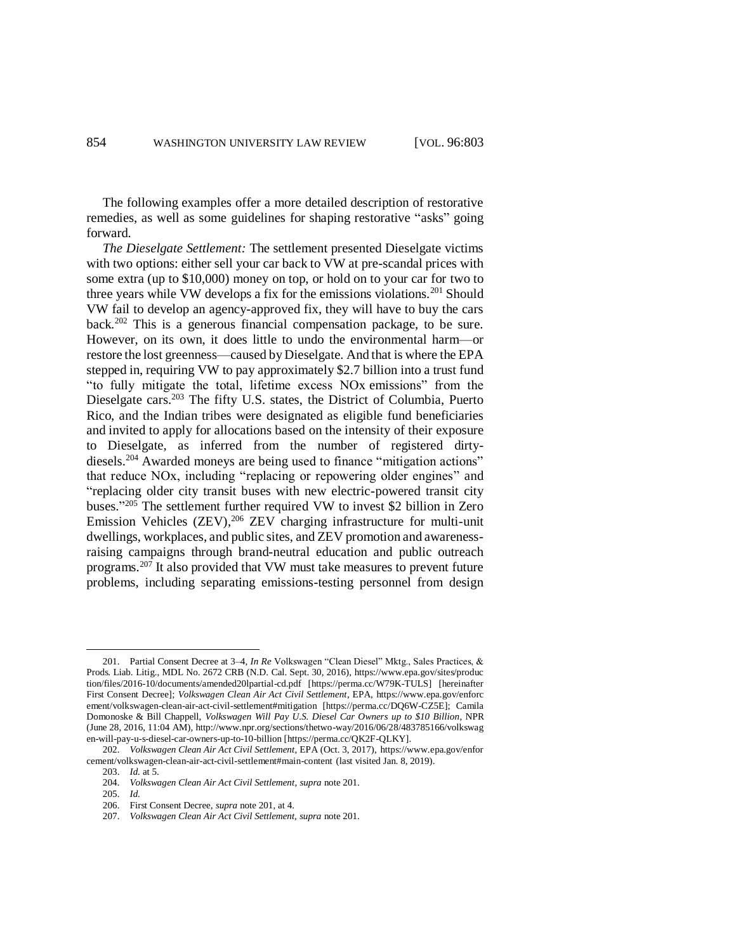The following examples offer a more detailed description of restorative remedies, as well as some guidelines for shaping restorative "asks" going forward.

*The Dieselgate Settlement:* The settlement presented Dieselgate victims with two options: either sell your car back to VW at pre-scandal prices with some extra (up to \$10,000) money on top, or hold on to your car for two to three years while VW develops a fix for the emissions violations.<sup>201</sup> Should VW fail to develop an agency-approved fix, they will have to buy the cars back.<sup>202</sup> This is a generous financial compensation package, to be sure. However, on its own, it does little to undo the environmental harm—or restore the lost greenness—caused by Dieselgate. And that is where the EPA stepped in, requiring VW to pay approximately \$2.7 billion into a trust fund "to fully mitigate the total, lifetime excess NOx emissions" from the Dieselgate cars.<sup>203</sup> The fifty U.S. states, the District of Columbia, Puerto Rico, and the Indian tribes were designated as eligible fund beneficiaries and invited to apply for allocations based on the intensity of their exposure to Dieselgate, as inferred from the number of registered dirtydiesels.<sup>204</sup> Awarded moneys are being used to finance "mitigation actions" that reduce NOx, including "replacing or repowering older engines" and "replacing older city transit buses with new electric-powered transit city buses." <sup>205</sup> The settlement further required VW to invest \$2 billion in Zero Emission Vehicles (ZEV),<sup>206</sup> ZEV charging infrastructure for multi-unit dwellings, workplaces, and public sites, and ZEV promotion and awarenessraising campaigns through brand-neutral education and public outreach programs.<sup>207</sup> It also provided that VW must take measures to prevent future problems, including separating emissions-testing personnel from design

<sup>201.</sup> Partial Consent Decree at 3–4, *In Re* Volkswagen "Clean Diesel" Mktg., Sales Practices, & Prods. Liab. Litig., MDL No. 2672 CRB (N.D. Cal. Sept. 30, 2016), https://www.epa.gov/sites/produc tion/files/2016-10/documents/amended20lpartial-cd.pdf [https://perma.cc/W79K-TULS] [hereinafter First Consent Decree]; *Volkswagen Clean Air Act Civil Settlement*, EPA, https://www.epa.gov/enforc ement/volkswagen-clean-air-act-civil-settlement#mitigation [https://perma.cc/DQ6W-CZ5E]; Camila Domonoske & Bill Chappell, *Volkswagen Will Pay U.S. Diesel Car Owners up to \$10 Billion*, NPR (June 28, 2016, 11:04 AM), http://www.npr.org/sections/thetwo-way/2016/06/28/483785166/volkswag en-will-pay-u-s-diesel-car-owners-up-to-10-billion [https://perma.cc/QK2F-QLKY].

<sup>202.</sup> *Volkswagen Clean Air Act Civil Settlement*, EPA (Oct. 3, 2017), https://www.epa.gov/enfor cement/volkswagen-clean-air-act-civil-settlement#main-content (last visited Jan. 8, 2019).

<sup>203.</sup> *Id.* at 5.

<sup>204.</sup> *Volkswagen Clean Air Act Civil Settlement*, *supra* note 201.

<sup>205.</sup> *Id.*

<sup>206.</sup> First Consent Decree, *supra* note 201, at 4.

<sup>207.</sup> *Volkswagen Clean Air Act Civil Settlement, supra* note 201.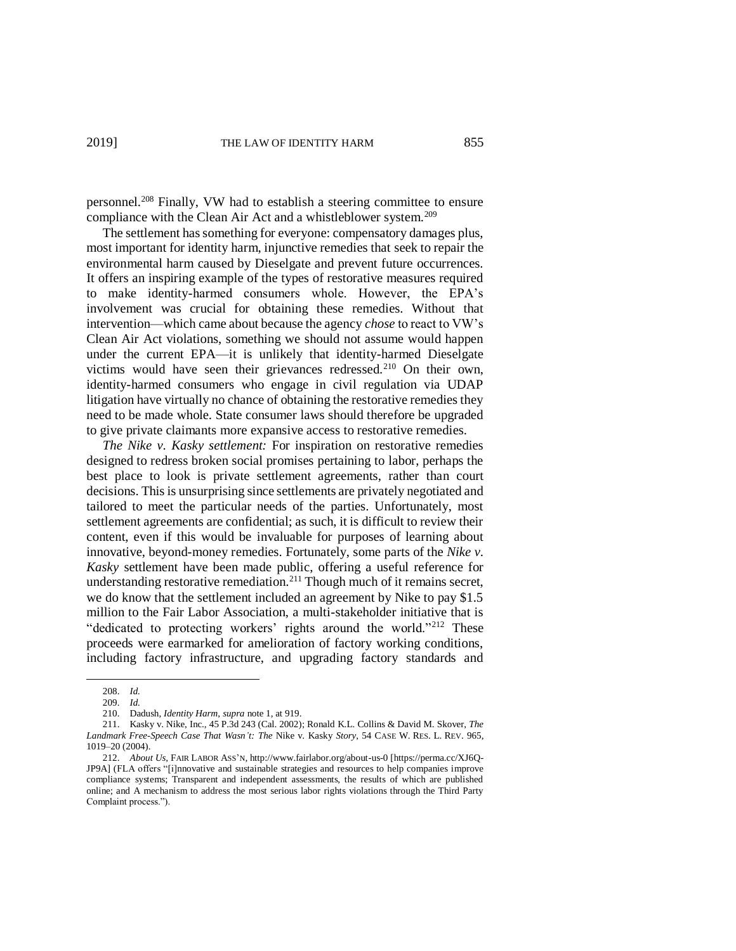personnel.<sup>208</sup> Finally, VW had to establish a steering committee to ensure compliance with the Clean Air Act and a whistleblower system.<sup>209</sup>

The settlement has something for everyone: compensatory damages plus, most important for identity harm, injunctive remedies that seek to repair the environmental harm caused by Dieselgate and prevent future occurrences. It offers an inspiring example of the types of restorative measures required to make identity-harmed consumers whole. However, the EPA's involvement was crucial for obtaining these remedies. Without that intervention—which came about because the agency *chose* to react to VW's Clean Air Act violations, something we should not assume would happen under the current EPA—it is unlikely that identity-harmed Dieselgate victims would have seen their grievances redressed.<sup>210</sup> On their own, identity-harmed consumers who engage in civil regulation via UDAP litigation have virtually no chance of obtaining the restorative remedies they need to be made whole. State consumer laws should therefore be upgraded to give private claimants more expansive access to restorative remedies.

*The Nike v. Kasky settlement:* For inspiration on restorative remedies designed to redress broken social promises pertaining to labor, perhaps the best place to look is private settlement agreements, rather than court decisions. This is unsurprising since settlements are privately negotiated and tailored to meet the particular needs of the parties. Unfortunately, most settlement agreements are confidential; as such, it is difficult to review their content, even if this would be invaluable for purposes of learning about innovative, beyond-money remedies. Fortunately, some parts of the *Nike v. Kasky* settlement have been made public, offering a useful reference for understanding restorative remediation. <sup>211</sup> Though much of it remains secret, we do know that the settlement included an agreement by Nike to pay \$1.5 million to the Fair Labor Association, a multi-stakeholder initiative that is "dedicated to protecting workers' rights around the world."<sup>212</sup> These proceeds were earmarked for amelioration of factory working conditions, including factory infrastructure, and upgrading factory standards and

1019–20 (2004).

<sup>208.</sup> *Id.* 209. *Id.*

<sup>210.</sup> Dadush, *Identity Harm*, *supra* note 1, at 919.

<sup>211.</sup> Kasky v. Nike, Inc., 45 P.3d 243 (Cal. 2002); Ronald K.L. Collins & David M. Skover, *The Landmark Free-Speech Case That Wasn't: The* Nike v. Kasky *Story*, 54 CASE W. RES. L. REV. 965,

<sup>212.</sup> *About Us*, FAIR LABOR ASS'N, http://www.fairlabor.org/about-us-0 [https://perma.cc/XJ6Q-JP9A] (FLA offers "[i]nnovative and sustainable strategies and resources to help companies improve compliance systems; Transparent and independent assessments, the results of which are published online; and A mechanism to address the most serious labor rights violations through the Third Party Complaint process.").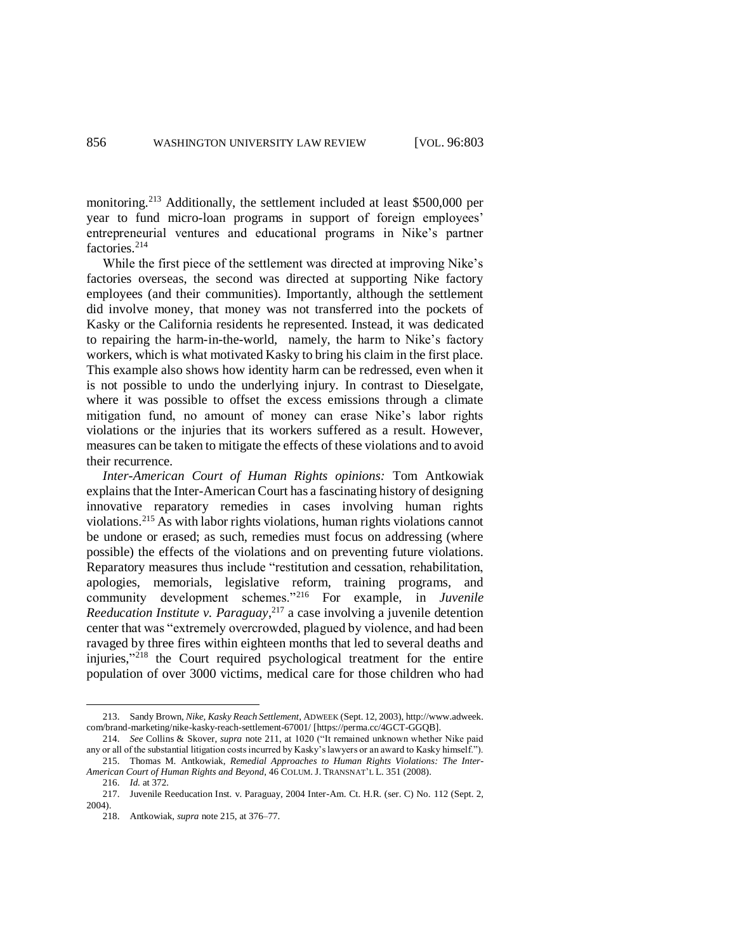monitoring.<sup>213</sup> Additionally, the settlement included at least \$500,000 per year to fund micro-loan programs in support of foreign employees' entrepreneurial ventures and educational programs in Nike's partner factories<sup>214</sup>

While the first piece of the settlement was directed at improving Nike's factories overseas, the second was directed at supporting Nike factory employees (and their communities). Importantly, although the settlement did involve money, that money was not transferred into the pockets of Kasky or the California residents he represented. Instead, it was dedicated to repairing the harm-in-the-world, namely, the harm to Nike's factory workers, which is what motivated Kasky to bring his claim in the first place. This example also shows how identity harm can be redressed, even when it is not possible to undo the underlying injury. In contrast to Dieselgate, where it was possible to offset the excess emissions through a climate mitigation fund, no amount of money can erase Nike's labor rights violations or the injuries that its workers suffered as a result. However, measures can be taken to mitigate the effects of these violations and to avoid their recurrence.

*Inter-American Court of Human Rights opinions:* Tom Antkowiak explains that the Inter-American Court has a fascinating history of designing innovative reparatory remedies in cases involving human rights violations.<sup>215</sup> As with labor rights violations, human rights violations cannot be undone or erased; as such, remedies must focus on addressing (where possible) the effects of the violations and on preventing future violations. Reparatory measures thus include "restitution and cessation, rehabilitation, apologies, memorials, legislative reform, training programs, and community development schemes."<sup>216</sup> For example, in *Juvenile Reeducation Institute v. Paraguay*, <sup>217</sup> a case involving a juvenile detention center that was "extremely overcrowded, plagued by violence, and had been ravaged by three fires within eighteen months that led to several deaths and injuries," <sup>218</sup> the Court required psychological treatment for the entire population of over 3000 victims, medical care for those children who had

- *American Court of Human Rights and Beyond*, 46 COLUM. J. TRANSNAT'L L. 351 (2008). 216. *Id.* at 372.
	-

<sup>213.</sup> Sandy Brown, *Nike, Kasky Reach Settlement*, ADWEEK (Sept. 12, 2003), http://www.adweek. com/brand-marketing/nike-kasky-reach-settlement-67001/ [https://perma.cc/4GCT-GGQB].

<sup>214.</sup> *See* Collins & Skover, *supra* note 211, at 1020 ("It remained unknown whether Nike paid any or all of the substantial litigation costs incurred by Kasky's lawyers or an award to Kasky himself."). 215. Thomas M. Antkowiak, *Remedial Approaches to Human Rights Violations: The Inter-*

<sup>217.</sup> Juvenile Reeducation Inst. v. Paraguay, 2004 Inter-Am. Ct. H.R. (ser. C) No. 112 (Sept. 2, 2004).

<sup>218.</sup> Antkowiak, *supra* note 215, at 376–77.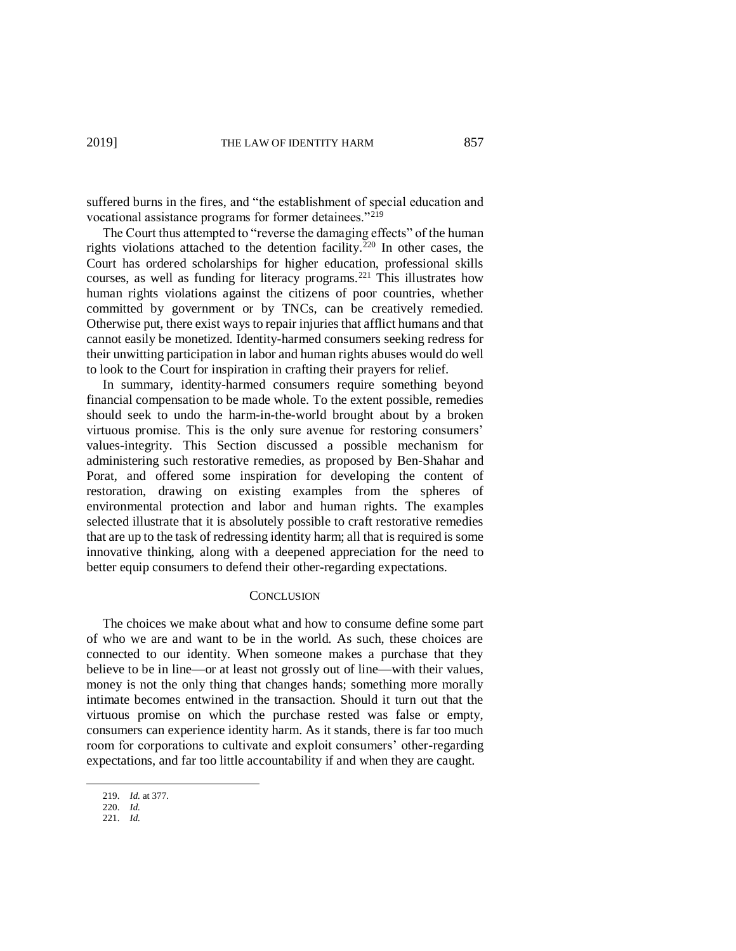suffered burns in the fires, and "the establishment of special education and vocational assistance programs for former detainees."<sup>219</sup>

The Court thus attempted to "reverse the damaging effects" of the human rights violations attached to the detention facility.<sup>220</sup> In other cases, the Court has ordered scholarships for higher education, professional skills courses, as well as funding for literacy programs.<sup>221</sup> This illustrates how human rights violations against the citizens of poor countries, whether committed by government or by TNCs, can be creatively remedied. Otherwise put, there exist ways to repair injuries that afflict humans and that cannot easily be monetized. Identity-harmed consumers seeking redress for their unwitting participation in labor and human rights abuses would do well to look to the Court for inspiration in crafting their prayers for relief.

In summary, identity-harmed consumers require something beyond financial compensation to be made whole. To the extent possible, remedies should seek to undo the harm-in-the-world brought about by a broken virtuous promise. This is the only sure avenue for restoring consumers' values-integrity. This Section discussed a possible mechanism for administering such restorative remedies, as proposed by Ben-Shahar and Porat, and offered some inspiration for developing the content of restoration, drawing on existing examples from the spheres of environmental protection and labor and human rights. The examples selected illustrate that it is absolutely possible to craft restorative remedies that are up to the task of redressing identity harm; all that is required is some innovative thinking, along with a deepened appreciation for the need to better equip consumers to defend their other-regarding expectations.

#### **CONCLUSION**

The choices we make about what and how to consume define some part of who we are and want to be in the world. As such, these choices are connected to our identity. When someone makes a purchase that they believe to be in line—or at least not grossly out of line—with their values, money is not the only thing that changes hands; something more morally intimate becomes entwined in the transaction. Should it turn out that the virtuous promise on which the purchase rested was false or empty, consumers can experience identity harm. As it stands, there is far too much room for corporations to cultivate and exploit consumers' other-regarding expectations, and far too little accountability if and when they are caught.

<sup>219.</sup> *Id.* at 377.

<sup>220.</sup> *Id.*

<sup>221.</sup> *Id.*